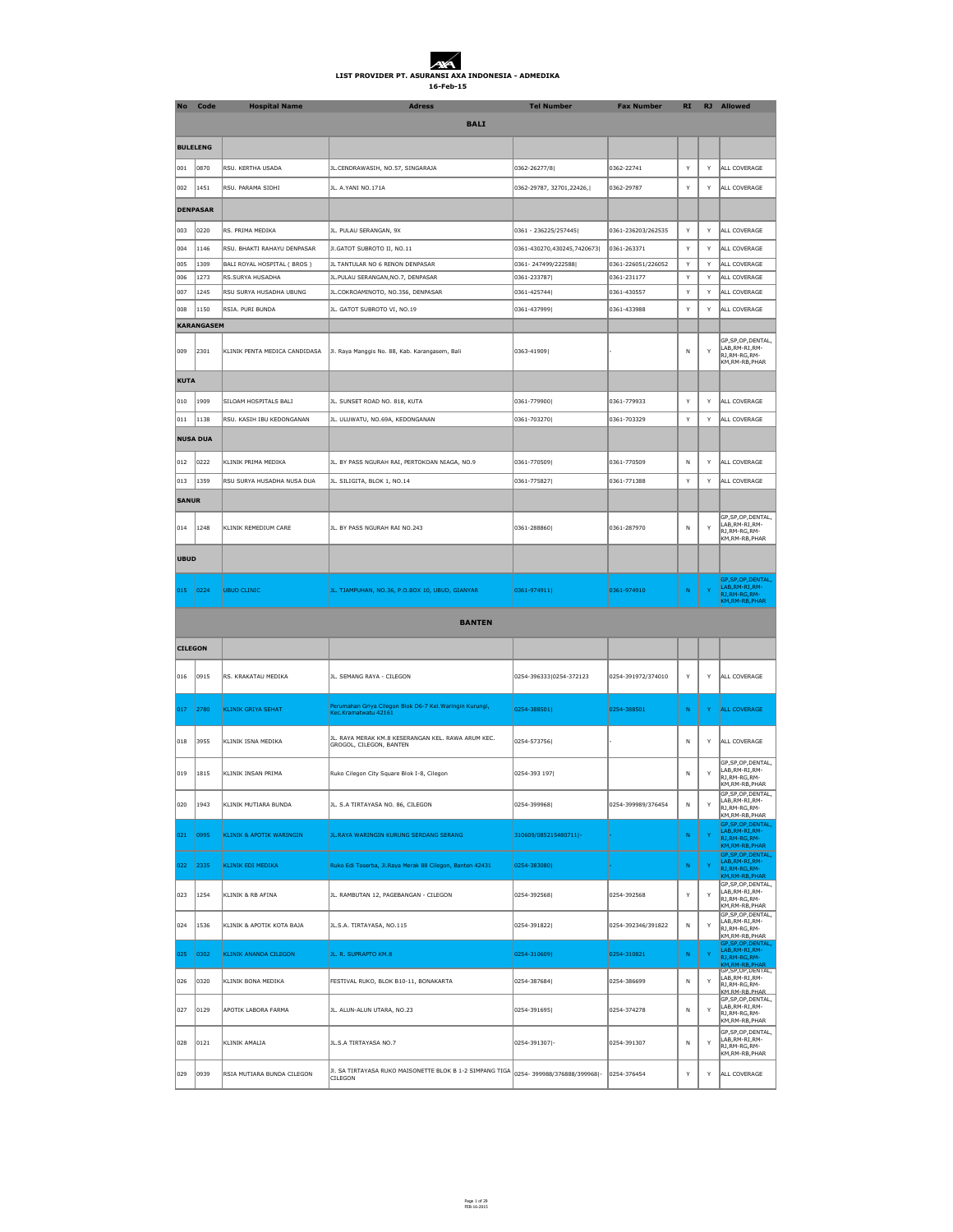| <b>No</b>     | <b>Code</b>       | <b>Hospital Name</b>          | <b>Adress</b>                                                                    | <b>Tel Number</b>          | <b>Fax Number</b>  | <b>RI</b>    | <b>RJ</b>    | <b>Allowed</b>                                                                                     |
|---------------|-------------------|-------------------------------|----------------------------------------------------------------------------------|----------------------------|--------------------|--------------|--------------|----------------------------------------------------------------------------------------------------|
|               |                   |                               | <b>BALI</b>                                                                      |                            |                    |              |              |                                                                                                    |
|               | <b>BULELENG</b>   |                               |                                                                                  |                            |                    |              |              |                                                                                                    |
|               |                   |                               |                                                                                  |                            |                    |              |              |                                                                                                    |
| 001           | $ 0870\rangle$    | RSU. KERTHA USADA             | JL.CENDRAWASIH, NO.57, SINGARAJA                                                 | 0362-26277/8               | 0362-22741         | Y            | <b>Y</b>     | ALL COVERAGE                                                                                       |
| 002           | 1451              | RSU. PARAMA SIDHI             | JL. A.YANI NO.171A                                                               | 0362-29787, 32701,22426,   | 0362-29787         | Y            | $\mathsf{Y}$ | ALL COVERAGE                                                                                       |
|               | <b>DENPASAR</b>   |                               |                                                                                  |                            |                    |              |              |                                                                                                    |
| 003           | 0220              | RS. PRIMA MEDIKA              | JL. PULAU SERANGAN, 9X                                                           | 0361 - 236225/257445       | 0361-236203/262535 | Y            | $\mathsf{Y}$ | ALL COVERAGE                                                                                       |
| 004           | 1146              | RSU. BHAKTI RAHAYU DENPASAR   | JI.GATOT SUBROTO II, NO.11                                                       | 0361-430270,430245,7420673 | 0361-263371        | Y            | <sup>Y</sup> | ALL COVERAGE                                                                                       |
| 005           | 1309              | BALI ROYAL HOSPITAL (BROS)    | JL TANTULAR NO 6 RENON DENPASAR                                                  | 0361-247499/222588         | 0361-226051/226052 | Y            | $\mathsf{Y}$ | ALL COVERAGE                                                                                       |
| 006           | 1273              | RS.SURYA HUSADHA              | JL. PULAU SERANGAN, NO. 7, DENPASAR                                              | 0361-233787                | 0361-231177        | Y.           | $\mathsf{Y}$ | ALL COVERAGE                                                                                       |
| 007           | 1245              | RSU SURYA HUSADHA UBUNG       | JL.COKROAMINOTO, NO.356, DENPASAR                                                | 0361-425744                | 0361-430557        | Y            | Y            | ALL COVERAGE                                                                                       |
| 008           | 1150              | RSIA. PURI BUNDA              | JL. GATOT SUBROTO VI, NO.19                                                      | 0361-437999                | 0361-433988        | Υ            | <sup>Y</sup> | ALL COVERAGE                                                                                       |
|               | <b>KARANGASEM</b> |                               |                                                                                  |                            |                    |              |              |                                                                                                    |
| 009           | 2301              | KLINIK PENTA MEDICA CANDIDASA | Jl. Raya Manggis No. 88, Kab. Karangasem, Bali                                   | 0363-41909                 |                    | N            | Y            | GP, SP, OP, DENTAL,<br>LAB, RM-RI, RM-<br>RJ, RM-RG, RM-<br>KM, RM-RB, PHAR                        |
| KUTA          |                   |                               |                                                                                  |                            |                    |              |              |                                                                                                    |
| $ 010\rangle$ | 1909              | SILOAM HOSPITALS BALI         | JL. SUNSET ROAD NO. 818, KUTA                                                    | 0361-779900                | 0361-779933        | Y            | <sup>V</sup> | ALL COVERAGE                                                                                       |
| $ 011\rangle$ | 1138              | RSU. KASIH IBU KEDONGANAN     | JL. ULUWATU, NO.69A, KEDONGANAN                                                  | 0361-703270                | 0361-703329        | Y            | Y            | ALL COVERAGE                                                                                       |
|               | <b>NUSA DUA</b>   |                               |                                                                                  |                            |                    |              |              |                                                                                                    |
| $ 012\rangle$ | 0222              | KLINIK PRIMA MEDIKA           |                                                                                  | 0361-770509                | 0361-770509        |              | <b>Y</b>     | ALL COVERAGE                                                                                       |
|               |                   |                               | JL. BY PASS NGURAH RAI, PERTOKOAN NIAGA, NO.9                                    |                            |                    | N            |              |                                                                                                    |
| 013           | 1359              | RSU SURYA HUSADHA NUSA DUA    | JL. SILIGITA, BLOK 1, NO.14                                                      | 0361-775827                | 0361-771388        | Y            | $\mathsf{Y}$ | ALL COVERAGE                                                                                       |
| <b>SANUR</b>  |                   |                               |                                                                                  |                            |                    |              |              |                                                                                                    |
| $\vert$ 014   | 1248              | KLINIK REMEDIUM CARE          | JL. BY PASS NGURAH RAI NO.243                                                    | 0361-288860                | 0361-287970        | N            | $\mathsf{Y}$ | GP, SP, OP, DENTAL,<br>LAB, RM-RI, RM-<br>RJ, RM-RG, RM-<br>KM, RM-RB, PHAR                        |
| <b>UBUD</b>   |                   |                               |                                                                                  |                            |                    |              |              |                                                                                                    |
| 015           | $\big  0224$      | UBUD CLINIC                   | JL. TJAMPUHAN, NO.36, P.O.BOX 10, UBUD, GIANYAR                                  | 0361-974911                | 0361-974910        | N            | $\mathbf{v}$ | GP, SP, OP, DENTAL,<br>LAB, RM-RI, RM-<br>RJ, RM-RG, RM-<br>KM, RM-RB, PHAR                        |
|               |                   |                               | <b>BANTEN</b>                                                                    |                            |                    |              |              |                                                                                                    |
|               | <b>CILEGON</b>    |                               |                                                                                  |                            |                    |              |              |                                                                                                    |
| 016           | 0915              | RS. KRAKATAU MEDIKA           | JL. SEMANG RAYA - CILEGON                                                        | 0254-396333 0254-372123    | 0254-391972/374010 | Y            | $\mathsf{Y}$ | ALL COVERAGE                                                                                       |
| $ 017\rangle$ | 2780              | KLINIK GRIYA SEHAT            | Perumahan Griya Cilegon Blok D6-7 Kel. Waringin Kurungi,<br>Kec.Kramatwatu 42161 | 0254-388501                | 0254-388501        | N            | Y            | <b>ALL COVERAGE</b>                                                                                |
| $ 018\rangle$ | 3955              | KLINIK ISNA MEDIKA            | JL. RAYA MERAK KM.8 KESERANGAN KEL. RAWA ARUM KEC.<br>GROGOL, CILEGON, BANTEN    | 0254-573756                |                    | N            | $\mathsf{v}$ | ALL COVERAGE                                                                                       |
| 019           | 1815              | KLINIK INSAN PRIMA            | Ruko Cilegon City Square Blok I-8, Cilegon                                       | 0254-393 197               |                    | N            | $\mathbf{v}$ | GP, SP, OP, DENTAL,<br>LAB, RM-RI, RM-<br>RJ, RM-RG, RM-<br>KM, RM-RB, PHAR<br>GP, SP, OP, DENTAL, |
| 020           | $ 1943\rangle$    | KLINIK MUTIARA BUNDA          | JL. S.A TIRTAYASA NO. 86, CILEGON                                                | 0254-399968                | 0254-399989/376454 | N            | $\mathsf{Y}$ | LAB, RM-RI, RM-<br>RJ, RM-RG, RM-<br>KM,RM-RB,PHAR<br>GP, SP, OP, DENTAL,                          |
| 021           | 0995              | KLINIK & APOTIK WARINGIN      | JL.RAYA WARINGIN KURUNG SERDANG SERANG                                           | 310609/085215480711 -      |                    | N            | $\mathbf{Y}$ | LAB, RM-RI, RM-<br>RJ, RM-RG, RM-<br>KM, RM-RB, PHAR<br>GP, SP, OP, DENTAL,                        |
| 022           | $\vert$ 2335      | <b>KLINIK EDI MEDIKA</b>      | Ruko Edi Toserba, Jl. Raya Merak 88 Cilegon, Banten 42431                        | 0254-383080                |                    | ${\sf N}$    | $\mathbf{Y}$ | LAB, RM-RI, RM-<br>RJ, RM-RG, RM-<br>KM, RM-RB, PHAR<br>GP, SP, OP, DENTAL,                        |
| 023           | 1254              | KLINIK & RB AFINA             | JL. RAMBUTAN 12, PAGEBANGAN - CILEGON                                            | 0254-392568                | 0254-392568        | Y            | $\mathsf{Y}$ | LAB,RM-RI,RM-<br>RJ, RM-RG, RM-<br>KM, RM-RB, PHAR<br>GP, SP, OP, DENTAL,                          |
| 024           | 1536              | KLINIK & APOTIK KOTA BAJA     | JL.S.A. TIRTAYASA, NO.115                                                        | 0254-391822                | 0254-392346/391822 | $\mathsf{N}$ | $\mathsf{Y}$ | LAB, RM-RI, RM-<br>RJ, RM-RG, RM-<br>KM,RM-RB,PHAR<br>GP, SP, OP, DENTAL,                          |
| 025           | $ 0302 $          | <b>KLINIK ANANDA CILEGON</b>  | JL. R. SUPRAPTO KM.8                                                             | 0254-310609                | 0254-310821        | ${\sf N}$    | $\mathbf{Y}$ | LAB, RM-RI, RM-<br>RJ, RM-RG, RM-<br>KM, RM-RB, PHAR                                               |
| 026           | $ 0320\rangle$    | KLINIK BONA MEDIKA            | FESTIVAL RUKO, BLOK B10-11, BONAKARTA                                            | 0254-387684                | 0254-386699        | N            | $\mathsf{Y}$ | GP, SP, OP, DENTAL,<br>LAB, RM-RI, RM-<br>RJ, RM-RG, RM-<br>KM.RM-RR.PHAR                          |
| 027           | $ 0129\rangle$    | APOTIK LABORA FARMA           | JL. ALUN-ALUN UTARA, NO.23                                                       | 0254-391695                | 0254-374278        | N            | $\mathsf{Y}$ | GP, SP, OP, DENTAL,<br>LAB, RM-RI, RM-<br>RJ, RM-RG, RM-<br>KM,RM-RB,PHAR                          |
| 028           | 0121              | KLINIK AMALIA                 | JL.S.A TIRTAYASA NO.7                                                            | 0254-391307 -              | 0254-391307        | N            | $\mathsf{Y}$ | GP, SP, OP, DENTAL,<br>LAB, RM-RI, RM-<br>RJ, RM-RG, RM-<br>KM, RM-RB, PHAR                        |
|               |                   |                               |                                                                                  |                            |                    |              |              |                                                                                                    |

| 029 | 0939 | <b>\ MUTIARA BUNDA CILEGON</b> | ? SIMPANG TIGA ነ<br>. RUKO MAISONET<br>ITE BLOK B<br>ICII FGON | 399988/376888/399968 <br>1025 | 0254-376454 |  |  | COVERAGE<br>I A I |
|-----|------|--------------------------------|----------------------------------------------------------------|-------------------------------|-------------|--|--|-------------------|
|-----|------|--------------------------------|----------------------------------------------------------------|-------------------------------|-------------|--|--|-------------------|

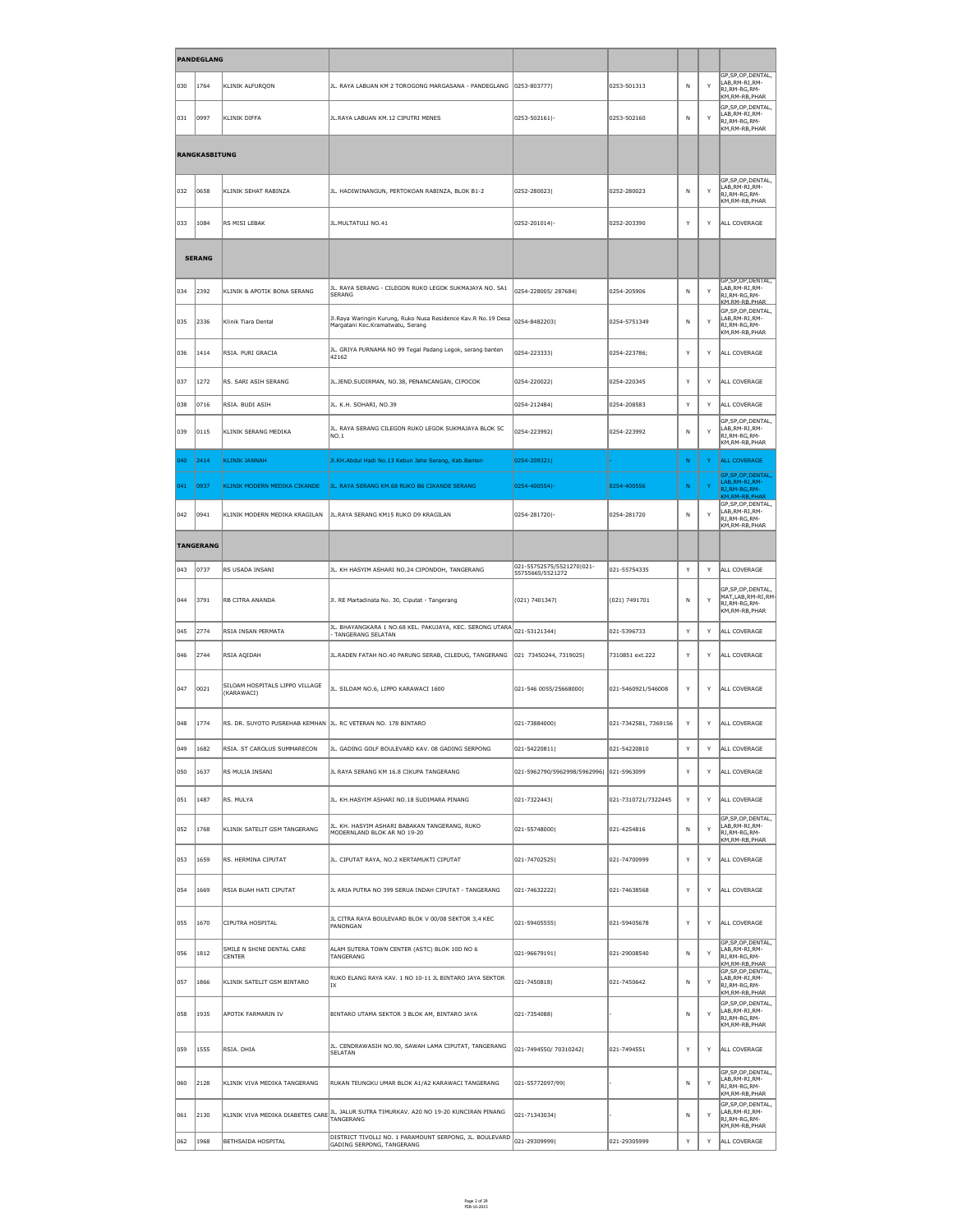|               | <b>PANDEGLANG</b>    |                                                               |                                                                                                   |                                               |                      |              |              |                                                                                      |
|---------------|----------------------|---------------------------------------------------------------|---------------------------------------------------------------------------------------------------|-----------------------------------------------|----------------------|--------------|--------------|--------------------------------------------------------------------------------------|
| 030           | 1764                 | KLINIK ALFURQON                                               | JL. RAYA LABUAN KM 2 TOROGONG MARGASANA - PANDEGLANG   0253-803777                                |                                               | 0253-501313          | N            | Y            | GP, SP, OP, DENTAL,<br>LAB, RM-RI, RM-<br>RJ, RM-RG, RM-<br>KM, RM-RB, PHAR          |
| 031           | 0997                 | KLINIK DIFFA                                                  | JL. RAYA LABUAN KM. 12 CIPUTRI MENES                                                              | 0253-502161 -                                 | 0253-502160          | N            | Y            | GP, SP, OP, DENTAL,<br>LAB, RM-RI, RM-<br>RJ, RM-RG, RM-<br>KM, RM-RB, PHAR          |
|               | <b>RANGKASBITUNG</b> |                                                               |                                                                                                   |                                               |                      |              |              |                                                                                      |
| 032           | 0658                 | KLINIK SEHAT RABINZA                                          | JL. HADIWINANGUN, PERTOKOAN RABINZA, BLOK B1-2                                                    | 0252-280023                                   | 0252-280023          | N            | Y            | GP, SP, OP, DENTAL,<br>LAB, RM-RI, RM-<br>RJ, RM-RG, RM-<br>KM, RM-RB, PHAR          |
| 033           | 1084                 | RS MISI LEBAK                                                 | JL. MULTATULI NO.41                                                                               | 0252-201014 -                                 | 0252-203390          | Y            | $\mathsf{Y}$ | ALL COVERAGE                                                                         |
|               | <b>SERANG</b>        |                                                               |                                                                                                   |                                               |                      |              |              |                                                                                      |
| 034           | 2392                 | KLINIK & APOTIK BONA SERANG                                   | JL. RAYA SERANG - CILEGON RUKO LEGOK SUKMAJAYA NO. 5A1<br>SERANG                                  | 0254-228005/287684                            | 0254-205906          | N            | Y            | GP, SP, OP, DENTAL,<br>LAB, RM-RI, RM-<br>RJ, RM-RG, RM-<br>KM RM-RB PHAR            |
| 035           | 2336                 | Klinik Tiara Dental                                           | Jl.Raya Waringin Kurung, Ruko Nusa Residence Kav.R No.19 Desa<br>Margatani Kec.Kramatwatu, Serang | 0254-84822031                                 | 0254-5751349         | N            | Y            | GP, SP, OP, DENTAL,<br>LAB, RM-RI, RM-<br>RJ, RM-RG, RM-<br>KM, RM-RB, PHAR          |
| 036           | 1414                 | RSIA. PURI GRACIA                                             | JL. GRIYA PURNAMA NO 99 Tegal Padang Legok, serang banten<br>42162                                | 0254-223333                                   | 0254-223786;         | Y            | Y            | ALL COVERAGE                                                                         |
| 037           | 1272                 | RS. SARI ASIH SERANG                                          | JL.JEND.SUDIRMAN, NO.38, PENANCANGAN, CIPOCOK                                                     | 0254-220022                                   | 0254-220345          |              | Y            | ALL COVERAGE                                                                         |
| 038           | 0716                 | RSIA. BUDI ASIH                                               | JL. K.H. SOHARI, NO.39                                                                            | 0254-212484                                   | 0254-208583          | Y            | $\mathsf{Y}$ | ALL COVERAGE                                                                         |
| 039           | $ 0115\rangle$       | KLINIK SERANG MEDIKA                                          | JL. RAYA SERANG CILEGON RUKO LEGOK SUKMAJAYA BLOK 5C<br>NO.1                                      | 0254-223992                                   | 0254-223992          | N            | Y            | GP, SP, OP, DENTAL,<br>LAB, RM-RI, RM-<br>RJ, RM-RG, RM-<br>KM, RM-RB, PHAR          |
| 040           | $\boxed{2414}$       | <b>KLINIK JANNAH</b>                                          | JI.KH.Abdul Hadi No.13 Kebun Jahe Serang, Kab.Banten                                              | 0254-209321                                   |                      | N            | $\mathsf{Y}$ | <b>ALL COVERAGE</b>                                                                  |
| $ 041\rangle$ | 0937                 | KLINIK MODERN MEDIKA CIKANDE                                  | JL. RAYA SERANG KM.68 RUKO B6 CIKANDE SERANG                                                      | $ 0254 - 400554 $ -                           | 0254-400556          | N            | $\mathbf{Y}$ | GP, SP, OP, DENTAL,<br>LAB, RM-RI, RM-<br>RJ, RM-RG, RM-<br>KM, RM-RB, PHAR          |
| 042           | 0941                 | KLINIK MODERN MEDIKA KRAGILAN                                 | JL.RAYA SERANG KM15 RUKO D9 KRAGILAN                                                              | 0254-281720 -                                 | 0254-281720          | N            | Y            | GP, SP, OP, DENTAL,<br>LAB, RM-RI, RM-<br>RJ, RM-RG, RM-<br>KM, RM-RB, PHAR          |
|               | <b>TANGERANG</b>     |                                                               |                                                                                                   |                                               |                      |              |              |                                                                                      |
| 043           | 0737                 | RS USADA INSANI                                               | JL. KH HASYIM ASHARI NO.24 CIPONDOH, TANGERANG                                                    | 021-55752575/5521270 021-<br>55755665/5521272 | 021-55754335         | Y            | Y            | ALL COVERAGE                                                                         |
| ∥044          | 3791                 | RB CITRA ANANDA                                               | Jl. RE Martadinata No. 30, Ciputat - Tangerang                                                    | (021) 7401347                                 | (021) 7491701        | $\mathsf{N}$ | Y            | GP,SP,OP,DENTAL,  <br>$\vert$ MAT,LAB,RM-RI,RM-<br>RJ, RM-RG, RM-<br>KM, RM-RB, PHAR |
| 045           | $\vert$ 2774         | RSIA INSAN PERMATA                                            | JL. BHAYANGKARA 1 NO.68 KEL. PAKUJAYA, KEC. SERONG UTARA 021-53121344<br>- TANGERANG SELATAN      |                                               | 021-5396733          | Y            | Y            | ALL COVERAGE                                                                         |
| 046           | 2744                 | RSIA AQIDAH                                                   | JL.RADEN FATAH NO.40 PARUNG SERAB, CILEDUG, TANGERANG                                             | 021 73450244, 7319025                         | 7310851 ext.222      | Y            | Y            | ALL COVERAGE                                                                         |
| 047           | 0021                 | SILOAM HOSPITALS LIPPO VILLAGE<br>(KARAWACI)                  | JL. SILOAM NO.6, LIPPO KARAWACI 1600                                                              | 021-546 0055/25668000                         | 021-5460921/546008   | Y            | Y            | ALL COVERAGE                                                                         |
| 1048          | 1774                 | RS. DR. SUYOTO PUSREHAB KEMHAN JL. RC VETERAN NO. 178 BINTARO |                                                                                                   | 021-73884000                                  | 021-7342581, 7369156 | Y            | $\mathsf{Y}$ | ALL COVERAGE                                                                         |
| 049           | 1682                 | RSIA. ST CAROLUS SUMMARECON                                   | JL. GADING GOLF BOULEVARD KAV. 08 GADING SERPONG                                                  | 021-54220811                                  | 021-54220810         | Y            | $\mathsf{Y}$ | ALL COVERAGE                                                                         |
| 050           | 1637                 | RS MULIA INSANI                                               | JL RAYA SERANG KM 16.8 CIKUPA TANGERANG                                                           | 021-5962790/5962998/5962996  021-5963099      |                      | Y            | Y            | ALL COVERAGE                                                                         |
| 051           | 1487                 | RS. MULYA                                                     | JL. KH.HASYIM ASHARI NO.18 SUDIMARA PINANG                                                        | 021-7322443                                   | 021-7310721/7322445  | Y            | Y            | ALL COVERAGE                                                                         |
| 052           | 1768                 | KLINIK SATELIT GSM TANGERANG                                  | JL. KH. HASYIM ASHARI BABAKAN TANGERANG, RUKO<br>MODERNLAND BLOK AR NO 19-20                      | 021-55748000                                  | 021-4254816          | N            | Y            | GP, SP, OP, DENTAL,<br>LAB, RM-RI, RM-<br>RJ, RM-RG, RM-<br>KM,RM-RB,PHAR            |
| 053           | 1659                 | RS. HERMINA CIPUTAT                                           | JL. CIPUTAT RAYA, NO.2 KERTAMUKTI CIPUTAT                                                         | 021-74702525                                  | 021-74700999         | Y            | $\mathsf{Y}$ | ALL COVERAGE                                                                         |
| 054           | 1669                 | RSIA BUAH HATI CIPUTAT                                        | JL ARIA PUTRA NO 399 SERUA INDAH CIPUTAT - TANGERANG                                              | 021-74632222                                  | 021-74638568         | Y            | Y            | ALL COVERAGE                                                                         |
| 055           | 1670                 | CIPUTRA HOSPITAL                                              | JL CITRA RAYA BOULEVARD BLOK V 00/08 SEKTOR 3,4 KEC<br>PANONGAN                                   | 021-59405555                                  | 021-59405678         | Y            | $\mathsf{Y}$ | ALL COVERAGE                                                                         |
| 056           | 1812                 | SMILE N SHINE DENTAL CARE<br><b>CENTER</b>                    | ALAM SUTERA TOWN CENTER (ASTC) BLOK 10D NO 6<br><b>TANGERANG</b>                                  | 021-96679191                                  | 021-29008540         | N            | Y            | GP, SP, OP, DENTAL,<br>LAB, RM-RI, RM-<br>RJ, RM-RG, RM-<br>KM, RM-RB, PHAR          |
| 057           | 1866                 | KLINIK SATELIT GSM BINTARO                                    | RUKO ELANG RAYA KAV. 1 NO 10-11 JL BINTARO JAYA SEKTOR<br> IX                                     | 021-7450818                                   | 021-7450642          | N            | Y            | GP, SP, OP, DENTAL,<br>LAB, RM-RI, RM-<br>RJ, RM-RG, RM-<br>KM, RM-RB, PHAR          |
| 058           | 1935                 | APOTIK FARMARIN IV                                            | BINTARO UTAMA SEKTOR 3 BLOK AM, BINTARO JAYA                                                      | 021-7354088                                   |                      | N            | Y            | GP, SP, OP, DENTAL,<br>LAB, RM-RI, RM-<br>RJ, RM-RG, RM-<br>KM, RM-RB, PHAR          |
| 059           | 1555                 | RSIA. DHIA                                                    | JL. CENDRAWASIH NO.90, SAWAH LAMA CIPUTAT, TANGERANG<br><b>SELATAN</b>                            | 021-7494550/ 70310242                         | 021-7494551          | Y            | Y            | ALL COVERAGE                                                                         |
| 060           | 2128                 | KLINIK VIVA MEDIKA TANGERANG                                  | RUKAN TEUNGKU UMAR BLOK A1/A2 KARAWACI TANGERANG                                                  | 021-55772097/99                               |                      | N            | Y            | GP, SP, OP, DENTAL,<br>LAB, RM-RI, RM-<br>RJ, RM-RG, RM-<br>KM, RM-RB, PHAR          |
| 061           | $ 2130\rangle$       |                                                               | KLINIK VIVA MEDIKA DIABETES CARE JL. JALUR SUTRA TIMURKAV. A20 NO 19-20 KUNCIRAN PINANG           | 021-71343034                                  |                      | N            |              | GP, SP, OP, DENTAL,<br>LAB, RM-RI, RM-<br>RJ, RM-RG, RM-<br>KM, RM-RB, PHAR          |
| 062           | 1968                 | BETHSAIDA HOSPITAL                                            | DISTRICT TIVOLLI NO. 1 PARAMOUNT SERPONG, JL. BOULEVARD<br>GADING SERPONG, TANGERANG              | 021-29309999                                  | 021-29305999         | Y            | Y            | ALL COVERAGE                                                                         |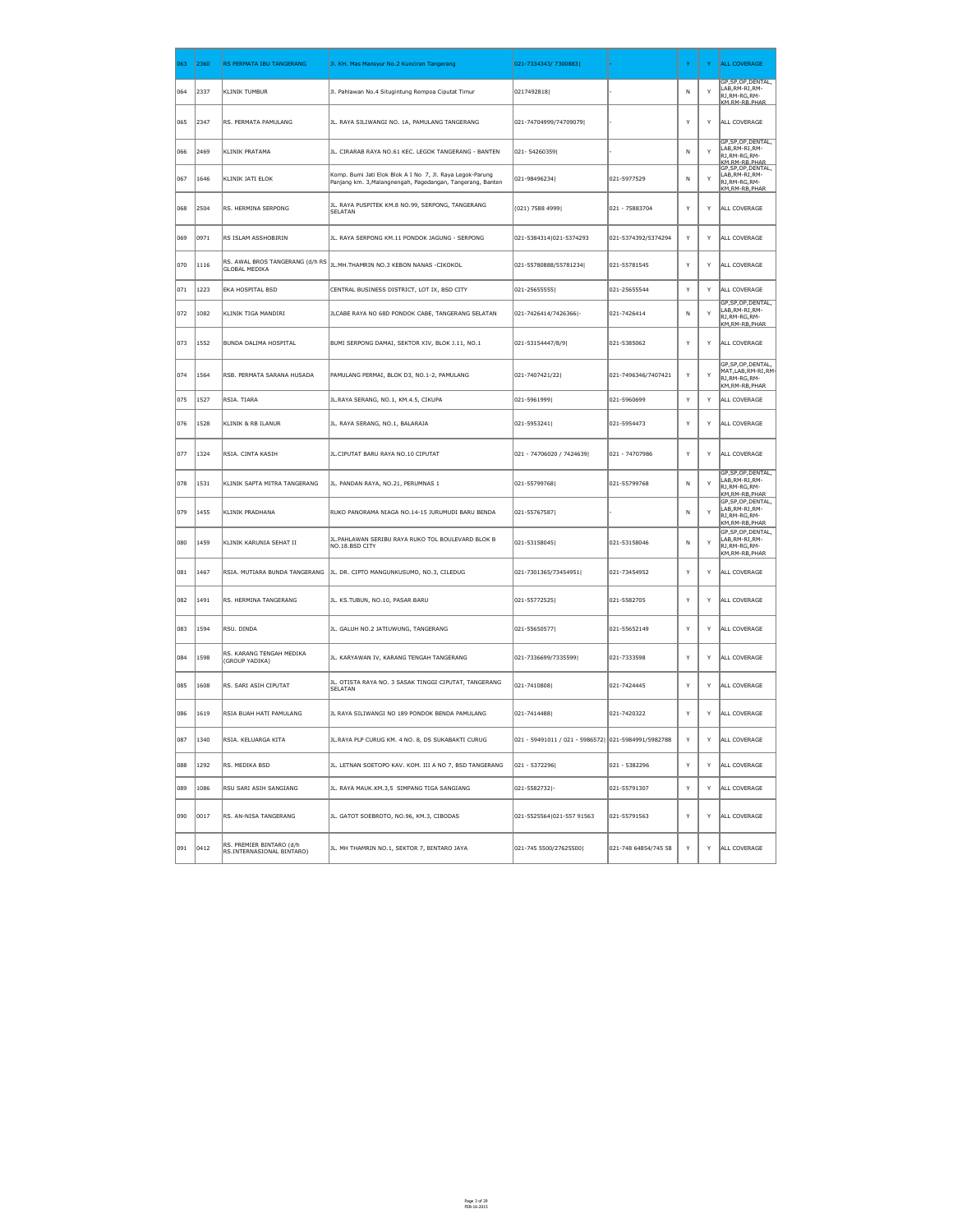| 063           | 2360           | RS PERMATA IBU TANGERANG                                | Jl. KH. Mas Mansyur No.2 Kunciran Tangerang                                                                             | 021-7334343/ 7300883                                |                      | Y            | Y. | <b>ALL COVERAGE</b>                                                              |
|---------------|----------------|---------------------------------------------------------|-------------------------------------------------------------------------------------------------------------------------|-----------------------------------------------------|----------------------|--------------|----|----------------------------------------------------------------------------------|
| 064           | 2337           | <b>KLINIK TUMBUR</b>                                    | Jl. Pahlawan No.4 Situgintung Rempoa Ciputat Timur                                                                      | 0217492818                                          |                      | N            | Y  | GP, SP, OP, DENTAL,<br>LAB, RM-RI, RM-<br>RJ, RM-RG, RM-<br>KM RM-RR PHAR        |
| 065           | 2347           | RS. PERMATA PAMULANG                                    | JL. RAYA SILIWANGI NO. 1A, PAMULANG TANGERANG                                                                           | 021-74704999/74709079                               |                      | Y            | Y  | ALL COVERAGE                                                                     |
| 066           | 2469           | KLINIK PRATAMA                                          | JL. CIRARAB RAYA NO.61 KEC. LEGOK TANGERANG - BANTEN                                                                    | 021-54260359                                        |                      | N            | Y  | GP, SP, OP, DENTAL,<br>LAB, RM-RI, RM-<br>RJ, RM-RG, RM-<br><b>KM RM-RR PHAR</b> |
| 067           | 1646           | KLINIK JATI ELOK                                        | Komp. Bumi Jati Elok Blok A I No 7, Jl. Raya Legok-Parung<br>Panjang km. 3, Malangnengah, Pagedangan, Tangerang, Banten | 021-98496234                                        | 021-5977529          | N            | Y  | GP, SP, OP, DENTAL,<br>LAB,RM-RI,RM-<br>RJ, RM-RG, RM-<br>KM, RM-RB, PHAR        |
| 068           | 2504           | RS. HERMINA SERPONG                                     | JL. RAYA PUSPITEK KM.8 NO.99, SERPONG, TANGERANG<br><b>SELATAN</b>                                                      | $(021)$ 7588 4999                                   | 021 - 75883704       | Y            | Y  | ALL COVERAGE                                                                     |
| 069           | 0971           | RS ISLAM ASSHOBIRIN                                     | JL. RAYA SERPONG KM.11 PONDOK JAGUNG - SERPONG                                                                          | 021-5384314 021-5374293                             | 021-5374392/5374294  | Y            | Y  | ALL COVERAGE                                                                     |
| 070           | 1116           | RS. AWAL BROS TANGERANG (d/h RS<br><b>GLOBAL MEDIKA</b> | JL.MH.THAMRIN NO.3 KEBON NANAS -CIKOKOL                                                                                 | 021-55780888/55781234                               | 021-55781545         | Y            | Y  | ALL COVERAGE                                                                     |
| $ 071\rangle$ | 1223           | <b>EKA HOSPITAL BSD</b>                                 | CENTRAL BUSINESS DISTRICT, LOT IX, BSD CITY                                                                             | 021-25655555                                        | 021-25655544         | Y            | Y  | ALL COVERAGE                                                                     |
| ∥072          | $ 1082\rangle$ | KLINIK TIGA MANDIRI                                     | JLCABE RAYA NO 68D PONDOK CABE, TANGERANG SELATAN                                                                       | 021-7426414/7426366 -                               | 021-7426414          | N            |    | GP, SP, OP, DENTAL,<br>LAB,RM-RI,RM-<br>RJ,RM-RG,RM-<br>KM.RM-RB.PHAR            |
| 073           | $ 1552\rangle$ | BUNDA DALIMA HOSPITAL                                   | BUMI SERPONG DAMAI, SEKTOR XIV, BLOK J.11, NO.1                                                                         | 021-53154447/8/9                                    | 021-5385062          | Y            | Y  | ALL COVERAGE                                                                     |
| 074           | 1564           | RSB. PERMATA SARANA HUSADA                              | PAMULANG PERMAI, BLOK D3, NO.1-2, PAMULANG                                                                              | 021-7407421/22                                      | 021-7496346/7407421  | Y            | Y  | GP, SP, OP, DENTAL,<br>MAT, LAB, RM-RI, RM-<br>RJ, RM-RG, RM-<br>KM, RM-RB, PHAR |
| 075           | 1527           | RSIA. TIARA                                             | JL.RAYA SERANG, NO.1, KM.4.5, CIKUPA                                                                                    | 021-5961999                                         | 021-5960699          | <sup>Y</sup> | Y  | ALL COVERAGE                                                                     |
| 076           | 1528           | KLINIK & RB ILANUR                                      | JL. RAYA SERANG, NO.1, BALARAJA                                                                                         | 021-5953241                                         | 021-5954473          | Y            | Y  | ALL COVERAGE                                                                     |
| $ 077\rangle$ | 1324           | RSIA. CINTA KASIH                                       | JL.CIPUTAT BARU RAYA NO.10 CIPUTAT                                                                                      | 021 - 74706020 / 7424639                            | 021 - 74707986       | Y            | Y  | ALL COVERAGE                                                                     |
| 078           | 1531           | KLINIK SAPTA MITRA TANGERANG                            | JL. PANDAN RAYA, NO.21, PERUMNAS 1                                                                                      | 021-55799768                                        | 021-55799768         | N            | Y  | GP, SP, OP, DENTAL,<br>LAB, RM-RI, RM-<br>RJ, RM-RG, RM-<br>KM.RM-RB.PHAR        |
| 079           | 1455           | KLINIK PRADHANA                                         | RUKO PANORAMA NIAGA NO.14-15 JURUMUDI BARU BENDA                                                                        | 021-55767587                                        |                      | N            | Y  | GP, SP, OP, DENTAL,<br>LAB, RM-RI, RM-<br>RJ, RM-RG, RM-<br>KM, RM-RB, PHAR      |
| 080           | $ 1459\rangle$ | KLINIK KARUNIA SEHAT II                                 | JL. PAHLAWAN SERIBU RAYA RUKO TOL BOULEVARD BLOK B<br>NO.18.BSD CITY                                                    | 021-53158045                                        | 021-53158046         | N            | Y  | GP, SP, OP, DENTAL,<br>LAB, RM-RI, RM-<br>RJ, RM-RG, RM-<br>KM, RM-RB, PHAR      |
| 081           | 1467           |                                                         | RSIA. MUTIARA BUNDA TANGERANG   JL. DR. CIPTO MANGUNKUSUMO, NO.3, CILEDUG                                               | 021-7301365/73454951                                | 021-73454952         | Y            | Y  | ALL COVERAGE                                                                     |
| 082           | 1491           | RS. HERMINA TANGERANG                                   | JL. KS.TUBUN, NO.10, PASAR BARU                                                                                         | $ 021 - 55772525 $                                  | 021-5582705          | Y            | Y  | ALL COVERAGE                                                                     |
| 083           | 1594           | RSU. DINDA                                              | JL. GALUH NO.2 JATIUWUNG, TANGERANG                                                                                     | 021-55650577                                        | 021-55652149         | Y            | Y  | ALL COVERAGE                                                                     |
| 084           | 1598           | RS. KARANG TENGAH MEDIKA<br>(GROUP YADIKA)              | JL. KARYAWAN IV, KARANG TENGAH TANGERANG                                                                                | 021-7336699/7335599                                 | 021-7333598          | Y            | Y  | ALL COVERAGE                                                                     |
| 085           | 1608           | RS. SARI ASIH CIPUTAT                                   | JL. OTISTA RAYA NO. 3 SASAK TINGGI CIPUTAT, TANGERANG<br><b>SELATAN</b>                                                 | 021-7410808                                         | 021-7424445          | Y            | Y  | ALL COVERAGE                                                                     |
| 086           | 1619           | RSIA BUAH HATI PAMULANG                                 | JL RAYA SILIWANGI NO 189 PONDOK BENDA PAMULANG                                                                          | 021-7414488                                         | 021-7420322          | Y            | Y  | ALL COVERAGE                                                                     |
| 087           | 1340           | RSIA. KELUARGA KITA                                     | JL. RAYA PLP CURUG KM. 4 NO. 8, DS SUKABAKTI CURUG                                                                      | 021 - 59491011 / 021 - 5986572  021-5984991/5982788 |                      | Y            | Y  | ALL COVERAGE                                                                     |
| 088           | 1292           | RS. MEDIKA BSD                                          | JL. LETNAN SOETOPO KAV. KOM. III A NO 7, BSD TANGERANG                                                                  | 021 - 5372296                                       | 021 - 5382296        | Y            | Y  | ALL COVERAGE                                                                     |
| 089           | 1086           | RSU SARI ASIH SANGIANG                                  | JL. RAYA MAUK.KM.3,5 SIMPANG TIGA SANGIANG                                                                              | 021-5582732 -                                       | 021-55791307         | Y            | Y  | ALL COVERAGE                                                                     |
| ∥090          | $ 0017\rangle$ | RS. AN-NISA TANGERANG                                   | JL. GATOT SOEBROTO, NO.96, KM.3, CIBODAS                                                                                | 021-5525564 021-557 91563                           | 021-55791563         | Y            | Y  | ALL COVERAGE                                                                     |
| 091           | $ 0412\rangle$ | RS. PREMIER BINTARO (d/h<br>RS.INTERNASIONAL BINTARO)   | JL. MH THAMRIN NO.1, SEKTOR 7, BINTARO JAYA                                                                             | 021-745 5500/27625500                               | 021-748 64854/745 58 | Y            | Y  | ALL COVERAGE                                                                     |

Page 3 of 29 FEB-16-2015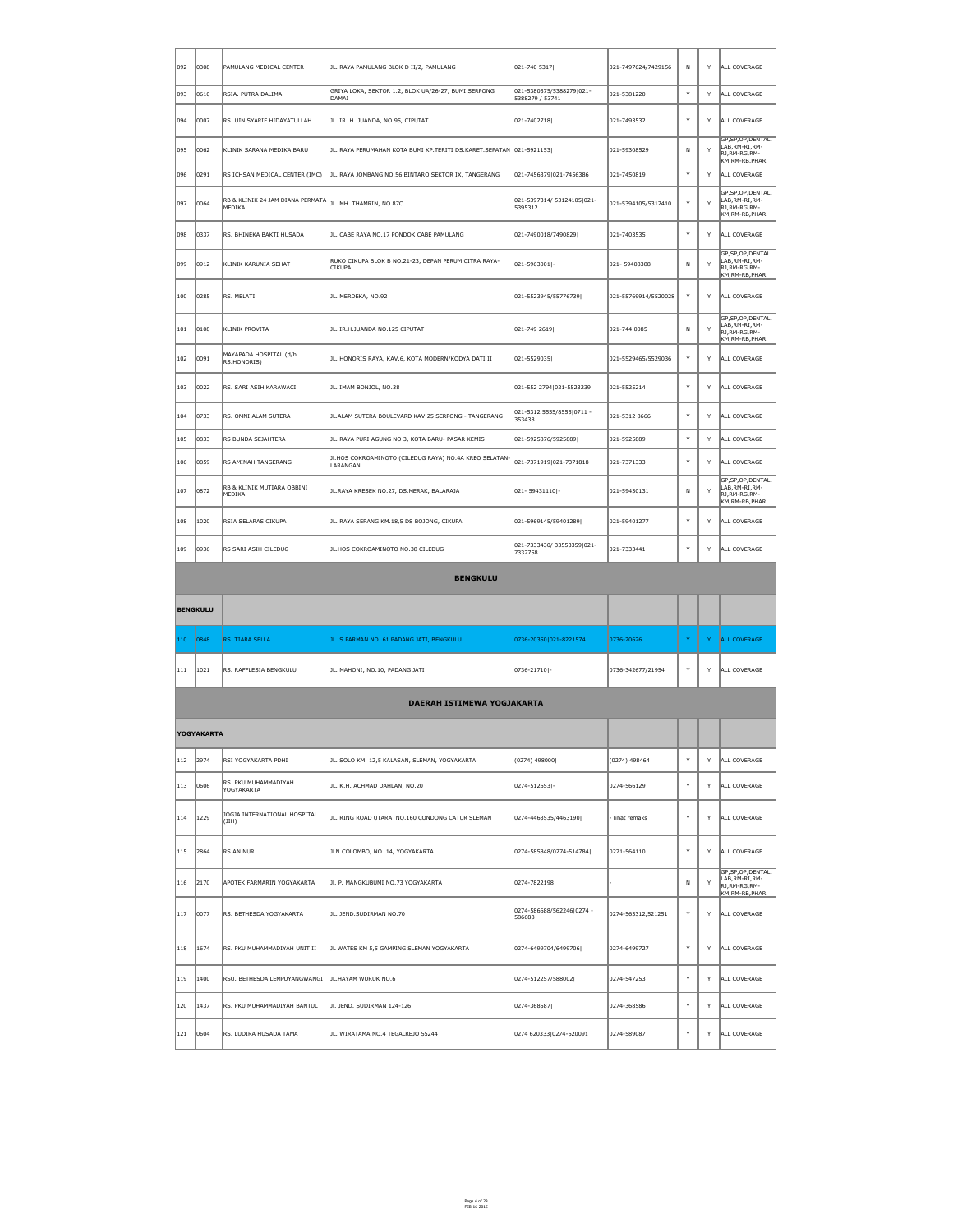| $ 092\rangle$   | 0308              | PAMULANG MEDICAL CENTER                    | JL. RAYA PAMULANG BLOK D II/2, PAMULANG                               | 021-740 5317                                | 021-7497624/7429156  | N. | Y            | ALL COVERAGE                                                                     |
|-----------------|-------------------|--------------------------------------------|-----------------------------------------------------------------------|---------------------------------------------|----------------------|----|--------------|----------------------------------------------------------------------------------|
| ∥093            | 0610              | RSIA. PUTRA DALIMA                         | GRIYA LOKA, SEKTOR 1.2, BLOK UA/26-27, BUMI SERPONG<br>DAMAI          | 021-5380375/5388279 021-<br>5388279 / 53741 | 021-5381220          | Y  | Y            | ALL COVERAGE                                                                     |
| ∥094            | 0007              | RS. UIN SYARIF HIDAYATULLAH                | JL. IR. H. JUANDA, NO.95, CIPUTAT                                     | 021-7402718                                 | 021-7493532          | Y  | Y            | ALL COVERAGE                                                                     |
| ∥095            | 0062              | KLINIK SARANA MEDIKA BARU                  | JL. RAYA PERUMAHAN KOTA BUMI KP.TERITI DS.KARET.SEPATAN 021-5921153   |                                             | 021-59308529         | N  | $\mathsf{Y}$ | GP, SP, OP, DENTAL,<br>LAB, RM-RI, RM-<br>RJ, RM-RG, RM-<br><b>KM RM-RR PHAR</b> |
| 1096            | 0291              | RS ICHSAN MEDICAL CENTER (IMC)             | JL. RAYA JOMBANG NO.56 BINTARO SEKTOR IX, TANGERANG                   | 021-7456379 021-7456386                     | 021-7450819          | Y  | Y            | ALL COVERAGE                                                                     |
| ∥097            | 0064              | RB & KLINIK 24 JAM DIANA PERMATA<br>MEDIKA | JL. MH. THAMRIN, NO.87C                                               | 021-5397314/ 53124105 021-<br>5395312       | 021-5394105/5312410  | Y  | Y            | GP, SP, OP, DENTAL,<br>LAB, RM-RI, RM-<br>RJ,RM-RG,RM-<br>KM, RM-RB, PHAR        |
| ∥098            | 0337              | RS. BHINEKA BAKTI HUSADA                   | JL. CABE RAYA NO.17 PONDOK CABE PAMULANG                              | 021-7490018/7490829                         | 021-7403535          | Y  | Y            | ALL COVERAGE                                                                     |
| ∥099            | 0912              | KLINIK KARUNIA SEHAT                       | RUKO CIKUPA BLOK B NO.21-23, DEPAN PERUM CITRA RAYA-<br><b>CIKUPA</b> | $ 021 - 5963001 $ -                         | 021-59408388         | N  | Y            | GP, SP, OP, DENTAL,<br>LAB, RM-RI, RM-<br>RJ,RM-RG,RM-<br>KM,RM-RB,PHAR          |
| 100             | 0285              | RS. MELATI                                 | JL. MERDEKA, NO.92                                                    | 021-5523945/55776739                        | 021-55769914/5520028 | Y  | Y            | ALL COVERAGE                                                                     |
| $ 101\rangle$   | 0108              | KLINIK PROVITA                             | JL. IR.H.JUANDA NO.125 CIPUTAT                                        | $ 021 - 749 2619 $                          | 021-744 0085         | N  | Y            | GP, SP, OP, DENTAL,<br>LAB, RM-RI, RM-<br>RJ,RM-RG,RM-<br>KM, RM-RB, PHAR        |
| 102             | 0091              | MAYAPADA HOSPITAL (d/h<br>RS.HONORIS)      | JL. HONORIS RAYA, KAV.6, KOTA MODERN/KODYA DATI II                    | 021-5529035                                 | 021-5529465/5529036  | Y  | Y            | ALL COVERAGE                                                                     |
| 103             | 0022              | RS. SARI ASIH KARAWACI                     | JL. IMAM BONJOL, NO.38                                                | 021-552 2794 021-5523239                    | 021-5525214          | Y  | Y            | ALL COVERAGE                                                                     |
| $ 104\rangle$   | 0733              | RS. OMNI ALAM SUTERA                       | JL.ALAM SUTERA BOULEVARD KAV.25 SERPONG - TANGERANG                   | 021-5312 5555/8555 0711 -<br>353438         | 021-5312 8666        | Y  | Y            | ALL COVERAGE                                                                     |
| 105             | 0833              | RS BUNDA SEJAHTERA                         | JL. RAYA PURI AGUNG NO 3, KOTA BARU- PASAR KEMIS                      | 021-5925876/5925889                         | 021-5925889          | Y  | Y            | ALL COVERAGE                                                                     |
| 106             | 0859              | RS AMINAH TANGERANG                        | JI.HOS COKROAMINOTO (CILEDUG RAYA) NO.4A KREO SELATAN-<br>LARANGAN    | 021-7371919 021-7371818                     | 021-7371333          | Y  | Y            | ALL COVERAGE                                                                     |
| 107             | 0872              | RB & KLINIK MUTIARA OBBINI<br>MEDIKA       | JL.RAYA KRESEK NO.27, DS.MERAK, BALARAJA                              | 021-59431110 -                              | 021-59430131         | N  | Y            | GP, SP, OP, DENTAL,<br>LAB, RM-RI, RM-<br>RJ, RM-RG, RM-<br>KM, RM-RB, PHAR      |
| 108             | 1020              | RSIA SELARAS CIKUPA                        | JL. RAYA SERANG KM.18,5 DS BOJONG, CIKUPA                             | 021-5969145/59401289                        | 021-59401277         | Y  | Y            | ALL COVERAGE                                                                     |
| 109             | 0936              | RS SARI ASIH CILEDUG                       | JL.HOS COKROAMINOTO NO.38 CILEDUG                                     | 021-7333430/33553359 021-<br>7332758        | 021-7333441          | Y  | Y            | ALL COVERAGE                                                                     |
|                 | <b>BENGKULU</b>   |                                            |                                                                       |                                             |                      |    |              |                                                                                  |
|                 |                   |                                            |                                                                       |                                             |                      |    |              |                                                                                  |
|                 | <b>BENGKULU</b>   |                                            |                                                                       |                                             |                      |    |              |                                                                                  |
| $ 110\rangle$   | 0848              | <b>RS. TIARA SELLA</b>                     | JL. S PARMAN NO. 61 PADANG JATI, BENGKULU                             | 0736-20350 021-8221574                      | 0736-20626           | Y. | Y.           | <b>ALL COVERAGE</b>                                                              |
| $\parallel$ 111 | 1021              | RS. RAFFLESIA BENGKULU                     | JL. MAHONI, NO.10, PADANG JATI                                        | $ 0736 - 21710 $ -                          | 0736-342677/21954    | Y  | Y            | ALL COVERAGE                                                                     |
|                 |                   |                                            | DAERAH ISTIMEWA YOGJAKARTA                                            |                                             |                      |    |              |                                                                                  |
|                 | <b>YOGYAKARTA</b> |                                            |                                                                       |                                             |                      |    |              |                                                                                  |
| $\vert$ 112     | 2974              | RSI YOGYAKARTA PDHI                        | JL. SOLO KM. 12,5 KALASAN, SLEMAN, YOGYAKARTA                         | $(0274)$ 498000                             | $(0274)$ 498464      | Y  | Y            | ALL COVERAGE                                                                     |
| $\vert$ 113     | 0606              | RS. PKU MUHAMMADIYAH<br>YOGYAKARTA         | JL. K.H. ACHMAD DAHLAN, NO.20                                         | 0274-512653 -                               | 0274-566129          | Y  | Y            | ALL COVERAGE                                                                     |
| $\vert$ 114     | 1229              | JOGJA INTERNATIONAL HOSPITAL<br>$ $ (JIH)  | JL. RING ROAD UTARA NO.160 CONDONG CATUR SLEMAN                       | $ 0274 - 4463535/4463190 $                  | - lihat remaks       | Y  | Y            | ALL COVERAGE                                                                     |
| $\vert$ 115     | 2864              | RS.AN NUR                                  | JLN.COLOMBO, NO. 14, YOGYAKARTA                                       | 0274-585848/0274-514784                     | 0271-564110          | Y  | Y            | ALL COVERAGE                                                                     |
| $\parallel$ 116 | 2170              | APOTEK FARMARIN YOGYAKARTA                 | JI. P. MANGKUBUMI NO.73 YOGYAKARTA                                    | 0274-7822198                                |                      | N  | Y            | GP, SP, OP, DENTAL,<br>LAB, RM-RI, RM-<br>RJ,RM-RG,RM-<br>KM, RM-RB, PHAR        |
| $\vert$ 117     | 0077              | RS. BETHESDA YOGYAKARTA                    | JL. JEND.SUDIRMAN NO.70                                               | 0274-586688/562246 0274 -<br>586688         | 0274-563312,521251   | Y  | Y            | ALL COVERAGE                                                                     |
| $\parallel$ 118 | 1674              | RS. PKU MUHAMMADIYAH UNIT II               | JL WATES KM 5,5 GAMPING SLEMAN YOGYAKARTA                             | 0274-6499704/6499706                        | 0274-6499727         | Y  | Y            | ALL COVERAGE                                                                     |
| 119             | 1400              | RSU. BETHESDA LEMPUYANGWANGI               | JL.HAYAM WURUK NO.6                                                   | 0274-512257/588002                          | 0274-547253          | Y  | Y            | ALL COVERAGE                                                                     |
| 120             | 1437              | RS. PKU MUHAMMADIYAH BANTUL                | JI. JEND. SUDIRMAN 124-126                                            | 0274-368587                                 | 0274-368586          | Y  | Y            | ALL COVERAGE                                                                     |

Page 4 of 29 FEB-16-2015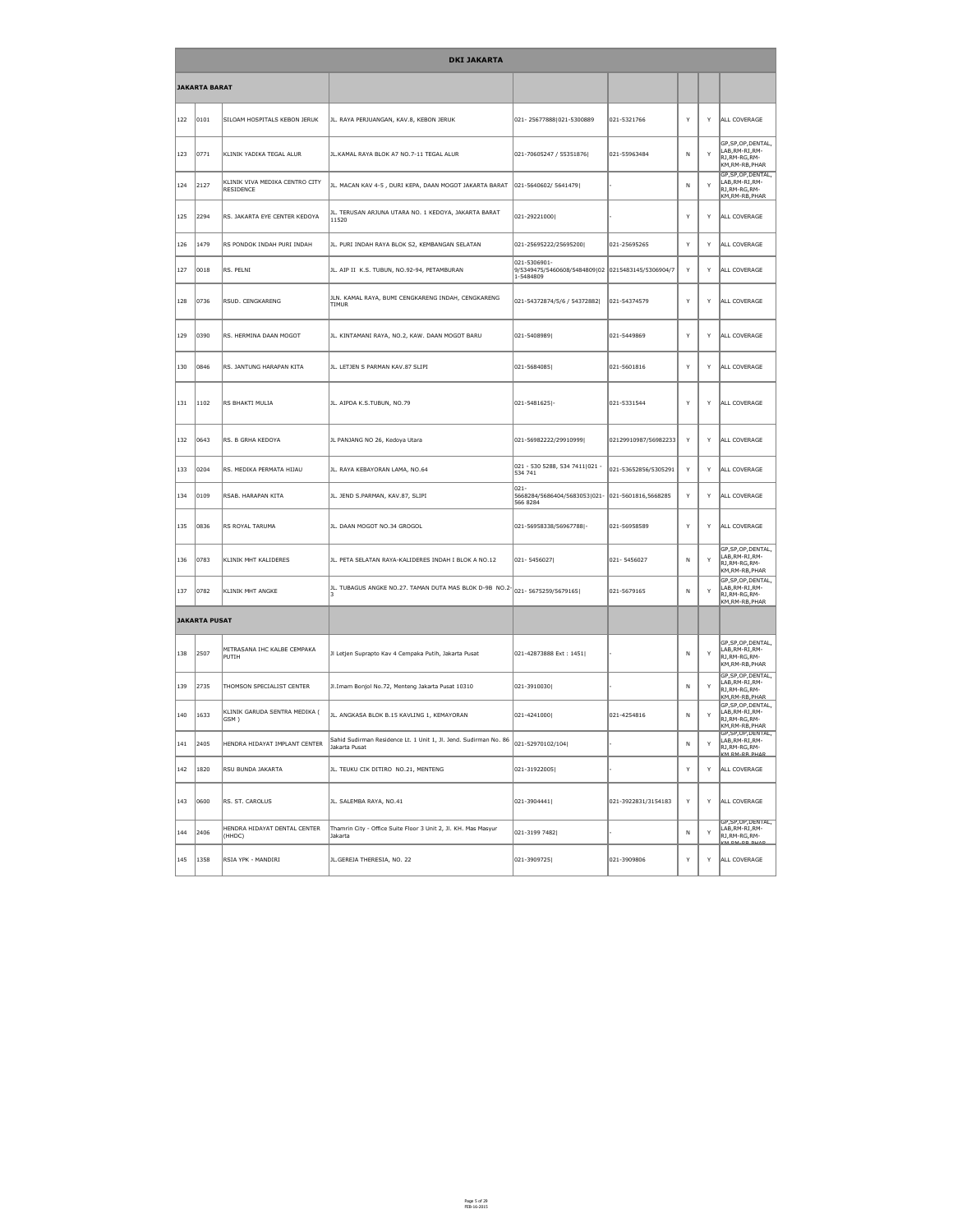|               |                      | <b>DKI JAKARTA</b>                          |                                                                                        |                                                                                |                      |              |   |                                                                                         |  |  |  |
|---------------|----------------------|---------------------------------------------|----------------------------------------------------------------------------------------|--------------------------------------------------------------------------------|----------------------|--------------|---|-----------------------------------------------------------------------------------------|--|--|--|
|               | <b>JAKARTA BARAT</b> |                                             |                                                                                        |                                                                                |                      |              |   |                                                                                         |  |  |  |
| 122           | 0101                 | SILOAM HOSPITALS KEBON JERUK                | JL. RAYA PERJUANGAN, KAV.8, KEBON JERUK                                                | 021-25677888 021-5300889                                                       | 021-5321766          | Y            | Y | ALL COVERAGE                                                                            |  |  |  |
| 123           | 0771                 | KLINIK YADIKA TEGAL ALUR                    | JL.KAMAL RAYA BLOK A7 NO.7-11 TEGAL ALUR                                               | 021-70605247 / 55351876                                                        | 021-55963484         | $\mathsf{N}$ | Y | GP, SP, OP, DENTAL,<br>LAB, RM-RI, RM-<br>RJ,RM-RG,RM-<br>KM,RM-RB,PHAR                 |  |  |  |
| 124           | 2127                 | KLINIK VIVA MEDIKA CENTRO CITY<br>RESIDENCE | JL. MACAN KAV 4-5, DURI KEPA, DAAN MOGOT JAKARTA BARAT                                 | 021-5640602/ 5641479                                                           |                      | $\mathsf{N}$ | Y | GP, SP, OP, DENTAL,<br>LAB, RM-RI, RM-<br>RJ,RM-RG,RM-<br>KM,RM-RB,PHAR                 |  |  |  |
| 125           | 2294                 | RS. JAKARTA EYE CENTER KEDOYA               | JL. TERUSAN ARJUNA UTARA NO. 1 KEDOYA, JAKARTA BARAT<br>11520                          | 021-29221000                                                                   |                      | Y            | Y | ALL COVERAGE                                                                            |  |  |  |
| 126           | 1479                 | RS PONDOK INDAH PURI INDAH                  | JL. PURI INDAH RAYA BLOK S2, KEMBANGAN SELATAN                                         | 021-25695222/25695200                                                          | 021-25695265         | Y            | Y | ALL COVERAGE                                                                            |  |  |  |
| 127           | 0018                 | RS. PELNI                                   | JL. AIP II K.S. TUBUN, NO.92-94, PETAMBURAN                                            | 021-5306901-<br>9/5349475/5460608/5484809 02 0215483145/5306904/7<br>1-5484809 |                      | Y            | Y | ALL COVERAGE                                                                            |  |  |  |
| 128           | 0736                 | RSUD. CENGKARENG                            | JLN. KAMAL RAYA, BUMI CENGKARENG INDAH, CENGKARENG<br><b>TIMUR</b>                     | 021-54372874/5/6 / 54372882                                                    | 021-54374579         | Y            | Y | ALL COVERAGE                                                                            |  |  |  |
| 129           | 0390                 | RS. HERMINA DAAN MOGOT                      | JL. KINTAMANI RAYA, NO.2, KAW. DAAN MOGOT BARU                                         | 021-5408989                                                                    | 021-5449869          | Y            | Y | ALL COVERAGE                                                                            |  |  |  |
| 130           | 0846                 | RS. JANTUNG HARAPAN KITA                    | JL. LETJEN S PARMAN KAV.87 SLIPI                                                       | 021-5684085                                                                    | 021-5601816          | Y            | Y | ALL COVERAGE                                                                            |  |  |  |
| 131           | $ 1102\rangle$       | RS BHAKTI MULIA                             | JL. AIPDA K.S.TUBUN, NO.79                                                             | $ 021 - 5481625 $ -                                                            | 021-5331544          | Y            | Y | ALL COVERAGE                                                                            |  |  |  |
| 132           | 0643                 | RS. B GRHA KEDOYA                           | JL PANJANG NO 26, Kedoya Utara                                                         | 021-56982222/29910999                                                          | 02129910987/56982233 | Y            | Y | ALL COVERAGE                                                                            |  |  |  |
| 133           | 0204                 | RS. MEDIKA PERMATA HIJAU                    | JL. RAYA KEBAYORAN LAMA, NO.64                                                         | 021 - 530 5288, 534 7411 021 -<br>534 741                                      | 021-53652856/5305291 | Y            | Y | ALL COVERAGE                                                                            |  |  |  |
| 134           | 0109                 | RSAB. HARAPAN KITA                          | JL. JEND S.PARMAN, KAV.87, SLIPI                                                       | $ 021 -$<br>5668284/5686404/5683053 021- 021-5601816,5668285<br>566 8284       |                      | Y            | Y | ALL COVERAGE                                                                            |  |  |  |
| 135           | 0836                 | <b>RS ROYAL TARUMA</b>                      | JL. DAAN MOGOT NO.34 GROGOL                                                            | 021-56958338/56967788 -                                                        | 021-56958589         | Y            | Y | ALL COVERAGE                                                                            |  |  |  |
| 136           | 0783                 | KLINIK MHT KALIDERES                        | JL. PETA SELATAN RAYA-KALIDERES INDAH I BLOK A NO.12                                   | 021-5456027                                                                    | 021-5456027          | $\mathsf{N}$ | Y | GP, SP, OP, DENTAL,<br>LAB, RM-RI, RM-<br>RJ, RM-RG, RM-<br>KM, RM-RB, PHAR             |  |  |  |
| 137           | 0782                 | <b>KLINIK MHT ANGKE</b>                     | JL. TUBAGUS ANGKE NO.27. TAMAN DUTA MAS BLOK D-9B $\,$ NO.2- $\,$ 021- 5675259/5679165 |                                                                                | 021-5679165          | N            | Y | GP, SP, OP, DENTAL,<br>LAB, RM-RI, RM-<br>RJ, RM-RG, RM-<br>KM,RM-RB,PHAR               |  |  |  |
|               | <b>JAKARTA PUSAT</b> |                                             |                                                                                        |                                                                                |                      |              |   |                                                                                         |  |  |  |
| 138           | 2507                 | MITRASANA IHC KALBE CEMPAKA<br> PUTIH       | Jl Letjen Suprapto Kav 4 Cempaka Putih, Jakarta Pusat                                  | 021-42873888 Ext: 1451                                                         |                      | $\mathsf{N}$ | Y | GP, SP, OP, DENTAL,<br>LAB, RM-RI, RM-<br>RJ, RM-RG, RM-<br>KM, RM-RB, PHAR             |  |  |  |
| 139           | 2735                 | THOMSON SPECIALIST CENTER                   | Jl.Imam Bonjol No.72, Menteng Jakarta Pusat 10310                                      | 021-3910030                                                                    |                      | $\mathsf{N}$ | Y | GP, SP, OP, DENTAL,<br>LAB, RM-RI, RM-<br>RJ, RM-RG, RM-<br>KM, RM-RB, PHAR             |  |  |  |
| 140           | 1633                 | KLINIK GARUDA SENTRA MEDIKA (<br>GSM)       | JL. ANGKASA BLOK B.15 KAVLING 1, KEMAYORAN                                             | 021-4241000                                                                    | 021-4254816          | N            | Y | GP, SP, OP, DENTAL,<br>LAB, RM-RI, RM-<br>RJ, RM-RG, RM-<br>KM, RM-RB, PHAR             |  |  |  |
| 141           | 2405                 | HENDRA HIDAYAT IMPLANT CENTER               | Sahid Sudirman Residence Lt. 1 Unit 1, Jl. Jend. Sudirman No. 86<br>Jakarta Pusat      | 021-52970102/104                                                               |                      | N            | Y | <b>GP, SP, OP, DENTAL,</b><br>LAB, RM-RI, RM-<br>RJ, RM-RG, RM-<br><b>KM RM-RR PHAR</b> |  |  |  |
| $ 142\rangle$ | 1820                 | <b>RSU BUNDA JAKARTA</b>                    | JL. TEUKU CIK DITIRO NO.21, MENTENG                                                    | 021-31922005                                                                   |                      | Y            | Y | ALL COVERAGE                                                                            |  |  |  |
| 143           | 0600                 | RS. ST. CAROLUS                             | JL. SALEMBA RAYA, NO.41                                                                | 021-3904441                                                                    | 021-3922831/3154183  | Y            | Y | ALL COVERAGE                                                                            |  |  |  |
| 144           | 2406                 | HENDRA HIDAYAT DENTAL CENTER<br>(HHDC)      | Thamrin City - Office Suite Floor 3 Unit 2, Jl. KH. Mas Masyur<br>Jakarta              | 021-3199 7482                                                                  |                      | N            | Y | GP, SP, OP, DENTAL,<br>LAB, RM-RI, RM-<br>RJ,RM-RG,RM-<br><b><i>KM DM DR DHAD</i></b>   |  |  |  |
| 145           | 1358                 | RSIA YPK - MANDIRI                          | JL.GEREJA THERESIA, NO. 22                                                             | $ 021 - 3909725 $                                                              | 021-3909806          | Y            | Y | ALL COVERAGE                                                                            |  |  |  |

Page 5 of 29 FEB-16-2015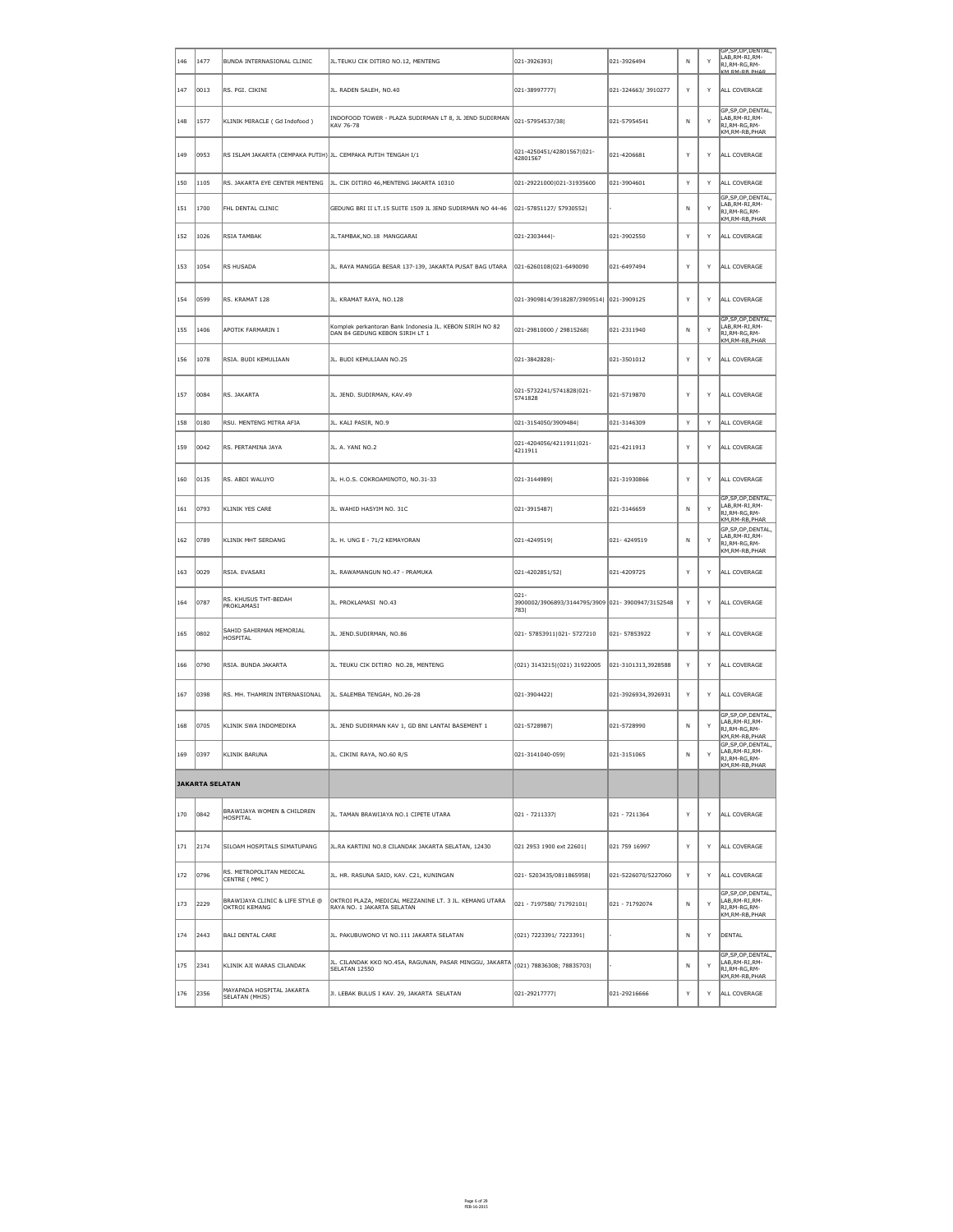| $ 146\rangle$ | 1477                   | BUNDA INTERNASIONAL CLINIC                                    | JL. TEUKU CIK DITIRO NO.12, MENTENG                                                                                      | $ 021 - 3926393 $                                                    | 021-3926494         | N            | Y | GP, SP, OP, DENTAL,<br>LAB, RM-RI, RM-<br>RJ, RM-RG, RM-<br>KM_RM-RB_PHAR   |
|---------------|------------------------|---------------------------------------------------------------|--------------------------------------------------------------------------------------------------------------------------|----------------------------------------------------------------------|---------------------|--------------|---|-----------------------------------------------------------------------------|
| 147           | $ 0013\rangle$         | RS. PGI. CIKINI                                               | JL. RADEN SALEH, NO.40                                                                                                   | 021-38997777                                                         | 021-324663/3910277  | Y            | Y | ALL COVERAGE                                                                |
| 148           | 1577                   | KLINIK MIRACLE (Gd Indofood)                                  | INDOFOOD TOWER - PLAZA SUDIRMAN LT 8, JL JEND SUDIRMAN<br>KAV 76-78                                                      | 021-57954537/38                                                      | 021-57954541        | $\mathsf{N}$ | Y | GP, SP, OP, DENTAL,<br>LAB, RM-RI, RM-<br>RJ, RM-RG, RM-<br>KM, RM-RB, PHAR |
| 149           | 0953                   | RS ISLAM JAKARTA (CEMPAKA PUTIH) JL. CEMPAKA PUTIH TENGAH I/1 |                                                                                                                          | 021-4250451/42801567 021-<br>42801567                                | 021-4206681         | Y            | Y | ALL COVERAGE                                                                |
| 150           | $ 1105\rangle$         | RS. JAKARTA EYE CENTER MENTENG                                | JL. CIK DITIRO 46, MENTENG JAKARTA 10310                                                                                 | 021-29221000 021-31935600                                            | 021-3904601         | Y            | Y | ALL COVERAGE                                                                |
| 151           | 1700                   | FHL DENTAL CLINIC                                             | GEDUNG BRI II LT.15 SUITE 1509 JL JEND SUDIRMAN NO 44-46                                                                 | 021-57851127/ 57930552                                               |                     | N            | Y | GP, SP, OP, DENTAL,<br>LAB, RM-RI, RM-<br>RJ, RM-RG, RM-<br>KM, RM-RB, PHAR |
| 152           | 1026                   | RSIA TAMBAK                                                   | JL.TAMBAK, NO.18 MANGGARAI                                                                                               | 021-2303444 -                                                        | 021-3902550         | Y            | Y | ALL COVERAGE                                                                |
| 153           | 1054                   | RS HUSADA                                                     | JL. RAYA MANGGA BESAR 137-139, JAKARTA PUSAT BAG UTARA                                                                   | 021-6260108 021-6490090                                              | 021-6497494         | Y            | Y | ALL COVERAGE                                                                |
| 154           | 0599                   | RS. KRAMAT 128                                                | JL. KRAMAT RAYA, NO.128                                                                                                  | 021-3909814/3918287/3909514  021-3909125                             |                     | Y            | Y | ALL COVERAGE                                                                |
| 155           | 1406                   | APOTIK FARMARIN I                                             | Komplek perkantoran Bank Indonesia JL. KEBON SIRIH NO 82<br>DAN 84 GEDUNG KEBON SIRIH LT 1                               | 021-29810000 / 29815268                                              | 021-2311940         | $\mathsf{N}$ | Y | GP, SP, OP, DENTAL,<br>LAB, RM-RI, RM-<br>RJ, RM-RG, RM-<br>KM, RM-RB, PHAR |
| 156           | 1078                   | RSIA. BUDI KEMULIAAN                                          | JL. BUDI KEMULIAAN NO.25                                                                                                 | 021-3842828 -                                                        | 021-3501012         | Y            | Y | ALL COVERAGE                                                                |
| 157           | 0084                   | RS. JAKARTA                                                   | JL. JEND. SUDIRMAN, KAV.49                                                                                               | 021-5732241/5741828 021-<br>5741828                                  | 021-5719870         | Y            | Y | ALL COVERAGE                                                                |
| 158           | 0180                   | RSU. MENTENG MITRA AFIA                                       | JL. KALI PASIR, NO.9                                                                                                     | 021-3154050/3909484                                                  | 021-3146309         | Y            | Y | ALL COVERAGE                                                                |
| 159           | 0042                   | RS. PERTAMINA JAYA                                            | JL. A. YANI NO.2                                                                                                         | 021-4204056/4211911 021-<br>4211911                                  | 021-4211913         | Y            | Y | ALL COVERAGE                                                                |
| 160           | 0135                   | RS. ABDI WALUYO                                               | JL. H.O.S. COKROAMINOTO, NO.31-33                                                                                        | 021-3144989                                                          | 021-31930866        | Y            | Y | ALL COVERAGE                                                                |
| 161           | 0793                   | KLINIK YES CARE                                               | JL. WAHID HASYIM NO. 31C                                                                                                 | 021-3915487                                                          | 021-3146659         | $\mathsf{N}$ | Y | GP, SP, OP, DENTAL,<br>LAB, RM-RI, RM-<br>RJ, RM-RG, RM-<br>KM.RM-RB.PHAR   |
| 162           | 0789                   | KLINIK MHT SERDANG                                            | JL. H. UNG E - 71/2 KEMAYORAN                                                                                            | 021-4249519                                                          | 021-4249519         | N            | Y | GP, SP, OP, DENTAL,<br>LAB, RM-RI, RM-<br>RJ, RM-RG, RM-<br>KM, RM-RB, PHAR |
| 163           | 0029                   | RSIA. EVASARI                                                 | JL. RAWAMANGUN NO.47 - PRAMUKA                                                                                           | 021-4202851/52                                                       | 021-4209725         | Y            | Y | ALL COVERAGE                                                                |
| 164           | 0787                   | RS. KHUSUS THT-BEDAH<br>PROKLAMASI                            | JL. PROKLAMASI NO.43                                                                                                     | $ 021 -$<br>3900002/3906893/3144795/3909 021-3900947/3152548<br>7831 |                     | Y            | Y | ALL COVERAGE                                                                |
| 165           | 0802                   | SAHID SAHIRMAN MEMORIAL<br>HOSPITAL                           | JL. JEND.SUDIRMAN, NO.86                                                                                                 | 021-57853911 021-5727210                                             | 021-57853922        | Y            | Y | ALL COVERAGE                                                                |
| 166           | 0790                   | RSIA. BUNDA JAKARTA                                           | JL. TEUKU CIK DITIRO NO.28, MENTENG                                                                                      | (021) 3143215(021) 31922005                                          | 021-3101313,3928588 | Y            | Y | ALL COVERAGE                                                                |
| 167           | 0398                   | RS. MH. THAMRIN INTERNASIONAL                                 | JL. SALEMBA TENGAH, NO.26-28                                                                                             | 021-3904422                                                          | 021-3926934,3926931 | Y            | Y | ALL COVERAGE                                                                |
| 168           | 0705                   | KLINIK SWA INDOMEDIKA                                         | JL. JEND SUDIRMAN KAV 1, GD BNI LANTAI BASEMENT 1                                                                        | 021-5728987                                                          | 021-5728990         | $\mathsf{N}$ | Y | GP, SP, OP, DENTAL,<br>LAB, RM-RI, RM-<br>RJ, RM-RG, RM-<br>KM, RM-RB, PHAR |
| 169           | 0397                   | KLINIK BARUNA                                                 | JL. CIKINI RAYA, NO.60 R/S                                                                                               | $ 021 - 3141040 - 059 $                                              | 021-3151065         | N            | Y | GP, SP, OP, DENTAL,<br>LAB, RM-RI, RM-<br>RJ, RM-RG, RM-<br>KM, RM-RB, PHAR |
|               | <b>JAKARTA SELATAN</b> |                                                               |                                                                                                                          |                                                                      |                     |              |   |                                                                             |
| 170           | 0842                   | BRAWIJAYA WOMEN & CHILDREN<br>HOSPITAL                        | JL. TAMAN BRAWIJAYA NO.1 CIPETE UTARA                                                                                    | $ 021 - 7211337 $                                                    | 021 - 7211364       | Y            | Y | ALL COVERAGE                                                                |
| $ 171\rangle$ | $ 2174\rangle$         | SILOAM HOSPITALS SIMATUPANG                                   | JL.RA KARTINI NO.8 CILANDAK JAKARTA SELATAN, 12430                                                                       | 021 2953 1900 ext 22601                                              | 021 759 16997       | Y            | Y | ALL COVERAGE                                                                |
| 172           | 0796                   | RS. METROPOLITAN MEDICAL<br>CENTRE (MMC)                      | JL. HR. RASUNA SAID, KAV. C21, KUNINGAN                                                                                  | 021-5203435/0811865958                                               | 021-5226070/5227060 | Y            | Y | ALL COVERAGE                                                                |
| 173           | 2229                   | BRAWIJAYA CLINIC & LIFE STYLE @<br>OKTROI KEMANG              | OKTROI PLAZA, MEDICAL MEZZANINE LT. 3 JL. KEMANG UTARA<br>RAYA NO. 1 JAKARTA SELATAN                                     | $ 021 - 7197580 / 71792101 $                                         | 021 - 71792074      | N            | Y | GP, SP, OP, DENTAL,<br>LAB, RM-RI, RM-<br>RJ, RM-RG, RM-<br>KM,RM-RB,PHAR   |
| $ 174\rangle$ | $ 2443\rangle$         | BALI DENTAL CARE                                              | JL. PAKUBUWONO VI NO.111 JAKARTA SELATAN                                                                                 | (021) 7223391/ 7223391                                               |                     | N.           | Y | DENTAL                                                                      |
| 175           | 2341                   | KLINIK AJI WARAS CILANDAK                                     | JL. CILANDAK KKO NO.45A, RAGUNAN, PASAR MINGGU, JAKARTA $\left\vert_{(021)}$ 78836308; 78835703 <br><b>SELATAN 12550</b> |                                                                      |                     | N            | Y | GP, SP, OP, DENTAL,<br>LAB, RM-RI, RM-<br>RJ, RM-RG, RM-<br>KM, RM-RB, PHAR |
| 176           | 2356                   | MAYAPADA HOSPITAL JAKARTA<br>SELATAN (MHJS)                   | JI. LEBAK BULUS I KAV. 29, JAKARTA SELATAN                                                                               | $ 021 - 29217777 $                                                   | 021-29216666        | Y            | Y | ALL COVERAGE                                                                |

Page 6 of 29 FEB-16-2015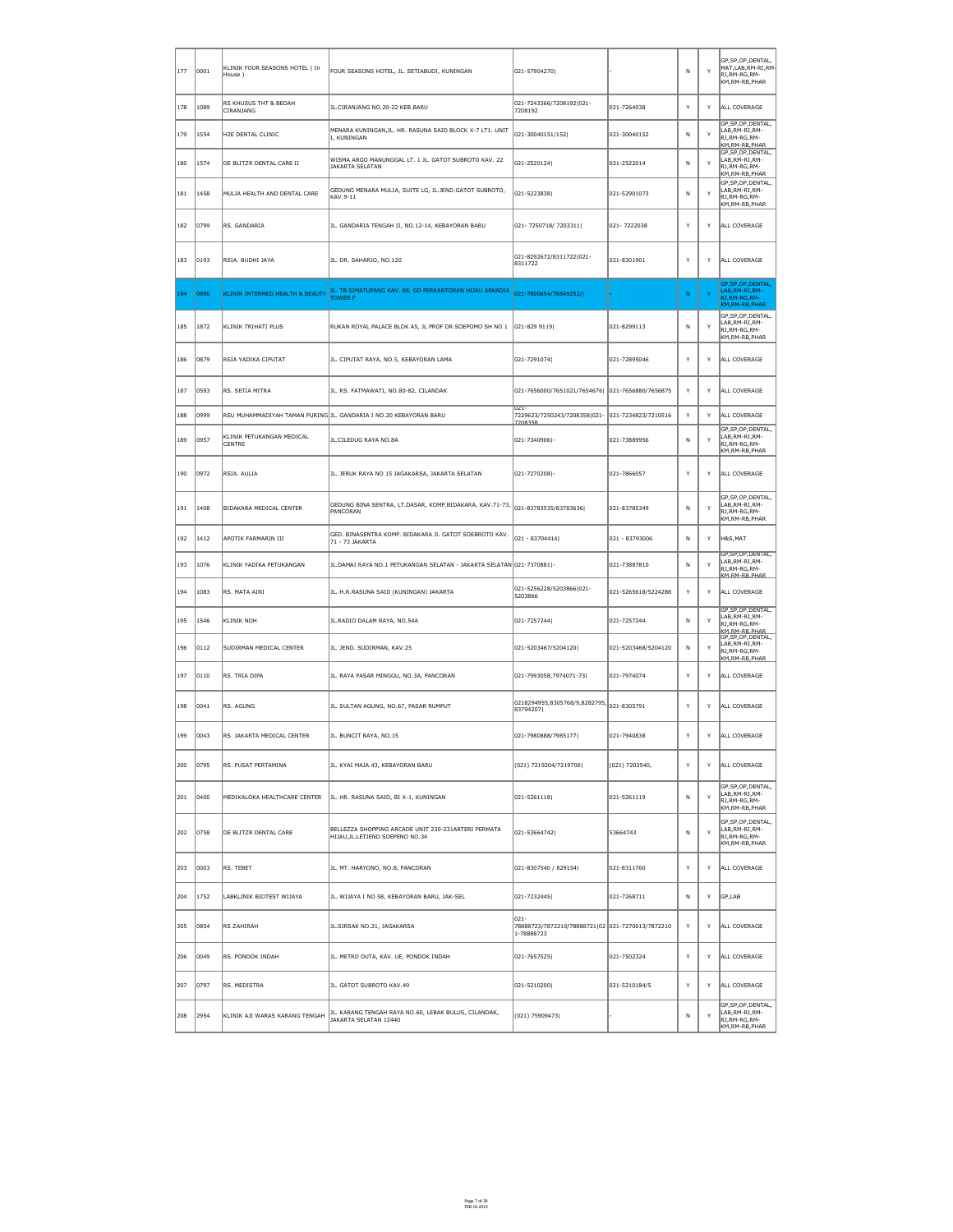| $ 177\rangle$ | 0001             | KLINIK FOUR SEASONS HOTEL ( In<br>$ $ House $ $ | FOUR SEASONS HOTEL, JL. SETIABUDI, KUNINGAN                                                                    | 021-57904270                                                               |                     | N | Y            | GP, SP, OP, DENTAL,<br>$\vert$ MAT,LAB,RM-RI,RM-<br>RJ, RM-RG, RM-<br>KM,RM-RB,PHAR |
|---------------|------------------|-------------------------------------------------|----------------------------------------------------------------------------------------------------------------|----------------------------------------------------------------------------|---------------------|---|--------------|-------------------------------------------------------------------------------------|
| 178           | 1089             | RS KHUSUS THT & BEDAH<br><b>CIRANJANG</b>       | JL.CIRANJANG NO.20-22 KEB.BARU                                                                                 | 021-7243366/7208192 021-<br>7208192                                        | 021-7264038         | Y | Y            | ALL COVERAGE                                                                        |
| 179           | 1554             | H2E DENTAL CLINIC                               | MENARA KUNINGAN, JL. HR. RASUNA SAID BLOCK X-7 LT1. UNIT<br>I, KUNINGAN                                        | $ 021 - 30040151/152 $                                                     | 021-30040152        | N | $\mathsf{Y}$ | GP, SP, OP, DENTAL,<br>LAB, RM-RI, RM-<br>RJ, RM-RG, RM-<br>KM, RM-RB, PHAR         |
| 180           | 1574             | DE BLITZR DENTAL CARE II                        | WISMA ARGO MANUNGGAL LT. 1 JL. GATOT SUBROTO KAV. 22<br><b>JAKARTA SELATAN</b>                                 | 021-2520124                                                                | 021-2522014         | N | Y            | GP, SP, OP, DENTAL,<br>LAB, RM-RI, RM-<br>RJ,RM-RG,RM-<br>KM, RM-RB, PHAR           |
| 181           | 1458             | MULIA HEALTH AND DENTAL CARE                    | GEDUNG MENARA MULIA, SUITE LG, JL.JEND.GATOT SUBROTO,<br>KAV.9-11                                              | 021-5223838                                                                | 021-52901073        | N | Y            | GP, SP, OP, DENTAL,<br>LAB, RM-RI, RM-<br>RJ, RM-RG, RM-<br>KM, RM-RB, PHAR         |
| 182           | 0799             | RS. GANDARIA                                    | JL. GANDARIA TENGAH II, NO.12-14, KEBAYORAN BARU                                                               | 021-7250718/7203311                                                        | 021-7222038         | Y | Y            | ALL COVERAGE                                                                        |
| 183           | 0193             | RSIA. BUDHI JAYA                                | JL. DR. SAHARJO, NO.120                                                                                        | 021-8292672/8311722 021-<br>8311722                                        | 021-8301901         | Y | Y            | ALL COVERAGE                                                                        |
| 184           | 0890             | KLINIK INTERMED HEALTH & BEAUTY                 | JL. TB SIMATUPANG KAV. 88, GD PERKANTORAN HIJAU ARKADIA<br><b>TOWER F</b>                                      | 021-7800654/78849252/I                                                     |                     | N | Y            | GP, SP, OP, DENTAL,<br>LAB, RM-RI, RM-<br>RJ, RM-RG, RM-                            |
| 185           | 1872             | KLINIK TRIHATI PLUS                             | RUKAN ROYAL PALACE BLOK A5, JL PROF DR SOEPOMO SH NO 1 021-829 9119                                            |                                                                            | 021-8299113         | N | Y            | KM, RM-RB, PHAR<br>GP, SP, OP, DENTAL,<br>LAB, RM-RI, RM-<br>RJ, RM-RG, RM-         |
| 186           | 0879             | RSIA YADIKA CIPUTAT                             | JL. CIPUTAT RAYA, NO.5, KEBAYORAN LAMA                                                                         | 021-7291074                                                                | 021-72895046        | Y | Y            | KM, RM-RB, PHAR<br>ALL COVERAGE                                                     |
| 187           | 0593             | RS. SETIA MITRA                                 | JL. RS. FATMAWATI, NO.80-82, CILANDAK                                                                          | 021-7656000/7651021/7654676  021-7656880/7656875                           |                     | Y | Y            | ALL COVERAGE                                                                        |
| 188           | 0999             |                                                 | RSU MUHAMMADIYAH TAMAN PURING JL. GANDARIA I NO.20 KEBAYORAN BARU                                              | $021 -$<br>7229623/7250243/7208358 021- 021-7234823/7210516<br>7208358     |                     | Y | Y            | ALL COVERAGE                                                                        |
| 189           | 0957             | KLINIK PETUKANGAN MEDICAL<br><b>CENTRE</b>      | JL.CILEDUG RAYA NO.8A                                                                                          | 021-7340906 -                                                              | 021-73889956        | N | Y            | GP, SP, OP, DENTAL,<br>LAB, RM-RI, RM-<br>RJ,RM-RG,RM-<br>KM, RM-RB, PHAR           |
| 190           | 0972             | RSIA. AULIA                                     | JL. JERUK RAYA NO 15 JAGAKARSA, JAKARTA SELATAN                                                                | 021-7270208 -                                                              | 021-7866057         | Y | Y            | ALL COVERAGE                                                                        |
| 191           | 1408             | BIDAKARA MEDICAL CENTER                         | $ \mathsf{GEDUNG}$ BINA SENTRA, LT.DASAR, KOMP.BIDAKARA, KAV.71-73, $\big 021$ -83783535/83783636 <br>PANCORAN |                                                                            | 021-83785349        | N | Y            | GP,SP,OP,DENTAL,<br>LAB, RM-RI, RM-<br>RJ,RM-RG,RM-<br>KM, RM-RB, PHAR              |
| 192           | $ 1412\rangle$   | APOTIK FARMARIN III                             | GED. BINASENTRA KOMP. BIDAKARA JI. GATOT SOEBROTO KAV.<br>71 - 73 JAKARTA                                      | 021 - 83704414                                                             | 021 - 83793006      | N | Y            | H&S, MAT                                                                            |
| 193           | 1076             | KLINIK YADIKA PETUKANGAN                        | JL.DAMAI RAYA NO.1 PETUKANGAN SELATAN - JAKARTA SELATAN 021-7370881   -                                        |                                                                            | 021-73887810        | N | Y            | GP, SP, OP, DENTAL,<br>LAB, RM-RI, RM-<br>RJ, RM-RG, RM-<br>KM_RM-RB_PHAR           |
| 194           | 1083             | RS. MATA AINI                                   | JL. H.R.RASUNA SAID (KUNINGAN) JAKARTA                                                                         | 021-5256228/5203866 021-<br>5203866                                        | 021-5265618/5224288 | Y | Y            | ALL COVERAGE                                                                        |
| 195           | 1546             | KLINIK NDH                                      | JL.RADIO DALAM RAYA, NO.54A                                                                                    | 021-7257244                                                                | 021-7257244         | N | Y            | GP, SP, OP, DENTAL,<br>LAB, RM-RI, RM-<br>RJ, RM-RG, RM-<br>KM.RM-RB.PHAR           |
| 196           | $ 0112\rangle$   | SUDIRMAN MEDICAL CENTER                         | JL. JEND. SUDIRMAN, KAV.25                                                                                     | 021-5203467/5204120                                                        | 021-5203468/5204120 | N | Y            | GP, SP, OP, DENTAL,<br>LAB, RM-RI, RM-<br>RJ, RM-RG, RM-<br>KM, RM-RB, PHAR         |
| 197           | $ 0110\rangle$   | RS. TRIA DIPA                                   | JL. RAYA PASAR MINGGU, NO.3A, PANCORAN                                                                         | 021-7993058,7974071-73                                                     | 021-7974074         | Y | Y            | ALL COVERAGE                                                                        |
| 198           | 0041             | RS. AGUNG                                       | JL. SULTAN AGUNG, NO.67, PASAR RUMPUT                                                                          | $ 0218294955,8305768/9,8282795,   021-8305791$<br>83794207                 |                     | Y | Y            | ALL COVERAGE                                                                        |
| 199           | 0043             | RS. JAKARTA MEDICAL CENTER                      | JL. BUNCIT RAYA, NO.15                                                                                         | 021-7980888/7985177                                                        | 021-7940838         | Y | Y            | ALL COVERAGE                                                                        |
| 200           | 0795             | RS. PUSAT PERTAMINA                             | JL. KYAI MAJA 43, KEBAYORAN BARU                                                                               | (021) 7219204/7219700                                                      | (021) 7203540,      | Y | Y            | ALL COVERAGE                                                                        |
| 201           | 0400             | MEDIKALOKA HEALTHCARE CENTER                    | JL. HR. RASUNA SAID, BI X-1, KUNINGAN                                                                          | 021-5261118                                                                | 021-5261119         | N | Y            | GP, SP, OP, DENTAL,<br>LAB, RM-RI, RM-<br>RJ, RM-RG, RM-<br>KM, RM-RB, PHAR         |
| 202           | 0758             | DE BLITZR DENTAL CARE                           | BELLEZZA SHOPPING ARCADE UNIT 230-231ARTERI PERMATA<br>HIJAU, JL. LETJEND SOEPENO NO. 34                       | 021-53664742                                                               | 53664743            | N | Y            | GP, SP, OP, DENTAL,<br>LAB, RM-RI, RM-<br>RJ, RM-RG, RM-<br>KM,RM-RB,PHAR           |
| 203           | $\parallel$ 0003 | RS. TEBET                                       | JL. MT. HARYONO, NO.8, PANCORAN                                                                                | 021-8307540 / 829154                                                       | 021-8311760         | Y | Y            | ALL COVERAGE                                                                        |
| 204           | $ 1752\rangle$   | LABKLINIK BIOTEST WIJAYA                        | JL. WIJAYA I NO 58, KEBAYORAN BARU, JAK-SEL                                                                    | 021-7232445                                                                | 021-7268711         | N | Y            | GP,LAB                                                                              |
| 205           | 0854             | RS ZAHIRAH                                      | JL.SIRSAK NO.21, JAGAKARSA                                                                                     | $ 021 -$<br>78888723/7872210/78888721 02 021-7270013/7872210<br>1-78888723 |                     | Y | Y            | ALL COVERAGE                                                                        |
| 206           | 0049             | RS. PONDOK INDAH                                | JL. METRO DUTA, KAV. UE, PONDOK INDAH                                                                          | 021-7657525                                                                | 021-7502324         | Y | Y            | ALL COVERAGE                                                                        |
| 207           | 0797             | RS. MEDISTRA                                    | JL. GATOT SUBROTO KAV.49                                                                                       | 021-5210200                                                                | 021-5210184/5       | Y | Y            | ALL COVERAGE                                                                        |
| 208           | 2954             | KLINIK AJI WARAS KARANG TENGAH                  | JL. KARANG TENGAH RAYA NO.60, LEBAK BULUS, CILANDAK,<br>JAKARTA SELATAN 12440                                  | (021) 75909473                                                             |                     | N | Y            | GP, SP, OP, DENTAL,<br>LAB, RM-RI, RM-<br>RJ, RM-RG, RM-<br>KM, RM-RB, PHAR         |

Page 7 of 29 FEB-16-2015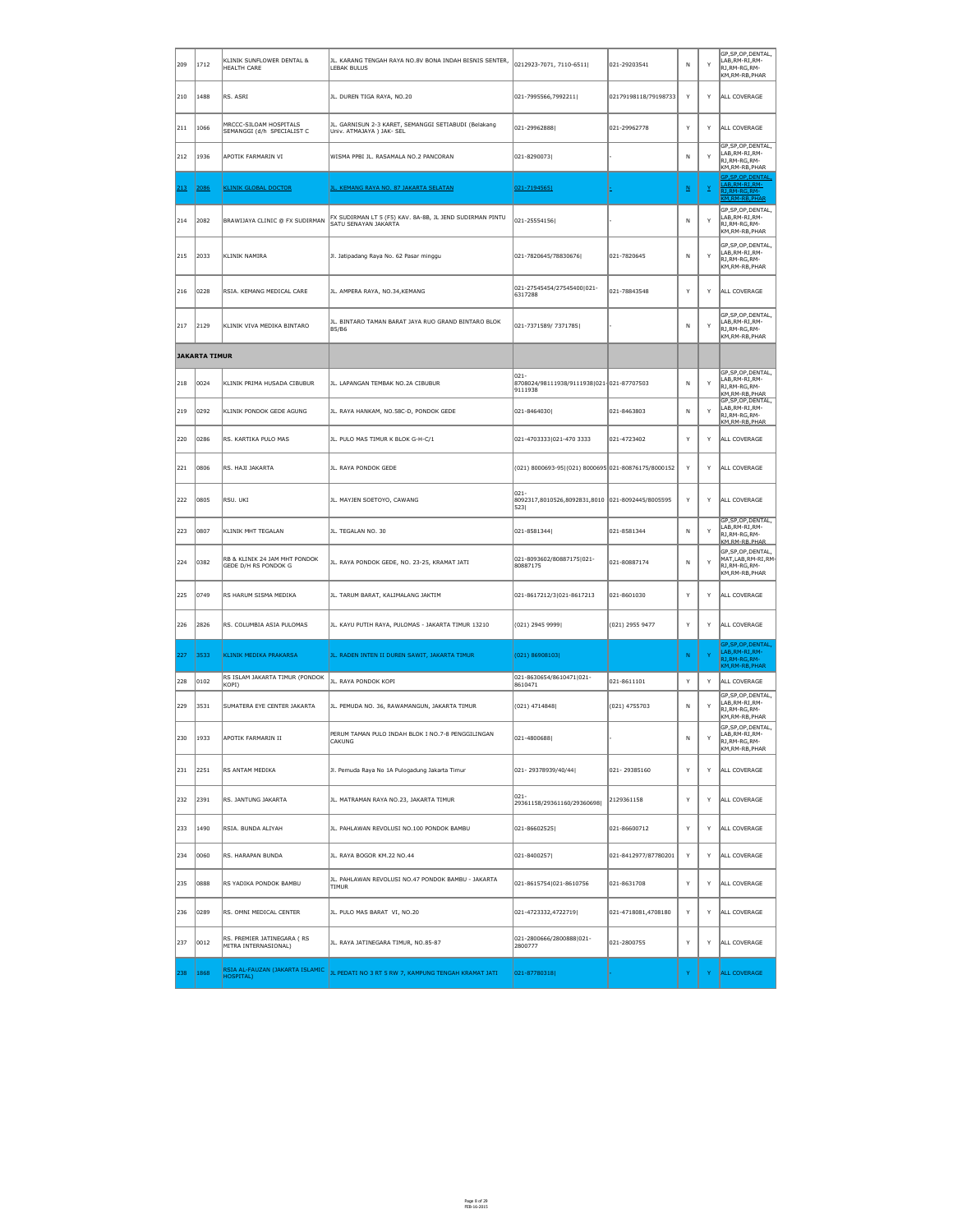| 209 | 1712                 | KLINIK SUNFLOWER DENTAL &<br><b>HEALTH CARE</b>       | JL. KARANG TENGAH RAYA NO.8V BONA INDAH BISNIS SENTER,<br><b>LEBAK BULUS</b>      | 0212923-7071, 7110-6511                                              | 021-29203541         | N                        | Y               | GP, SP, OP, DENTAL,<br>LAB, RM-RI, RM-<br>RJ, RM-RG, RM-<br>KM, RM-RB, PHAR   |
|-----|----------------------|-------------------------------------------------------|-----------------------------------------------------------------------------------|----------------------------------------------------------------------|----------------------|--------------------------|-----------------|-------------------------------------------------------------------------------|
| 210 | 1488                 | RS. ASRI                                              | JL. DUREN TIGA RAYA, NO.20                                                        | $ 021 - 7995566, 7992211 $                                           | 02179198118/79198733 | Y                        | Y               | ALL COVERAGE                                                                  |
| 211 | 1066                 | MRCCC-SILOAM HOSPITALS<br>SEMANGGI (d/h SPECIALIST C  | JL. GARNISUN 2-3 KARET, SEMANGGI SETIABUDI (Belakang<br>Univ. ATMAJAYA ) JAK- SEL | 021-299628881                                                        | 021-29962778         | Y                        | Y               | ALL COVERAGE                                                                  |
| 212 | 1936                 | APOTIK FARMARIN VI                                    | WISMA PPBI JL. RASAMALA NO.2 PANCORAN                                             | 021-8290073                                                          |                      | N.                       | Y               | GP, SP, OP, DENTAL,<br>LAB, RM-RI, RM-<br>RJ, RM-RG, RM-<br>KM, RM-RB, PHAR   |
| 213 | 2086                 | <b>KLINIK GLOBAL DOCTOR</b>                           | <u>JL. KEMANG RAYA NO. 87 JAKARTA SELATAN</u>                                     | 021-7194565                                                          |                      | $\underline{\mathsf{N}}$ | $\underline{Y}$ | GP, SP, OP, DENTAL,<br>LAB, RM-RI, RM-<br>RJ, RM-RG, RM-<br>KM, RM-RB, PHAR   |
| 214 | 2082                 | BRAWIJAYA CLINIC @ FX SUDIRMAN                        | FX SUDIRMAN LT 5 (F5) KAV. 8A-8B, JL JEND SUDIRMAN PINTU<br>SATU SENAYAN JAKARTA  | $ 021 - 25554156 $                                                   |                      | N.                       | Y               | GP, SP, OP, DENTAL,<br>LAB, RM-RI, RM-<br>RJ, RM-RG, RM-<br>KM, RM-RB, PHAR   |
| 215 | 2033                 | KLINIK NAMIRA                                         | Jl. Jatipadang Raya No. 62 Pasar minggu                                           | 021-7820645/78830676                                                 | 021-7820645          | N                        | Y               | GP, SP, OP, DENTAL,<br>LAB, RM-RI, RM-<br>RJ, RM-RG, RM-<br>KM, RM-RB, PHAR   |
| 216 | 0228                 | RSIA. KEMANG MEDICAL CARE                             | JL. AMPERA RAYA, NO.34, KEMANG                                                    | 021-27545454/27545400 021-<br>6317288                                | 021-78843548         | Y                        | Y               | ALL COVERAGE                                                                  |
| 217 | 2129                 | KLINIK VIVA MEDIKA BINTARO                            | JL. BINTARO TAMAN BARAT JAYA RUO GRAND BINTARO BLOK<br><b>B5/B6</b>               | 021-7371589/7371785                                                  |                      | N.                       | Y               | GP, SP, OP, DENTAL,<br>LAB, RM-RI, RM-<br>RJ,RM-RG,RM-<br>KM, RM-RB, PHAR     |
|     | <b>JAKARTA TIMUR</b> |                                                       |                                                                                   |                                                                      |                      |                          |                 |                                                                               |
| 218 | 0024                 | KLINIK PRIMA HUSADA CIBUBUR                           | JL. LAPANGAN TEMBAK NO.2A CIBUBUR                                                 | $ 021 -$<br>8708024/98111938/9111938 021-021-87707503<br>9111938     |                      | N.                       | Y               | GP, SP, OP, DENTAL,<br>LAB, RM-RI, RM-<br>RJ, RM-RG, RM-<br>KM, RM-RB, PHAR   |
| 219 | 0292                 | KLINIK PONDOK GEDE AGUNG                              | JL. RAYA HANKAM, NO.58C-D, PONDOK GEDE                                            | 021-8464030                                                          | 021-8463803          | N.                       | Y               | GP, SP, OP, DENTAL,<br>LAB, RM-RI, RM-<br>RJ, RM-RG, RM-<br>KM, RM-RB, PHAR   |
| 220 | 0286                 | RS. KARTIKA PULO MAS                                  | JL. PULO MAS TIMUR K BLOK G-H-C/1                                                 | 021-4703333 021-470 3333                                             | 021-4723402          | Y                        | Y               | ALL COVERAGE                                                                  |
| 221 | 0806                 | RS. HAJI JAKARTA                                      | JL. RAYA PONDOK GEDE                                                              | $(021)$ 8000693-95 $(021)$ 8000695 $021$ -80876175/8000152           |                      | Y                        | Y               | ALL COVERAGE                                                                  |
| 222 | 0805                 | ∥RSU. UKI                                             | JL. MAYJEN SOETOYO, CAWANG                                                        | $ 021 -$<br>8092317,8010526,8092831,8010 021-8092445/8005595<br>5231 |                      | Y                        | Y               | ALL COVERAGE                                                                  |
| 223 | 0807                 | KLINIK MHT TEGALAN                                    | JL. TEGALAN NO. 30                                                                | $ 021 - 8581344 $                                                    | 021-8581344          | N.                       | Y               | GP, SP, OP, DENTAL,<br>LAB, RM-RI, RM-<br>RJ, RM-RG, RM-<br>KM, RM-RB, PHAR   |
| 224 | 0382                 | RB & KLINIK 24 JAM MHT PONDOK<br>GEDE D/H RS PONDOK G | JL. RAYA PONDOK GEDE, NO. 23-25, KRAMAT JATI                                      | 021-8093602/80887175 021-<br>80887175                                | 021-80887174         | <sup>N</sup>             | Y               | GP, SP, OP, DENTAL,<br>MAT,LAB,RM-RI,RM-<br>RJ, RM-RG, RM-<br>KM, RM-RB, PHAR |
| 225 | 0749                 | RS HARUM SISMA MEDIKA                                 | JL. TARUM BARAT, KALIMALANG JAKTIM                                                | 021-8617212/3 021-8617213                                            | 021-8601030          | Y                        | Y               | ALL COVERAGE                                                                  |
| 226 | 2826                 | RS. COLUMBIA ASIA PULOMAS                             | JL. KAYU PUTIH RAYA, PULOMAS - JAKARTA TIMUR 13210                                | (021) 2945 9999                                                      | $(021)$ 2955 9477    | Y                        | Y               | ALL COVERAGE                                                                  |
| 227 | 3533                 | KLINIK MEDIKA PRAKARSA                                | JL. RADEN INTEN II DUREN SAWIT, JAKARTA TIMUR                                     | (021) 86908103                                                       |                      | N                        | $\mathbf{Y}$    | GP, SP, OP, DENTAL,<br>LAB, RM-RI, RM-<br>RJ, RM-RG, RM-<br>KM, RM-RB, PHAR   |
| 228 | 0102                 | RS ISLAM JAKARTA TIMUR (PONDOK<br>KOPI)               | JL. RAYA PONDOK KOPI                                                              | 021-8630654/8610471 021-<br>8610471                                  | 021-8611101          | Y                        | Y               | ALL COVERAGE<br>GP, SP, OP, DENTAL,                                           |
| 229 | 3531                 | SUMATERA EYE CENTER JAKARTA                           | JL. PEMUDA NO. 36, RAWAMANGUN, JAKARTA TIMUR                                      | $(021)$ 4714848                                                      | $(021)$ 4755703      | N                        | Y               | LAB, RM-RI, RM-<br>RJ, RM-RG, RM-<br>KM, RM-RB, PHAR                          |
| 230 | 1933                 | APOTIK FARMARIN II                                    | PERUM TAMAN PULO INDAH BLOK I NO.7-8 PENGGILINGAN<br><b>CAKUNG</b>                | $ 021 - 4800688 $                                                    |                      | N                        | Y               | GP, SP, OP, DENTAL,<br>LAB, RM-RI, RM-<br>RJ,RM-RG,RM-<br>KM, RM-RB, PHAR     |
| 231 | 2251                 | RS ANTAM MEDIKA                                       | Jl. Pemuda Raya No 1A Pulogadung Jakarta Timur                                    | 021-29378939/40/44                                                   | 021-29385160         | Y                        | Y               | ALL COVERAGE                                                                  |
| 232 | 2391                 | RS. JANTUNG JAKARTA                                   | JL. MATRAMAN RAYA NO.23, JAKARTA TIMUR                                            | $ 021 -$<br>29361158/29361160/29360698                               | 2129361158           | v                        | Y               | ALL COVERAGE                                                                  |
| 233 | 1490                 | RSIA. BUNDA ALIYAH                                    | JL. PAHLAWAN REVOLUSI NO.100 PONDOK BAMBU                                         | $ 021 - 86602525 $                                                   | 021-86600712         | Y                        | Y               | ALL COVERAGE                                                                  |
| 234 | 0060                 | RS. HARAPAN BUNDA                                     | JL. RAYA BOGOR KM.22 NO.44                                                        | 021-8400257                                                          | 021-8412977/87780201 | Y                        | Y               | ALL COVERAGE                                                                  |
| 235 | 0888                 | RS YADIKA PONDOK BAMBU                                | JL. PAHLAWAN REVOLUSI NO.47 PONDOK BAMBU - JAKARTA<br><b>TIMUR</b>                | 021-8615754 021-8610756                                              | 021-8631708          | Y                        | Y               | ALL COVERAGE                                                                  |
| 236 | 0289                 | RS. OMNI MEDICAL CENTER                               | JL. PULO MAS BARAT VI, NO.20                                                      | $ 021 - 4723332, 4722719 $                                           | 021-4718081,4708180  | Y                        | Y               | ALL COVERAGE                                                                  |
| 237 | $ 0012\rangle$       | RS. PREMIER JATINEGARA (RS<br>MITRA INTERNASIONAL)    | JL. RAYA JATINEGARA TIMUR, NO.85-87                                               | 021-2800666/2800888 021-<br>2800777                                  | 021-2800755          | Y                        | Y               | ALL COVERAGE                                                                  |
| 238 | 1868                 | RSIA AL-FAUZAN (JAKARTA ISLAMIC<br><b>HOSPITAL)</b>   | JL PEDATI NO 3 RT 5 RW 7, KAMPUNG TENGAH KRAMAT JATI                              | 021-87780318                                                         |                      | v                        | Y               | <b>ALL COVERAGE</b>                                                           |

Page 8 of 29 FEB-16-2015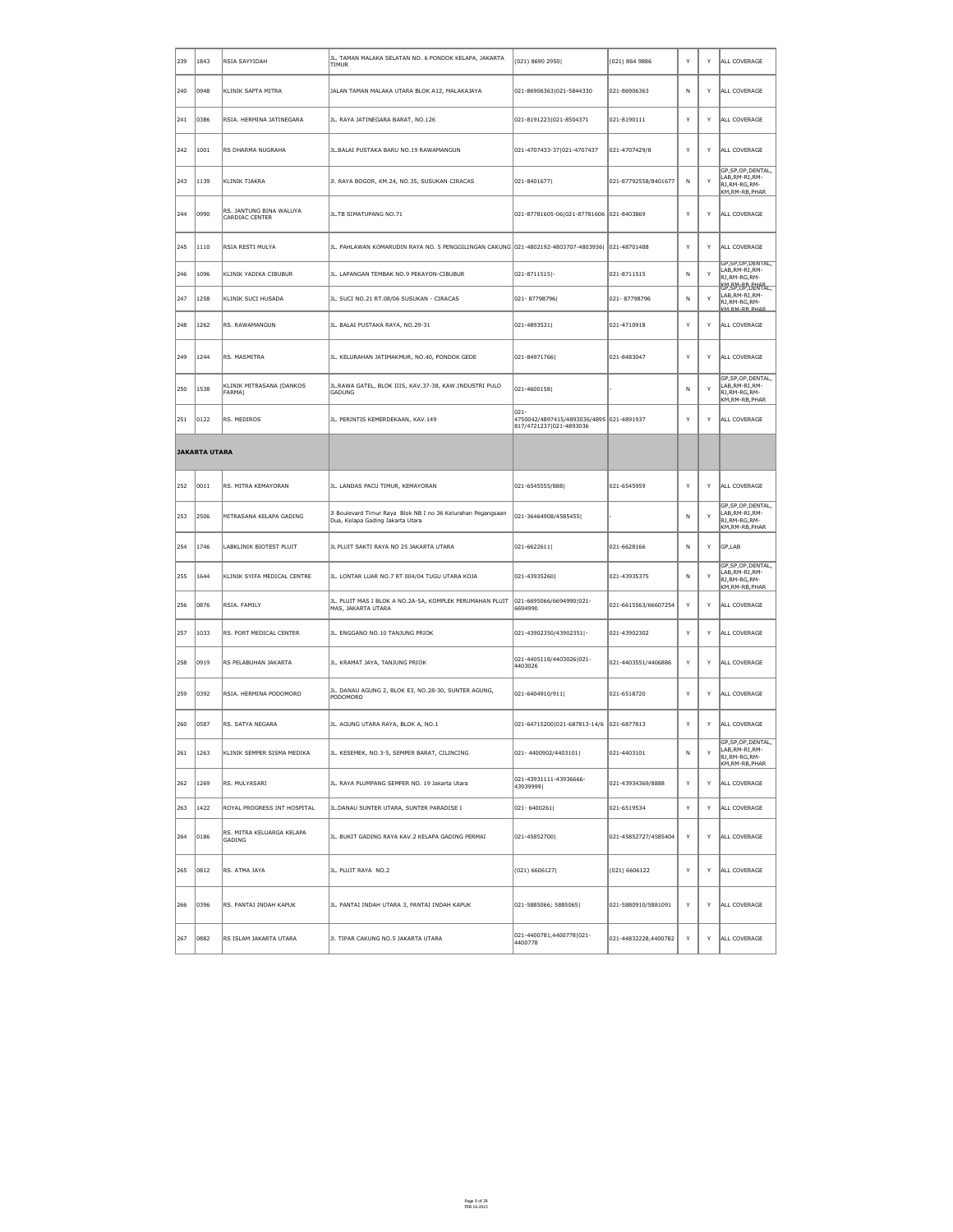| 239  | 1843                 | RSIA SAYYIDAH                              | JL. TAMAN MALAKA SELATAN NO. 6 PONDOK KELAPA, JAKARTA<br><b>TIMUR</b>                            | $(021)$ 8690 2950                                                           | $(021)$ 864 9886      | Y  | Y | ALL COVERAGE                                                                               |
|------|----------------------|--------------------------------------------|--------------------------------------------------------------------------------------------------|-----------------------------------------------------------------------------|-----------------------|----|---|--------------------------------------------------------------------------------------------|
| 240  | 0948                 | KLINIK SAPTA MITRA                         | JALAN TAMAN MALAKA UTARA BLOK A12, MALAKAJAYA                                                    | 021-86906363 021-5844330                                                    | 021-86906363          | N  | Y | ALL COVERAGE                                                                               |
| 241  | 0386                 | RSIA. HERMINA JATINEGARA                   | JL. RAYA JATINEGARA BARAT, NO.126                                                                | 021-8191223 021-8504371                                                     | 021-8190111           | Υ  | Y | ALL COVERAGE                                                                               |
| 242  | 1001                 | RS DHARMA NUGRAHA                          | JL. BALAI PUSTAKA BARU NO.19 RAWAMANGUN                                                          | 021-4707433-37 021-4707437                                                  | 021-4707429/8         | Y  | Y | ALL COVERAGE                                                                               |
| 243  | $\vert$ 1139         | KLINIK TJAKRA                              | JI. RAYA BOGOR, KM.24, NO.35, SUSUKAN CIRACAS                                                    | $ 021 - 8401677 $                                                           | 021-87792558/8401677  | N  | Y | GP, SP, OP, DENTAL,<br>LAB, RM-RI, RM-<br>RJ,RM-RG,RM-<br>KM, RM-RB, PHAR                  |
| 244  | 0990                 | RS. JANTUNG BINA WALUYA<br>CARDIAC CENTER  | JL.TB SIMATUPANG NO.71                                                                           | 021-87781605-06 021-87781606 021-8403869                                    |                       | Y  | Y | ALL COVERAGE                                                                               |
| 245  | 1110                 | RSIA RESTI MULYA                           | JL. PAHLAWAN KOMARUDIN RAYA NO. 5 PENGGILINGAN CAKUNG 021-4802192-4803707-4803936  021-48701488  |                                                                             |                       | Y  | Y | ALL COVERAGE                                                                               |
| 246  | 1096                 | KLINIK YADIKA CIBUBUR                      | JL. LAPANGAN TEMBAK NO.9 PEKAYON-CIBUBUR                                                         | $ 021 - 8711515 $ -                                                         | 021-8711515           | N  | Y | GP, SP, OP, DENTAL,<br>LAB, RM-RI, RM-<br>RJ, RM-RG, RM-                                   |
| 247  | 1258                 | KLINIK SUCI HUSADA                         | JL. SUCI NO.21 RT.08/06 SUSUKAN - CIRACAS                                                        | 021-87798796                                                                | 021-87798796          | N  | Y | KM DM-DR DHAD<br>GP, SP, OP, DENTAL,<br>LAB, RM-RI, RM-<br>RJ, RM-RG, RM-<br>KM RM-RR PHAR |
| ∥248 | 1262                 | RS. RAWAMANGUN                             | JL. BALAI PUSTAKA RAYA, NO.29-31                                                                 | 021-4893531                                                                 | 021-4710918           | Y  | Y | ALL COVERAGE                                                                               |
| 249  | 1244                 | <b>RS. MASMITRA</b>                        | JL. KELURAHAN JATIMAKMUR, NO.40, PONDOK GEDE                                                     | 021-84971766                                                                | 021-8483047           | Y  | Y | ALL COVERAGE                                                                               |
| 250  | 1538                 | KLINIK MITRASANA (DANKOS<br>FARMA)         | JL.RAWA GATEL, BLOK IIIS, KAV.37-38, KAW.INDUSTRI PULO<br>GADUNG                                 | $ 021 - 4600158 $                                                           |                       | N  | Y | GP, SP, OP, DENTAL,<br>LAB, RM-RI, RM-<br>RJ, RM-RG, RM-<br>KM, RM-RB, PHAR                |
| 251  | $ 0122\rangle$       | RS. MEDIROS                                | JL. PERINTIS KEMERDEKAAN, KAV.149                                                                | 021-<br>4750042/4897415/4893036/4895 021-4891937<br>817/4721237 021-4893036 |                       | Y  | Y | ALL COVERAGE                                                                               |
|      | <b>JAKARTA UTARA</b> |                                            |                                                                                                  |                                                                             |                       |    |   |                                                                                            |
| 252  | 0011                 | RS. MITRA KEMAYORAN                        | JL. LANDAS PACU TIMUR, KEMAYORAN                                                                 | 021-6545555/888                                                             | 021-6545959           | Y  | Y | ALL COVERAGE                                                                               |
| 253  | 2506                 | MITRASANA KELAPA GADING                    | Jl Boulevard Timur Raya Blok NB I no 36 Kelurahan Pegangsaan<br>Dua, Kelapa Gading Jakarta Utara | 021-36464908/4585455                                                        |                       | N. | Y | GP, SP, OP, DENTAL,<br>LAB, RM-RI, RM-<br>RJ, RM-RG, RM-<br>KM, RM-RB, PHAR                |
| 254  | $\vert$ 1746         | LABKLINIK BIOTEST PLUIT                    | JL PLUIT SAKTI RAYA NO 25 JAKARTA UTARA                                                          | $ 021 - 6622611 $                                                           | 021-6628166           | N  | Y | GP,LAB                                                                                     |
| 255  | 1644                 | KLINIK SYIFA MEDICAL CENTRE                | JL. LONTAR LUAR NO.7 RT 004/04 TUGU UTARA KOJA                                                   | 021-43935260                                                                | 021-43935375          | N  | Y | GP, SP, OP, DENTAL,<br>LAB, RM-RI, RM-<br>RJ, RM-RG, RM-<br>KM,RM-RB,PHAR                  |
| 256  | 0876                 | RSIA. FAMILY                               | JL. PLUIT MAS I BLOK A NO.2A-5A, KOMPLEK PERUMAHAN PLUIT<br>MAS, JAKARTA UTARA                   | 021-6695066/6694990 021-<br>6694990                                         | 021-6615563/66607254  | Y  | Y | ALL COVERAGE                                                                               |
| 257  | 1033                 | RS. PORT MEDICAL CENTER                    | JL. ENGGANO NO.10 TANJUNG PRIOK                                                                  | 021-43902350/43902351 -                                                     | 021-43902302          | Y  | Y | ALL COVERAGE                                                                               |
| 258  | 0919                 | RS PELABUHAN JAKARTA                       | JL. KRAMAT JAYA, TANJUNG PRIOK                                                                   | 021-4405118/4403026 021-<br>4403026                                         | 021-4403551/4406886   | Y  | Y | ALL COVERAGE                                                                               |
| 259  | 0392                 | RSIA. HERMINA PODOMORO                     | JL. DANAU AGUNG 2, BLOK E3, NO.28-30, SUNTER AGUNG,<br>PODOMORO                                  | $ 021 - 6404910/911 $                                                       | 021-6518720           | Y  | Y | ALL COVERAGE                                                                               |
| 260  | 0587                 | RS. SATYA NEGARA                           | JL. AGUNG UTARA RAYA, BLOK A, NO.1                                                               | 021-64715200 021-687813-14/6 021-6877813                                    |                       | Y  | Y | ALL COVERAGE                                                                               |
| 261  | 1263                 | KLINIK SEMPER SISMA MEDIKA                 | JL. KESEMEK, NO.3-5, SEMPER BARAT, CILINCING                                                     | 021-4400902/4403101                                                         | 021-4403101           | N  | Y | GP, SP, OP, DENTAL,<br>LAB, RM-RI, RM-<br>RJ,RM-RG,RM-<br>KM, RM-RB, PHAR                  |
| 262  | 1269                 | RS. MULYASARI                              | JL. RAYA PLUMPANG SEMPER NO. 19 Jakarta Utara                                                    | 021-43931111-43936666-<br> 43939999                                         | 021-43934369/8888     | Y  | Y | ALL COVERAGE                                                                               |
| 263  | 1422                 | ROYAL PROGRESS INT HOSPITAL                | JL. DANAU SUNTER UTARA, SUNTER PARADISE I                                                        | $ 021 - 6400261 $                                                           | 021-6519534           | Y  | Y | ALL COVERAGE                                                                               |
| 264  | 0186                 | RS. MITRA KELUARGA KELAPA<br><b>GADING</b> | JL. BUKIT GADING RAYA KAV.2 KELAPA GADING PERMAI                                                 | 021-45852700                                                                | 021-45852727/4585404  | Y  | Y | ALL COVERAGE                                                                               |
| 265  | $ 0812\rangle$       | RS. ATMA JAYA                              | JL. PLUIT RAYA NO.2                                                                              | (021) 6606127                                                               | $\vert$ (021) 6606122 | Y  | Y | ALL COVERAGE                                                                               |
| 266  | 0396                 | RS. PANTAI INDAH KAPUK                     | JL. PANTAI INDAH UTARA 3, PANTAI INDAH KAPUK                                                     | $ 021 - 5885066; 5885065 $                                                  | 021-5880910/5881091   | Y  | Y | ALL COVERAGE                                                                               |
| 267  | $ 0882\rangle$       | RS ISLAM JAKARTA UTARA                     | JI. TIPAR CAKUNG NO.5 JAKARTA UTARA                                                              | 021-4400781,4400778 021-<br>4400778                                         | 021-44832228,4400782  | Y  | Y | ALL COVERAGE                                                                               |

Page 9 of 29 FEB-16-2015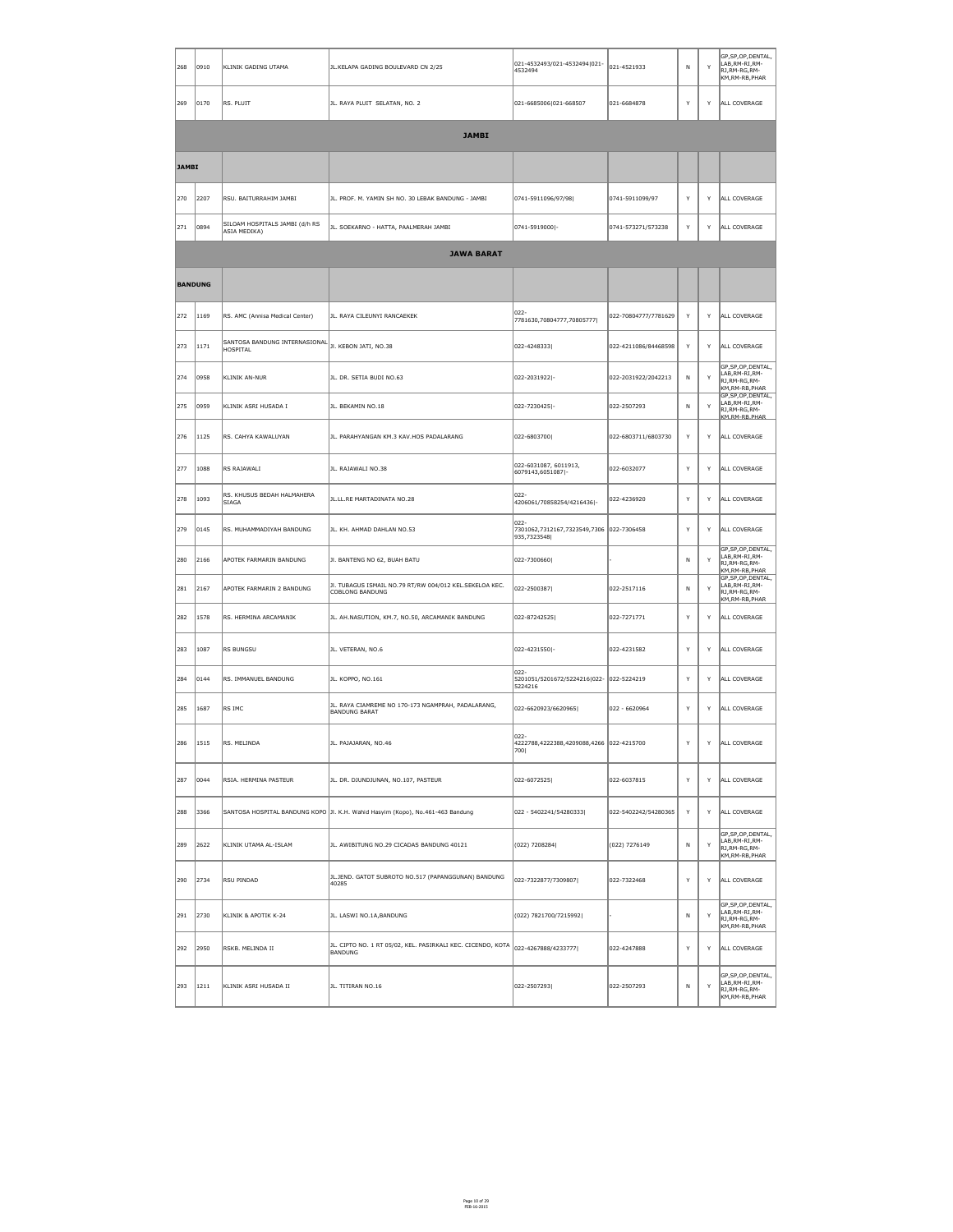| 268            | 0910           | KLINIK GADING UTAMA                                                                               | JL.KELAPA GADING BOULEVARD CN 2/25                                                | 021-4532493/021-4532494 021-<br>4532494                         | 021-4521933          | $\mathsf{N}$ | Y  | GP,SP,OP,DENTAL,<br>LAB, RM-RI, RM-<br>RJ, RM-RG, RM-<br>KM, RM-RB, PHAR    |
|----------------|----------------|---------------------------------------------------------------------------------------------------|-----------------------------------------------------------------------------------|-----------------------------------------------------------------|----------------------|--------------|----|-----------------------------------------------------------------------------|
| 269            | $ 0170\rangle$ | RS. PLUIT                                                                                         | JL. RAYA PLUIT SELATAN, NO. 2                                                     | 021-6685006 021-668507                                          | 021-6684878          | Y            | Y. | ALL COVERAGE                                                                |
|                |                |                                                                                                   | <b>JAMBI</b>                                                                      |                                                                 |                      |              |    |                                                                             |
| <b>JAMBI</b>   |                |                                                                                                   |                                                                                   |                                                                 |                      |              |    |                                                                             |
| 270            | 2207           | RSU. BAITURRAHIM JAMBI                                                                            | JL. PROF. M. YAMIN SH NO. 30 LEBAK BANDUNG - JAMBI                                | 0741-5911096/97/98                                              | 0741-5911099/97      | Y            | Y  | ALL COVERAGE                                                                |
| 271            | 0894           | SILOAM HOSPITALS JAMBI (d/h RS<br>ASIA MEDIKA)                                                    | JL. SOEKARNO - HATTA, PAALMERAH JAMBI                                             | 0741-5919000 -                                                  | 0741-573271/573238   | Y            | Y  | ALL COVERAGE                                                                |
|                |                |                                                                                                   | <b>JAWA BARAT</b>                                                                 |                                                                 |                      |              |    |                                                                             |
| <b>BANDUNG</b> |                |                                                                                                   |                                                                                   |                                                                 |                      |              |    |                                                                             |
| 272            | 1169           | RS. AMC (Annisa Medical Center)                                                                   | JL. RAYA CILEUNYI RANCAEKEK                                                       | $ 022 -$<br>7781630,70804777,70805777                           | 022-70804777/7781629 | Y            | Y  | ALL COVERAGE                                                                |
| 273            | 1171           | $\left\ $ SANTOSA BANDUNG INTERNASIONAL $\left\ _\text{Jl.}$ KEBON JATI, NO.38<br><b>HOSPITAL</b> |                                                                                   | 022-4248333                                                     | 022-4211086/84468598 | Y            | Y. | ALL COVERAGE                                                                |
| 274            | 0958           | KLINIK AN-NUR                                                                                     | JL. DR. SETIA BUDI NO.63                                                          | 022-2031922 -                                                   | 022-2031922/2042213  | $\mathsf{N}$ | Y  | GP, SP, OP, DENTAL,<br>LAB, RM-RI, RM-<br>RJ, RM-RG, RM-<br>KM, RM-RB, PHAR |
| 275            | 0959           | KLINIK ASRI HUSADA I                                                                              | JL. BEKAMIN NO.18                                                                 | 022-7230425 -                                                   | 022-2507293          | $\mathsf{N}$ | Y  | GP, SP, OP, DENTAL,<br>LAB, RM-RI, RM-<br>RJ, RM-RG, RM-<br>KM.RM-RB.PHAR   |
| 276            | 1125           | RS. CAHYA KAWALUYAN                                                                               | JL. PARAHYANGAN KM.3 KAV.HOS PADALARANG                                           | 022-6803700                                                     | 022-6803711/6803730  | Y            | Y. | ALL COVERAGE                                                                |
| 277            | 1088           | RS RAJAWALI                                                                                       | JL. RAJAWALI NO.38                                                                | 022-6031087, 6011913,<br>6079143,6051087 -                      | 022-6032077          | Y            | Y  | ALL COVERAGE                                                                |
| 278            | 1093           | RS. KHUSUS BEDAH HALMAHERA<br>SIAGA                                                               | JL.LL.RE MARTADINATA NO.28                                                        | $ 022 -$<br>4206061/70858254/4216436 -                          | 022-4236920          | Y            | Y  | ALL COVERAGE                                                                |
| 279            | $ 0145\rangle$ | RS. MUHAMMADIYAH BANDUNG                                                                          | JL. KH. AHMAD DAHLAN NO.53                                                        | 022-<br>7301062,7312167,7323549,7306 022-7306458<br>935,7323548 |                      | Y            | Y  | ALL COVERAGE                                                                |
| 280            | 2166           | APOTEK FARMARIN BANDUNG                                                                           | JI. BANTENG NO 62, BUAH BATU                                                      | 022-7300660                                                     |                      | $\mathsf{N}$ | Y  | GP, SP, OP, DENTAL,<br>LAB, RM-RI, RM-<br>RJ, RM-RG, RM-<br>KM, RM-RB, PHAR |
| 281            | 2167           | APOTEK FARMARIN 2 BANDUNG                                                                         | JI. TUBAGUS ISMAIL NO.79 RT/RW 004/012 KEL.SEKELOA KEC.<br><b>COBLONG BANDUNG</b> | 022-2500387                                                     | 022-2517116          | $\mathsf{N}$ | Y  | GP, SP, OP, DENTAL,<br>LAB, RM-RI, RM-<br>RJ, RM-RG, RM-<br>KM, RM-RB, PHAR |
| 282            | 1578           | RS. HERMINA ARCAMANIK                                                                             | JL. AH.NASUTION, KM.7, NO.50, ARCAMANIK BANDUNG                                   | 022-87242525                                                    | 022-7271771          | Y            | Y. | ALL COVERAGE                                                                |
| 283            | 1087           | <b>RS BUNGSU</b>                                                                                  | JL. VETERAN, NO.6                                                                 | 022-4231550 -                                                   | 022-4231582          | Y            | Y  | ALL COVERAGE                                                                |
| 284            | 0144           | RS. IMMANUEL BANDUNG                                                                              | JL. KOPPO, NO.161                                                                 | $ 022 -$<br>5201051/5201672/5224216 022- 022-5224219<br>5224216 |                      | Y            | Y  | ALL COVERAGE                                                                |
| 285            | 1687           | RS IMC                                                                                            | JL. RAYA CIAMREME NO 170-173 NGAMPRAH, PADALARANG,<br><b>BANDUNG BARAT</b>        | 022-6620923/6620965                                             | 022 - 6620964        | Y            | Y  | ALL COVERAGE                                                                |
| 286            | 1515           | RS. MELINDA                                                                                       | JL. PAJAJARAN, NO.46                                                              | $ 022 -$<br>4222788,4222388,4209088,4266 022-4215700<br>700     |                      | Y            | Y  | ALL COVERAGE                                                                |
| 287            | 0044           | RSIA. HERMINA PASTEUR                                                                             | JL. DR. DJUNDJUNAN, NO.107, PASTEUR                                               | 022-6072525                                                     | 022-6037815          | Y            | Y. | ALL COVERAGE                                                                |
| 288            | 3366           |                                                                                                   | SANTOSA HOSPITAL BANDUNG KOPO JI. K.H. Wahid Hasyim (Kopo), No.461-463 Bandung    | 022 - 5402241/54280333                                          | 022-5402242/54280365 | Y            | Y. | ALL COVERAGE                                                                |
|                | 289  2622      | KLINIK UTAMA AL-ISLAM                                                                             | JL. AWIBITUNG NO.29 CICADAS BANDUNG 40121                                         | (022) 7208284                                                   | (022) 7276149        | $\mathsf{N}$ | Y  | GP, SP, OP, DENTAL,<br>LAB, RM-RI, RM-<br>RJ, RM-RG, RM-<br>KM, RM-RB, PHAR |
| 290            | 2734           | RSU PINDAD                                                                                        | JL.JEND. GATOT SUBROTO NO.517 (PAPANGGUNAN) BANDUNG<br>40285                      | 022-7322877/7309807                                             | 022-7322468          | Y            | Y. | ALL COVERAGE                                                                |
| 291            | 2730           | KLINIK & APOTIK K-24                                                                              | JL. LASWI NO.1A, BANDUNG                                                          | (022) 7821700/7215992                                           |                      | $\mathsf{N}$ | Y  | GP, SP, OP, DENTAL,<br>LAB, RM-RI, RM-<br>RJ, RM-RG, RM-<br>KM,RM-RB,PHAR   |
| 292            | 2950           | RSKB. MELINDA II                                                                                  | JL. CIPTO NO. 1 RT 05/02, KEL. PASIRKALI KEC. CICENDO, KOTA<br>BANDUNG            | 022-4267888/4233777                                             | 022-4247888          | Y            | Y  | ALL COVERAGE                                                                |
| 293            | 1211           | KLINIK ASRI HUSADA II                                                                             | JL. TITIRAN NO.16                                                                 | 022-2507293                                                     | 022-2507293          | $\mathsf{N}$ | Y  | GP, SP, OP, DENTAL,<br>LAB, RM-RI, RM-<br>RJ, RM-RG, RM-<br>KM,RM-RB,PHAR   |

Page 10 of 29 FEB-16-2015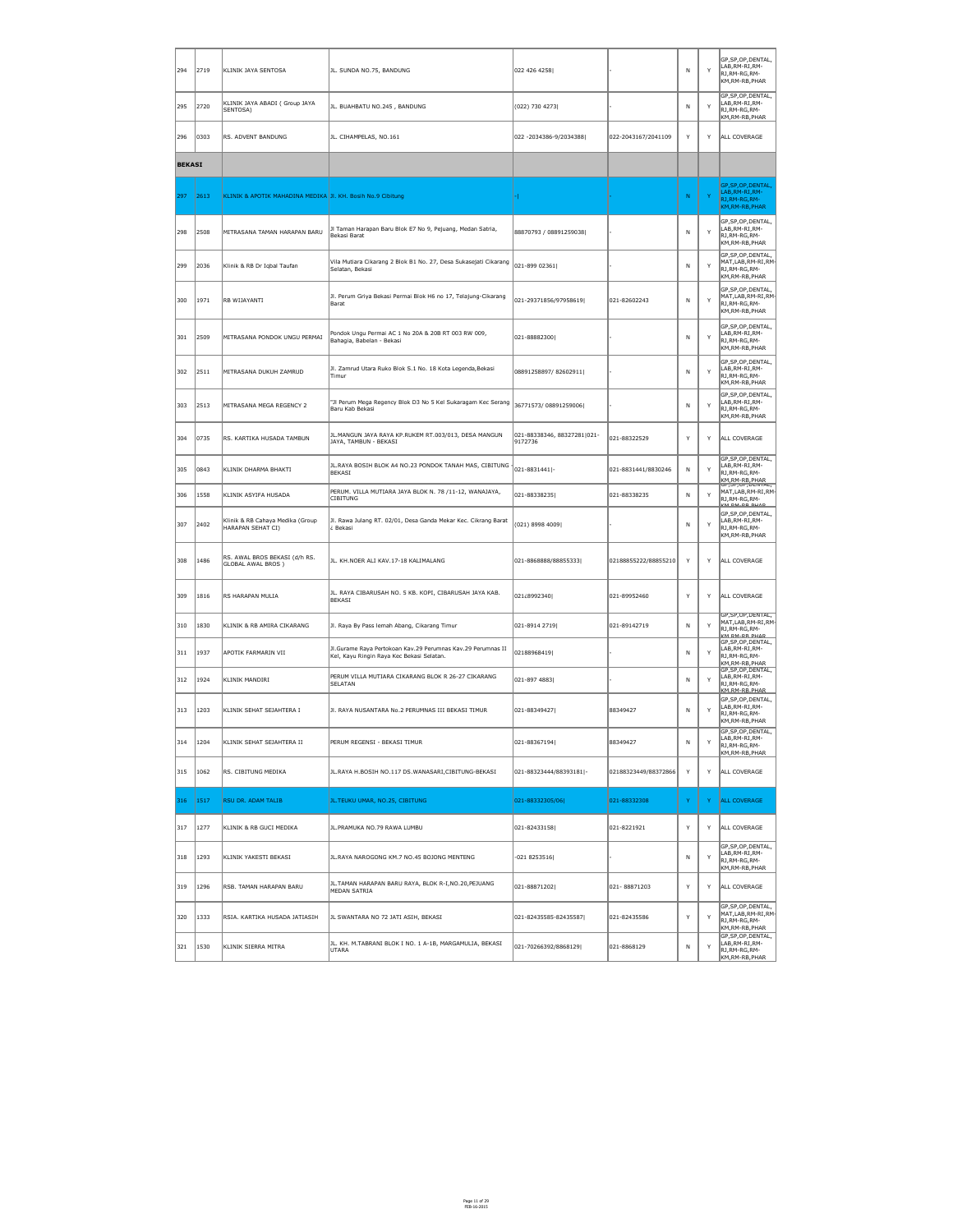| 294           | $ 2719\rangle$ | KLINIK JAYA SENTOSA                                         | JL. SUNDA NO.75, BANDUNG                                                                                 | 022 426 4258                           |                      | $\mathsf{N}$ | Y  | GP, SP, OP, DENTAL,<br>LAB, RM-RI, RM-<br>RJ,RM-RG,RM-<br>KM, RM-RB, PHAR                        |
|---------------|----------------|-------------------------------------------------------------|----------------------------------------------------------------------------------------------------------|----------------------------------------|----------------------|--------------|----|--------------------------------------------------------------------------------------------------|
| 295           | 2720           | KLINIK JAYA ABADI ( Group JAYA<br>SENTOSA)                  | JL. BUAHBATU NO.245, BANDUNG                                                                             | (022) 730 4273                         |                      | $\mathsf{N}$ | Y  | GP, SP, OP, DENTAL,<br>LAB, RM-RI, RM-<br>RJ,RM-RG,RM-<br>KM, RM-RB, PHAR                        |
| 296           | 0303           | RS. ADVENT BANDUNG                                          | JL. CIHAMPELAS, NO.161                                                                                   | 022 -2034386-9/2034388                 | 022-2043167/2041109  | Y            | Y  | ALL COVERAGE                                                                                     |
| <b>BEKASI</b> |                |                                                             |                                                                                                          |                                        |                      |              |    |                                                                                                  |
| 297           | 2613           | KLINIK & APOTIK MAHADINA MEDIKA JI. KH. Bosih No.9 Cibitung |                                                                                                          |                                        |                      | N            | Y. | GP, SP, OP, DENTAL,<br>LAB, RM-RI, RM-<br>RJ, RM-RG, RM-<br>KM, RM-RB, PHAR                      |
| 298           | 2508           | MITRASANA TAMAN HARAPAN BARU                                | Jl Taman Harapan Baru Blok E7 No 9, Pejuang, Medan Satria,<br>Bekasi Barat                               | 88870793 / 08891259038                 |                      | N            | Y  | GP, SP, OP, DENTAL,<br>LAB, RM-RI, RM-<br>RJ, RM-RG, RM-<br>KM,RM-RB,PHAR                        |
| 299           | 2036           | Klinik & RB Dr Iqbal Taufan                                 | Vila Mutiara Cikarang 2 Blok B1 No. 27, Desa Sukasejati Cikarang<br>Selatan, Bekasi                      | 021-899 02361                          |                      | $\mathsf{N}$ | Y  | GP, SP, OP, DENTAL,<br>$\parallel$ MAT,LAB,RM-RI,RM-<br>RJ, RM-RG, RM-<br>KM, RM-RB, PHAR        |
| 300           | 1971           | RB WIJAYANTI                                                | Jl. Perum Griya Bekasi Permai Blok H6 no 17, Telajung-Cikarang<br>Barat                                  | 021-29371856/97958619                  | 021-82602243         | N            | Y  | GP, SP, OP, DENTAL,<br>$MAT, LAB, RM-RI, RM$<br>RJ,RM-RG,RM-<br>KM,RM-RB,PHAR                    |
| 301           | 2509           | MITRASANA PONDOK UNGU PERMAI                                | Pondok Ungu Permai AC 1 No 20A & 20B RT 003 RW 009,<br>Bahagia, Babelan - Bekasi                         | 021-88882300                           |                      | $\mathsf{N}$ | Y  | GP, SP, OP, DENTAL,<br>LAB,RM-RI,RM-<br>RJ, RM-RG, RM-<br>KM,RM-RB,PHAR                          |
| 302           | 2511           | MITRASANA DUKUH ZAMRUD                                      | Jl. Zamrud Utara Ruko Blok S.1 No. 18 Kota Legenda, Bekasi<br>Timur                                      | 08891258897/82602911                   |                      | N            | Y  | GP, SP, OP, DENTAL,<br>LAB,RM-RI,RM-<br>RJ, RM-RG, RM-<br>KM, RM-RB, PHAR                        |
| 303           | $ 2513\rangle$ | MITRASANA MEGA REGENCY 2                                    | "Jl Perum Mega Regency Blok D3 No 5 Kel Sukaragam Kec Serang<br>Baru Kab Bekasi                          | 36771573/08891259006                   |                      | N            | Y  | GP, SP, OP, DENTAL,<br>LAB, RM-RI, RM-<br>RJ, RM-RG, RM-<br>KM, RM-RB, PHAR                      |
| 304           | 0735           | RS. KARTIKA HUSADA TAMBUN                                   | JL.MANGUN JAYA RAYA KP.RUKEM RT.003/013, DESA MANGUN<br>JAYA, TAMBUN - BEKASI                            | 021-88338346, 88327281 021-<br>9172736 | 021-88322529         | Y            | Y  | ALL COVERAGE                                                                                     |
| 305           | 0843           | KLINIK DHARMA BHAKTI                                        | JL.RAYA BOSIH BLOK A4 NO.23 PONDOK TANAH MAS, CIBITUNG<br><b>BEKASI</b>                                  | 021-8831441 -                          | 021-8831441/8830246  | N            | Y  | GP, SP, OP, DENTAL,<br>LAB, RM-RI, RM-<br>RJ,RM-RG,RM-<br>KM, RM-RB, PHAR                        |
| 306           | 1558           | KLINIK ASYIFA HUSADA                                        | PERUM. VILLA MUTIARA JAYA BLOK N. 78 /11-12, WANAJAYA,<br><b>CIBITUNG</b>                                | 021-88338235                           | 021-88338235         | N            | Y  | GP, SP, UP, DENTAL,<br>MAT, LAB, RM-RI, RM-<br>RJ, RM-RG, RM-<br>$V$ M DM DD DUAD                |
| 307           | 2402           | Klinik & RB Cahaya Medika (Group<br>HARAPAN SEHAT CI)       | Jl. Rawa Julang RT. 02/01, Desa Ganda Mekar Kec. Cikrang Barat<br>¿ Bekasi                               | (021) 8998 4009                        |                      | N            | Y  | GP, SP, OP, DENTAL,<br>LAB,RM-RI,RM-<br>RJ,RM-RG,RM-<br>KM, RM-RB, PHAR                          |
| 308           | 1486           | RS. AWAL BROS BEKASI (d/h RS.<br><b>GLOBAL AWAL BROS</b> )  | JL. KH.NOER ALI KAV.17-18 KALIMALANG                                                                     | 021-8868888/88855333                   | 02188855222/88855210 | Y            | Y  | ALL COVERAGE                                                                                     |
| 309           | 1816           | <b>RS HARAPAN MULIA</b>                                     | JL. RAYA CIBARUSAH NO. 5 KB. KOPI, CIBARUSAH JAYA KAB.<br>BEKASI                                         | 021¿8992340                            | 021-89952460         | Y            | Y  | ALL COVERAGE                                                                                     |
| 310           | 1830           | KLINIK & RB AMIRA CIKARANG                                  | Jl. Raya By Pass lemah Abang, Cikarang Timur                                                             | 021-8914 2719                          | 021-89142719         | $\mathsf{N}$ | Y  | GP, SP, OP, DENTAL,<br>MAT, LAB, RM-RI, RM-<br>RJ, RM-RG, RM-<br>KM RM-RR PHAR                   |
| 311           | 1937           | APOTIK FARMARIN VII                                         | Jl.Gurame Raya Pertokoan Kav.29 Perumnas Kav.29 Perumnas II<br>Kel, Kayu Ringin Raya Kec Bekasi Selatan. | 02188968419                            |                      | $\mathsf{N}$ | Y  | GP, SP, OP, DENTAL,<br>LAB, RM-RI, RM-<br>RJ,RM-RG,RM-<br>KM, RM-RB, PHAR<br>GP, SP, OP, DENTAL, |
| 312           | 1924           | KLINIK MANDIRI                                              | PERUM VILLA MUTIARA CIKARANG BLOK R 26-27 CIKARANG<br><b>SELATAN</b>                                     | 021-897 4883                           |                      | $\mathsf{N}$ | Y  | LAB, RM-RI, RM-<br>RJ,RM-RG,RM-<br>KM_RM-RR_PHAR                                                 |
| 313           | 1203           | KLINIK SEHAT SEJAHTERA I                                    | JI. RAYA NUSANTARA No.2 PERUMNAS III BEKASI TIMUR                                                        | 021-88349427                           | 88349427             | N            | Y  | GP, SP, OP, DENTAL,<br>LAB,RM-RI,RM-<br>RJ, RM-RG, RM-<br>KM,RM-RB,PHAR                          |
| 314           | 1204           | KLINIK SEHAT SEJAHTERA II                                   | PERUM REGENSI - BEKASI TIMUR                                                                             | 021-88367194                           | 88349427             | N            | Y  | GP, SP, OP, DENTAL,<br>LAB,RM-RI,RM-<br>RJ,RM-RG,RM-<br>KM, RM-RB, PHAR                          |
| 315           | 1062           | RS. CIBITUNG MEDIKA                                         | JL.RAYA H.BOSIH NO.117 DS.WANASARI, CIBITUNG-BEKASI                                                      | 021-88323444/88393181 -                | 02188323449/88372866 | Y            | Y  | ALL COVERAGE                                                                                     |
| 316           | 1517           | <b>RSU DR. ADAM TALIB</b>                                   | JL. TEUKU UMAR, NO. 25, CIBITUNG                                                                         | 021-88332305/06                        | 021-88332308         | Y            | Y. | <b>ALL COVERAGE</b>                                                                              |
| 317           | 1277           | KLINIK & RB GUCI MEDIKA                                     | JL.PRAMUKA NO.79 RAWA LUMBU                                                                              | 021-82433158                           | 021-8221921          | Y            | Y  | ALL COVERAGE                                                                                     |
| 318           | 1293           | KLINIK YAKESTI BEKASI                                       | JL.RAYA NAROGONG KM.7 NO.45 BOJONG MENTENG                                                               | $-0218253516$                          |                      | $\mathsf{N}$ | Y  | GP, SP, OP, DENTAL,<br>LAB, RM-RI, RM-<br>RJ, RM-RG, RM-<br>KM,RM-RB,PHAR                        |
| 319           | 1296           | RSB. TAMAN HARAPAN BARU                                     | JL.TAMAN HARAPAN BARU RAYA, BLOK R-I, NO.20, PEJUANG<br>MEDAN SATRIA                                     | 021-88871202                           | 021-88871203         | Y            | Y  | ALL COVERAGE                                                                                     |
| 320           | 1333           | RSIA. KARTIKA HUSADA JATIASIH                               | JL SWANTARA NO 72 JATI ASIH, BEKASI                                                                      | 021-82435585-82435587                  | 021-82435586         | Y            | Y  | GP, SP, OP, DENTAL,<br>MAT, LAB, RM-RI, RM-<br>RJ,RM-RG,RM-<br>KM,RM-RB,PHAR                     |
| 321           | 1530           | KLINIK SIERRA MITRA                                         | JL. KH. M.TABRANI BLOK I NO. 1 A-1B, MARGAMULIA, BEKASI<br>UTARA                                         | 021-70266392/8868129                   | 021-8868129          | ${\sf N}$    | Y  | GP, SP, OP, DENTAL,<br>LAB, RM-RI, RM-<br>RJ,RM-RG,RM-<br>KM, RM-RB, PHAR                        |

Page 11 of 29 FEB-16-2015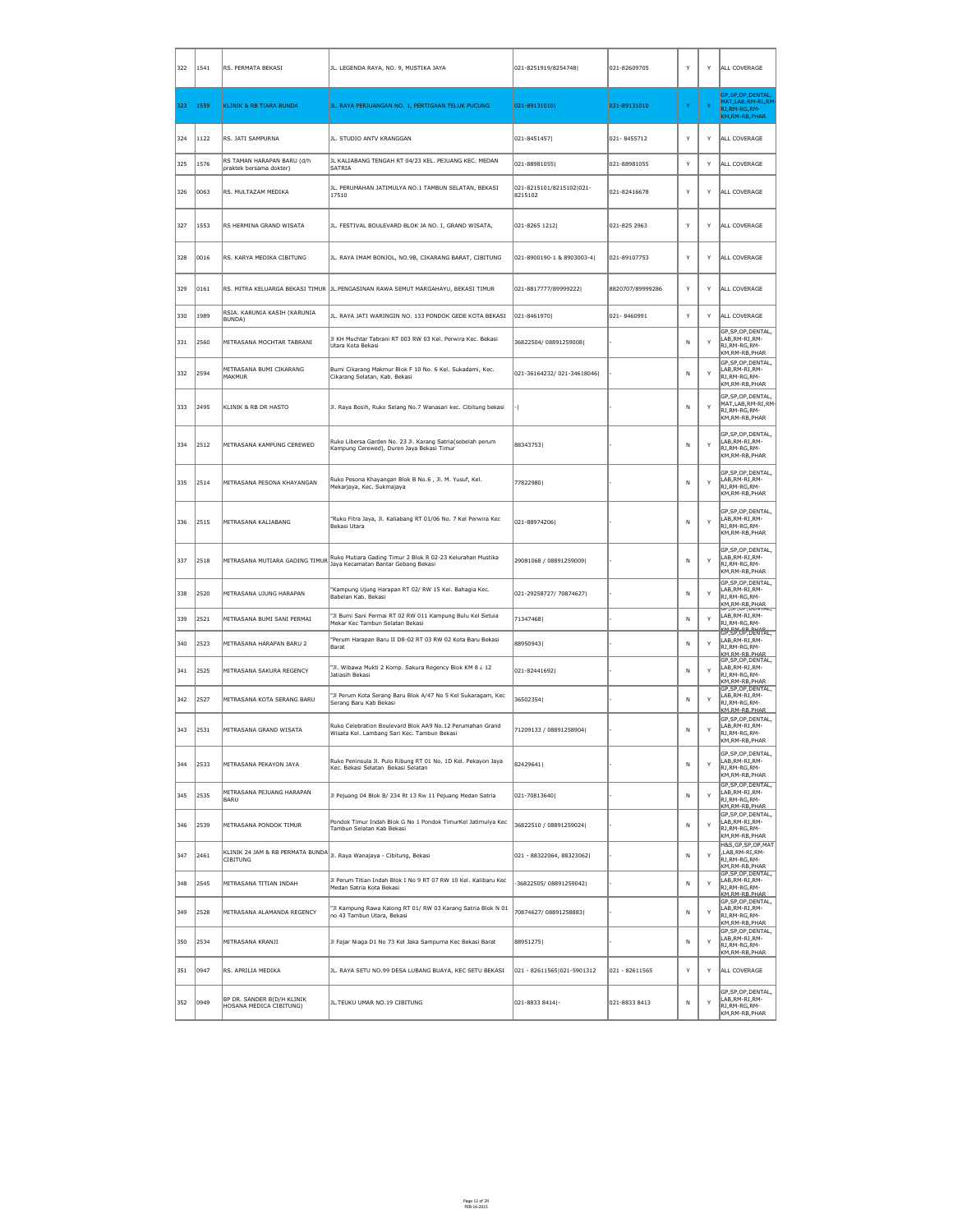| 322 | 1541 | RS. PERMATA BEKASI                                                                       | JL. LEGENDA RAYA, NO. 9, MUSTIKA JAYA                                                                    | 021-8251919/8254748                 | 021-82609705     | Y  | Y            | ALL COVERAGE                                                                                       |
|-----|------|------------------------------------------------------------------------------------------|----------------------------------------------------------------------------------------------------------|-------------------------------------|------------------|----|--------------|----------------------------------------------------------------------------------------------------|
| 323 | 1559 | KLINIK & RB TIARA BUNDA                                                                  | JL. RAYA PERJUANGAN NO. 1, PERTIGAAN TELUK PUCUNG                                                        | 021-89131010                        | 021-89131010     | Y. | $\mathbf{Y}$ | GP, SP, OP, DENTAL,<br>MAT, LAB, RM-RI, RM<br>RJ, RM-RG, RM-<br>KM, RM-RB, PHAR                    |
| 324 | 1122 | RS. JATI SAMPURNA                                                                        | JL. STUDIO ANTV KRANGGAN                                                                                 | 021-8451457                         | 021-8455712      | Y  | Y            | ALL COVERAGE                                                                                       |
| 325 | 1576 | RS TAMAN HARAPAN BARU (d/h<br>praktek bersama dokter)                                    | JL KALIABANG TENGAH RT 04/23 KEL. PEJUANG KEC. MEDAN<br>SATRIA                                           | 021-88981055                        | 021-88981055     | Y  | Y            | ALL COVERAGE                                                                                       |
| 326 | 0063 | RS. MULTAZAM MEDIKA                                                                      | JL. PERUMAHAN JATIMULYA NO.1 TAMBUN SELATAN, BEKASI<br>17510                                             | 021-8215101/8215102 021-<br>8215102 | 021-82416678     | Y  | Y            | ALL COVERAGE                                                                                       |
| 327 | 1553 | RS HERMINA GRAND WISATA                                                                  | JL. FESTIVAL BOULEVARD BLOK JA NO. I, GRAND WISATA,                                                      | $ 021 - 8265 1212 $                 | 021-825 2963     | Y  | Y            | ALL COVERAGE                                                                                       |
| 328 | 0016 | RS. KARYA MEDIKA CIBITUNG                                                                | JL. RAYA IMAM BONJOL, NO.9B, CIKARANG BARAT, CIBITUNG                                                    | 021-8900190-1 & 8903003-4           | 021-89107753     | Y  | Y            | ALL COVERAGE                                                                                       |
| 329 | 0161 |                                                                                          | RS. MITRA KELUARGA BEKASI TIMUR   JL.PENGASINAN RAWA SEMUT MARGAHAYU, BEKASI TIMUR                       | 021-8817777/89999222                | 8820707/89999286 | Y  | Y            | ALL COVERAGE                                                                                       |
| 330 | 1989 | RSIA. KARUNIA KASIH (KARUNIA<br>BUNDA)                                                   | JL. RAYA JATI WARINGIN NO. 133 PONDOK GEDE KOTA BEKASI                                                   | $ 021 - 8461970 $                   | 021-8460991      | Y  | Y            | ALL COVERAGE                                                                                       |
| 331 | 2560 | MITRASANA MOCHTAR TABRANI                                                                | JI KH Muchtar Tabrani RT 003 RW 03 Kel. Perwira Kec. Bekasi<br>Utara Kota Bekasi                         | 36822504/08891259008                |                  | N. | Y            | GP, SP, OP, DENTAL,<br>LAB, RM-RI, RM-<br>RJ, RM-RG, RM-<br>KM, RM-RB, PHAR                        |
| 332 | 2594 | MITRASANA BUMI CIKARANG<br>MAKMUR                                                        | Bumi Cikarang Makmur Blok F 10 No. 6 Kel. Sukadami, Kec.<br>Cikarang Selatan, Kab. Bekasi                | 021-36164232/021-34618046           |                  | N. | Y            | GP, SP, OP, DENTAL,<br>LAB, RM-RI, RM-<br>RJ, RM-RG, RM-<br>KM, RM-RB, PHAR                        |
| 333 | 2495 | KLINIK & RB DR HASTO                                                                     | Jl. Raya Bosih, Ruko Selang No.7 Wanasari kec. Cibitung bekasi                                           |                                     |                  | N. | Y            | GP, SP, OP, DENTAL,<br>MAT,LAB,RM-RI,RM-<br>RJ,RM-RG,RM-<br>KM,RM-RB,PHAR                          |
| 334 | 2512 | MITRASANA KAMPUNG CEREWED                                                                | Ruko Libersa Garden No. 23 Jl. Karang Satria(sebelah perum<br>Kampung Cerewed), Duren Jaya Bekasi Timur  | 88343753                            |                  | N  | Y            | GP, SP, OP, DENTAL,<br>LAB, RM-RI, RM-<br>RJ, RM-RG, RM-<br>KM, RM-RB, PHAR                        |
| 335 | 2514 | MITRASANA PESONA KHAYANGAN                                                               | Ruko Pesona Khayangan Blok B No.6, Jl. M. Yusuf, Kel.<br>Mekarjaya, Kec. Sukmajaya                       | 77822980                            |                  | N. | Y            | GP, SP, OP, DENTAL,<br>LAB, RM-RI, RM-<br>RJ,RM-RG,RM-<br>KM, RM-RB, PHAR                          |
| 336 | 2515 | MITRASANA KALIABANG                                                                      | "Ruko Fitra Jaya, Jl. Kaliabang RT 01/06 No. 7 Kel Perwira Kec<br>Bekasi Utara                           | 021-88974206                        |                  | N  | Y            | GP, SP, OP, DENTAL,<br>LAB, RM-RI, RM-<br>RJ, RM-RG, RM-<br>KM, RM-RB, PHAR                        |
| 337 | 2518 | MITRASANA MUTIARA GADING TIMUR                                                           | Ruko Mutiara Gading Timur 2 Blok R 02-23 Kelurahan Mustika<br>Jaya Kecamatan Bantar Gebang Bekasi        | 29081068 / 08891259009              |                  | N  | Y            | GP, SP, OP, DENTAL,<br>LAB, RM-RI, RM-<br>RJ, RM-RG, RM-<br>KM, RM-RB, PHAR                        |
| 338 | 2520 | MITRASANA UJUNG HARAPAN                                                                  | "Kampung Ujung Harapan RT 02/RW 15 Kel. Bahagia Kec.<br>Babelan Kab. Bekasi                              | 021-29258727/ 70874627              |                  | N. | Y            | GP, SP, OP, DENTAL,<br>LAB, RM-RI, RM-<br>RJ, RM-RG, RM-<br>KM,RM-RB,PHAR<br>GP, SP, UP, UENTAL,   |
| 339 | 2521 | MITRASANA BUMI SANI PERMAI                                                               | "Jl Bumi Sani Permai RT 02 RW 011 Kampung Bulu Kel Setuia<br>Mekar Kec Tambun Selatan Bekasi             | 71347468                            |                  | N  | Y            | LAB, RM-RI, RM-<br>RJ, RM-RG, RM-                                                                  |
| 340 | 2523 | MITRASANA HARAPAN BARU 2                                                                 | "Perum Harapan Baru II D8-02 RT 03 RW 02 Kota Baru Bekasi<br> Barat                                      | 88950943                            |                  | N. | Y            | Lion BM BB BLAD<br>LAB, RM-RI, RM-<br>RJ, RM-RG, RM-<br>KM RM-RB PHAR<br>GP, SP, OP, DENTAL,       |
| 341 | 2525 | MITRASANA SAKURA REGENCY                                                                 | "Jl. Wibawa Mukti 2 Komp. Sakura Regency Blok KM 8 ¿ 12<br>Jatiasih Bekasi                               | 021-82441692                        |                  | N. | Y            | LAB, RM-RI, RM-<br>RJ, RM-RG, RM-<br>∦KM,RM-RB,PHAR<br>GP, SP, OP, DENTAL,                         |
| 342 | 2527 | MITRASANA KOTA SERANG BARU                                                               | "Jl Perum Kota Serang Baru Blok A/47 No 5 Kel Sukaragam, Kec<br>Serang Baru Kab Bekasi                   | 36502354                            |                  | N. | Y            | LAB, RM-RI, RM-<br>RJ, RM-RG, RM-<br>KM.RM-RB.PHAR                                                 |
| 343 | 2531 | MITRASANA GRAND WISATA                                                                   | Ruko Celebration Boulevard Blok AA9 No.12 Perumahan Grand<br>Wisata Kel. Lambang Sari Kec. Tambun Bekasi | 71209133 / 08891258904              |                  | N. | Y            | GP, SP, OP, DENTAL,<br>LAB, RM-RI, RM-<br>RJ, RM-RG, RM-<br>KM, RM-RB, PHAR                        |
| 344 | 2533 | MITRASANA PEKAYON JAYA                                                                   | Ruko Peninsula Jl. Pulo Ribung RT 01 No. 1D Kel. Pekayon Jaya<br>Kec. Bekasi Selatan Bekasi Selatan      | 82429641                            |                  | N. | Y            | GP, SP, OP, DENTAL,<br>LAB, RM-RI, RM-<br>RJ, RM-RG, RM-<br>KM, RM-RB, PHAR                        |
| 345 | 2535 | MITRASANA PEJUANG HARAPAN<br>BARU                                                        | Jl Pejuang 04 Blok B/ 234 Rt 13 Rw 11 Pejuang Medan Satria                                               | 021-70813640                        |                  | N  | Y            | GP, SP, OP, DENTAL,<br>LAB, RM-RI, RM-<br>RJ, RM-RG, RM-<br>KM.RM-RB.PHAR                          |
| 346 | 2539 | MITRASANA PONDOK TIMUR                                                                   | Pondok Timur Indah Blok G No 1 Pondok TimurKel Jatimulya Kec<br>Tambun Selatan Kab Bekasi                | 36822510 / 08891259024              |                  | N. | Y            | GP, SP, OP, DENTAL,<br>LAB, RM-RI, RM-<br>RJ, RM-RG, RM-<br>KM, RM-RB, PHAR                        |
| 347 | 2461 | KLINIK 24 JAM & RB PERMATA BUNDA JI. Raya Wanajaya - Cibitung, Bekasi<br><b>CIBITUNG</b> |                                                                                                          | 021 - 88322064, 88323062            |                  | N. | Y            | H&S, GP, SP, OP, MAT<br>,LAB,RM-RI,RM-<br>RJ, RM-RG, RM-<br>KM, RM-RB, PHAR<br>GP, SP, OP, DENTAL, |
| 348 | 2545 | MITRASANA TITIAN INDAH                                                                   | Jl Perum Titian Indah Blok I No 9 RT 07 RW 10 Kel. Kalibaru Kec<br>Medan Satria Kota Bekasi              | -36822505/08891259042               |                  | N  | Y            | LAB, RM-RI, RM-<br>RJ, RM-RG, RM-<br>KM_RM-RB_PHAR                                                 |
| 349 | 2528 | MITRASANA ALAMANDA REGENCY                                                               | "Jl Kampung Rawa Kalong RT 01/ RW 03 Karang Satria Blok N 01<br>no 43 Tambun Utara, Bekasi               | 70874627/08891258883                |                  | N  | Y            | GP, SP, OP, DENTAL,<br>LAB, RM-RI, RM-<br>RJ, RM-RG, RM-<br>KM, RM-RB, PHAR<br>GP, SP, OP, DENTAL, |
| 350 | 2534 | MITRASANA KRANJI                                                                         | Jl Fajar Niaga D1 No 73 Kel Jaka Sampurna Kec Bekasi Barat                                               | 88951275                            |                  | N. | Y            | LAB, RM-RI, RM-<br>RJ, RM-RG, RM-<br>KM, RM-RB, PHAR                                               |
| 351 | 0947 | RS. APRILIA MEDIKA                                                                       | JL. RAYA SETU NO.99 DESA LUBANG BUAYA, KEC SETU BEKASI                                                   | $ 021 - 82611565 021 - 5901312 $    | 021 - 82611565   | Y  | Y            | ALL COVERAGE                                                                                       |
| 352 | 0949 | BP DR. SANDER B(D/H KLINIK<br>HOSANA MEDICA CIBITUNG)                                    | JL. TEUKU UMAR NO. 19 CIBITUNG                                                                           | 021-8833 8414 -                     | 021-8833 8413    | N  | Y            | GP, SP, OP, DENTAL,<br>LAB, RM-RI, RM-<br>RJ, RM-RG, RM-<br>KM,RM-RB,PHAR                          |

Page 12 of 29 FEB-16-2015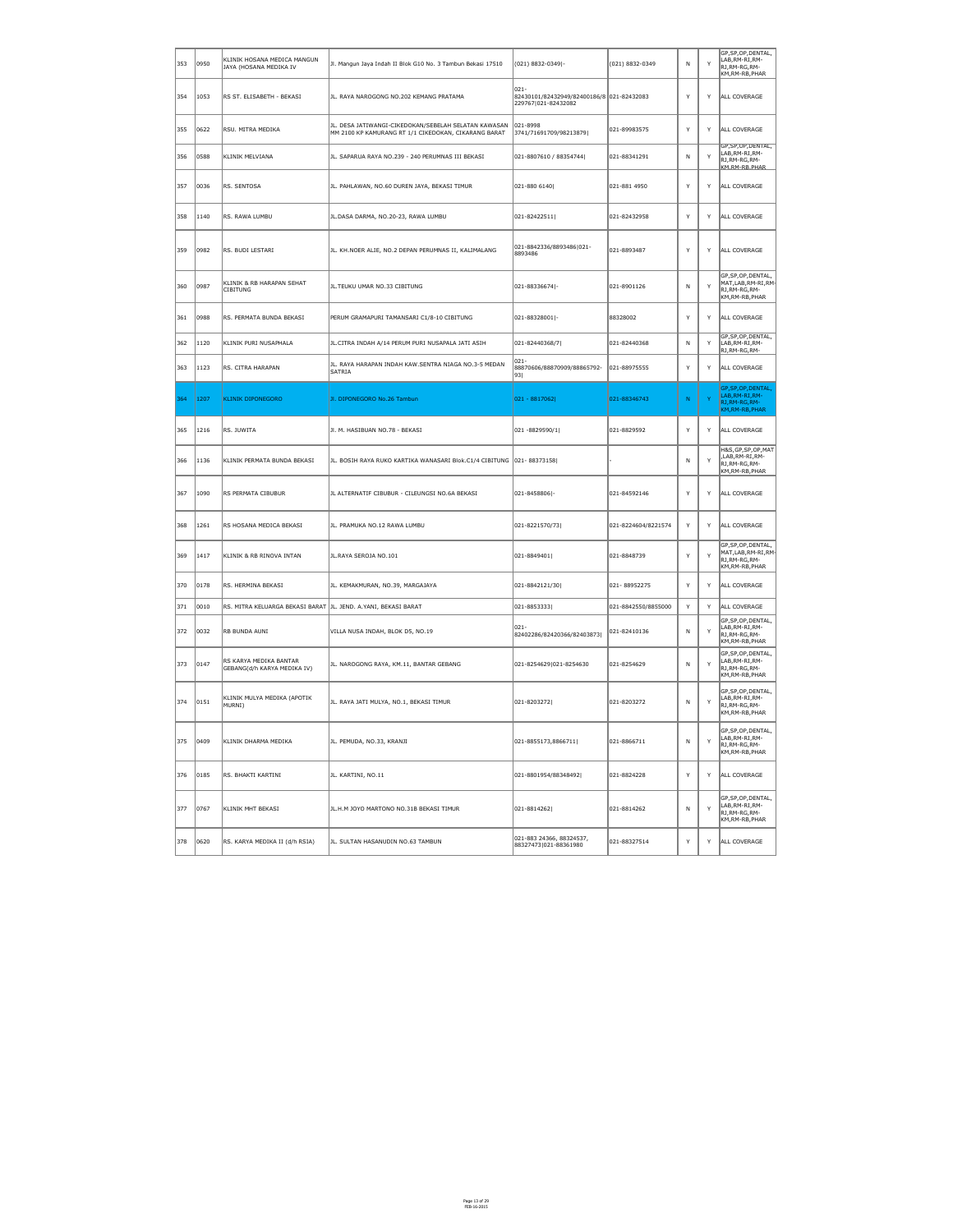| 353        | 0950           | KLINIK HOSANA MEDICA MANGUN<br>JAYA (HOSANA MEDIKA IV          | Jl. Mangun Jaya Indah II Blok G10 No. 3 Tambun Bekasi 17510                                                  | $(021) 8832 - 0349$  -                                                       | $(021) 8832 - 0349$ | N            | Y            | GP, SP, OP, DENTAL,<br>LAB, RM-RI, RM-<br>RJ,RM-RG,RM-<br>KM, RM-RB, PHAR        |
|------------|----------------|----------------------------------------------------------------|--------------------------------------------------------------------------------------------------------------|------------------------------------------------------------------------------|---------------------|--------------|--------------|----------------------------------------------------------------------------------|
| 354        | 1053           | RS ST. ELISABETH - BEKASI                                      | JL. RAYA NAROGONG NO.202 KEMANG PRATAMA                                                                      | $ 021 -$<br>82430101/82432949/82400186/8 021-82432083<br>229767 021-82432082 |                     | Y            | Y            | ALL COVERAGE                                                                     |
| 355        | 0622           | RSU. MITRA MEDIKA                                              | JL. DESA JATIWANGI-CIKEDOKAN/SEBELAH SELATAN KAWASAN<br>MM 2100 KP KAMURANG RT 1/1 CIKEDOKAN, CIKARANG BARAT | 021-8998<br>3741/71691709/98213879                                           | 021-89983575        | Y            | Y            | ALL COVERAGE                                                                     |
| 356        | 0588           | <b>KLINIK MELVIANA</b>                                         | JL. SAPARUA RAYA NO.239 - 240 PERUMNAS III BEKASI                                                            | 021-8807610 / 88354744                                                       | 021-88341291        | N            | Y            | GP, SP, OP, DENTAL,<br>LAB, RM-RI, RM-<br>RJ, RM-RG, RM-<br><b>KM RM-RR PHAR</b> |
| 357        | 0036           | RS. SENTOSA                                                    | JL. PAHLAWAN, NO.60 DUREN JAYA, BEKASI TIMUR                                                                 | $ 021 - 880 6140 $                                                           | 021-881 4950        | Y            | Y            | ALL COVERAGE                                                                     |
| 358        | 1140           | RS. RAWA LUMBU                                                 | JL.DASA DARMA, NO.20-23, RAWA LUMBU                                                                          | $ 021 - 82422511 $                                                           | 021-82432958        | Y            | Y            | ALL COVERAGE                                                                     |
| 359        | 0982           | RS. BUDI LESTARI                                               | JL. KH.NOER ALIE, NO.2 DEPAN PERUMNAS II, KALIMALANG                                                         | 021-8842336/8893486 021-<br>8893486                                          | 021-8893487         | Y            | Y            | ALL COVERAGE                                                                     |
| 360        | 0987           | KLINIK & RB HARAPAN SEHAT<br><b>CIBITUNG</b>                   | JL.TEUKU UMAR NO.33 CIBITUNG                                                                                 | $ 021 - 88336674 $ -                                                         | 021-8901126         | N.           | Y            | GP, SP, OP, DENTAL,<br>MAT, LAB, RM-RI, RM-<br>RJ, RM-RG, RM-<br>KM, RM-RB, PHAR |
| 361        | 0988           | RS. PERMATA BUNDA BEKASI                                       | PERUM GRAMAPURI TAMANSARI C1/8-10 CIBITUNG                                                                   | 021-88328001 -                                                               | 88328002            | Y            | Y            | ALL COVERAGE                                                                     |
| 362        | 1120           | KLINIK PURI NUSAPHALA                                          | JL.CITRA INDAH A/14 PERUM PURI NUSAPALA JATI ASIH                                                            | 021-82440368/7                                                               | 021-82440368        | N            | Y            | GP, SP, OP, DENTAL,<br>LAB, RM-RI, RM-<br>RJ, RM-RG, RM-                         |
| 363        | 1123           | RS. CITRA HARAPAN                                              | JL. RAYA HARAPAN INDAH KAW.SENTRA NIAGA NO.3-5 MEDAN<br><b>SATRIA</b>                                        | $ 021 -$<br>88870606/88870909/88865792-<br> 93                               | 021-88975555        | Y            | Y            | ALL COVERAGE                                                                     |
| 364        | 1207           | <b>KLINIK DIPONEGORO</b>                                       | JI. DIPONEGORO No.26 Tambun                                                                                  | $ 021 - 8817062 $                                                            | 021-88346743        | N.           | $\mathbf{v}$ | GP, SP, OP, DENTAL,<br>LAB, RM-RI, RM-<br>RJ, RM-RG, RM-<br>KM, RM-RB, PHAR      |
| 365        | 1216           | RS. JUWITA                                                     | JI. M. HASIBUAN NO.78 - BEKASI                                                                               | 021 -8829590/1                                                               | 021-8829592         | Y            | Y            | ALL COVERAGE                                                                     |
| 366        | 1136           | KLINIK PERMATA BUNDA BEKASI                                    | JL. BOSIH RAYA RUKO KARTIKA WANASARI Blok.C1/4 CIBITUNG 021-88373158                                         |                                                                              |                     | N            | Y            | H&S, GP, SP, OP, MAT<br>,LAB, RM-RI, RM-<br>RJ, RM-RG, RM-<br>KM, RM-RB, PHAR    |
| 367        | 1090           | RS PERMATA CIBUBUR                                             | JL ALTERNATIF CIBUBUR - CILEUNGSI NO.6A BEKASI                                                               | 021-8458806 -                                                                | 021-84592146        | Y            | Y            | ALL COVERAGE                                                                     |
| 368        | 1261           | RS HOSANA MEDICA BEKASI                                        | JL. PRAMUKA NO.12 RAWA LUMBU                                                                                 | 021-8221570/73                                                               | 021-8224604/8221574 | Y            | Y            | ALL COVERAGE                                                                     |
| 369        | 1417           | KLINIK & RB RINOVA INTAN                                       | JL.RAYA SEROJA NO.101                                                                                        | 021-8849401                                                                  | 021-8848739         | Y            | Y            | GP, SP, OP, DENTAL,<br>MAT, LAB, RM-RI, RM-<br>RJ, RM-RG, RM-<br>KM, RM-RB, PHAR |
| 370        | 0178           | RS. HERMINA BEKASI                                             | JL. KEMAKMURAN, NO.39, MARGAJAYA                                                                             | 021-8842121/30                                                               | 021-88952275        | Y            | Y            | ALL COVERAGE                                                                     |
| 371        | $ 0010\rangle$ | RS. MITRA KELUARGA BEKASI BARAT JL. JEND. A.YANI, BEKASI BARAT |                                                                                                              | 021-8853333                                                                  | 021-8842550/8855000 | Y            | Y            | ALL COVERAGE                                                                     |
| 372        | $ 0032\rangle$ | RB BUNDA AUNI                                                  | VILLA NUSA INDAH, BLOK D5, NO.19                                                                             | 021-<br>82402286/82420366/82403873                                           | 021-82410136        | N            | Y            | GP, SP, OP, DENTAL,<br>LAB, RM-RI, RM-<br>RJ, RM-RG, RM-<br>KM, RM-RB, PHAR      |
| 373        | 0147           | RS KARYA MEDIKA BANTAR<br>GEBANG(d/h KARYA MEDIKA IV)          | JL. NAROGONG RAYA, KM.11, BANTAR GEBANG                                                                      | 021-8254629 021-8254630                                                      | 021-8254629         | N.           | Y            | GP, SP, OP, DENTAL,<br>LAB, RM-RI, RM-<br>RJ, RM-RG, RM-<br>KM, RM-RB, PHAR      |
| 374        | 0151           | KLINIK MULYA MEDIKA (APOTIK<br>MURNI)                          | JL. RAYA JATI MULYA, NO.1, BEKASI TIMUR                                                                      | 021-8203272                                                                  | 021-8203272         | <sup>N</sup> | Y            | GP, SP, OP, DENTAL,<br>LAB, RM-RI, RM-<br>RJ, RM-RG, RM-<br>KM, RM-RB, PHAR      |
| 375        | 0409           | KLINIK DHARMA MEDIKA                                           | JL. PEMUDA, NO.33, KRANJI                                                                                    | 021-8855173,8866711                                                          | 021-8866711         | N            | Y            | GP, SP, OP, DENTAL,<br>LAB, RM-RI, RM-<br>RJ, RM-RG, RM-<br>KM, RM-RB, PHAR      |
| 376        | 0185           | RS. BHAKTI KARTINI                                             | JL. KARTINI, NO.11                                                                                           | 021-8801954/88348492                                                         | 021-8824228         | Y            | Y            | ALL COVERAGE                                                                     |
| 377        | 0767           | <b>KLINIK MHT BEKASI</b>                                       | JL.H.M JOYO MARTONO NO.31B BEKASI TIMUR                                                                      | 021-8814262                                                                  | 021-8814262         | <sup>N</sup> | Y            | GP, SP, OP, DENTAL,<br>LAB, RM-RI, RM-<br>RJ, RM-RG, RM-<br>KM, RM-RB, PHAR      |
| 378   0620 |                | RS. KARYA MEDIKA II (d/h RSIA)                                 | ∥JL. SULTAN HASANUDIN NO.63 TAMBUN                                                                           | 021-883 24366, 88324537,<br> 88327473 021-88361980                           | 021-88327514        | Y            | Y            | ALL COVERAGE                                                                     |

Page 13 of 29 FEB-16-2015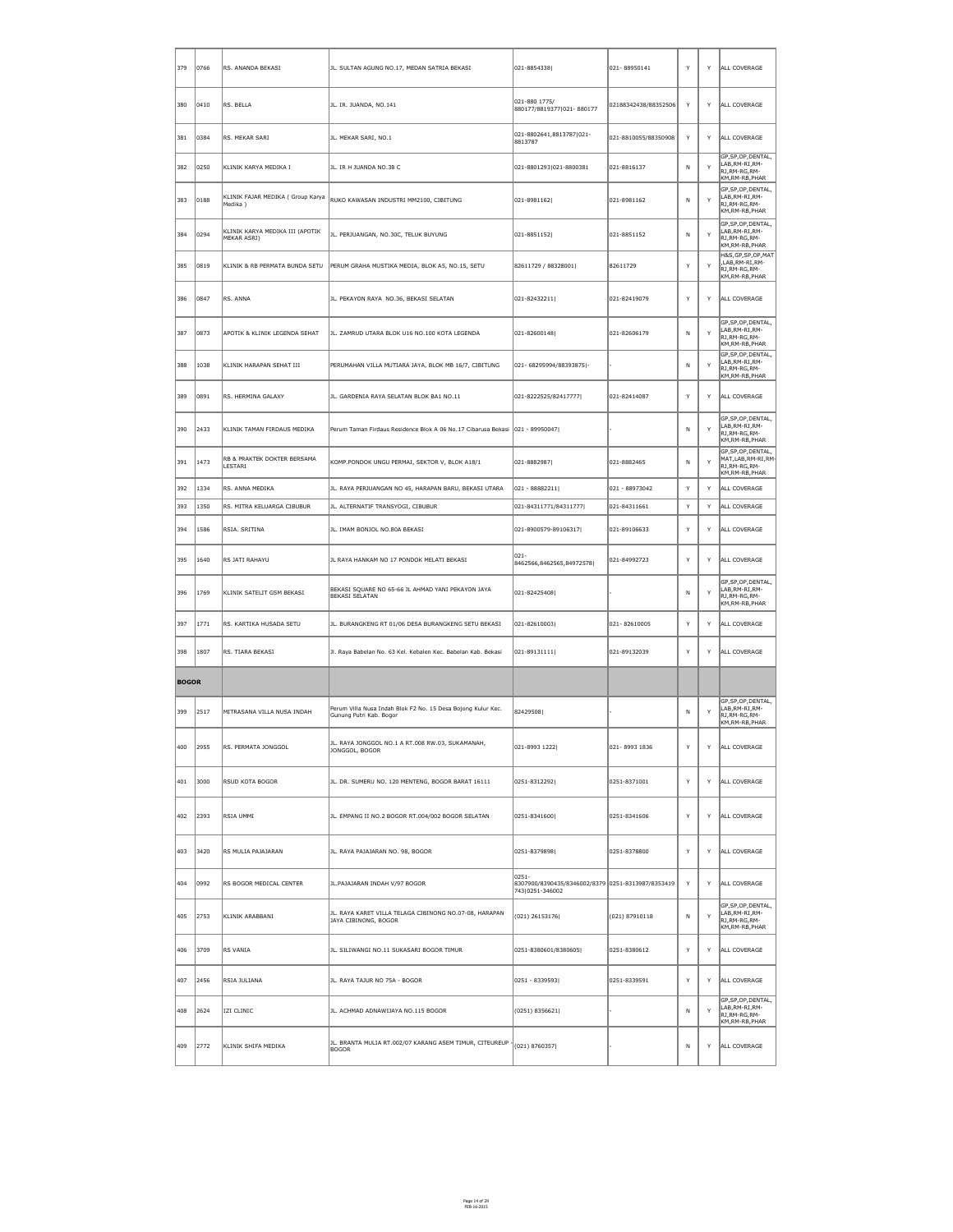| 379          | 0766           | RS. ANANDA BEKASI                                        | JL. SULTAN AGUNG NO.17, MEDAN SATRIA BEKASI                                             | 021-8854338                                                                       | 021-88950141         | Y            | Y            | ALL COVERAGE                                                                           |
|--------------|----------------|----------------------------------------------------------|-----------------------------------------------------------------------------------------|-----------------------------------------------------------------------------------|----------------------|--------------|--------------|----------------------------------------------------------------------------------------|
| 380          | $ 0410\rangle$ | RS. BELLA                                                | JL. IR. JUANDA, NO.141                                                                  | 021-880 1775/<br>880177/8819377 021-880177                                        | 02188342438/88352506 | Y            | Y            | ALL COVERAGE                                                                           |
| 381          | 0384           | RS. MEKAR SARI                                           | JL. MEKAR SARI, NO.1                                                                    | 021-8802641,8813787 021-<br>8813787                                               | 021-8810055/88350908 | Y            | Y            | ALL COVERAGE                                                                           |
| 382          | 0250           | KLINIK KARYA MEDIKA I                                    | JL. IR H JUANDA NO.38 C                                                                 | 021-8801293 021-8800381                                                           | 021-8816137          | $\mathsf{N}$ | Y            | GP, SP, OP, DENTAL,<br>LAB, RM-RI, RM-<br>RJ, RM-RG, RM-<br>KM, RM-RB, PHAR            |
| 383          | 0188           | KLINIK FAJAR MEDIKA ( Group Karya<br>Medika)             | RUKO KAWASAN INDUSTRI MM2100, CIBITUNG                                                  | 021-8981162                                                                       | 021-8981162          | N            | Y            | GP, SP, OP, DENTAL,<br>LAB, RM-RI, RM-<br>RJ, RM-RG, RM-<br>KM, RM-RB, PHAR            |
| 384          | 0294           | KLINIK KARYA MEDIKA III (APOTIK<br>MEKAR ASRI)           | JL. PERJUANGAN, NO.30C, TELUK BUYUNG                                                    | 021-8851152                                                                       | 021-8851152          | N            | Y            | GP, SP, OP, DENTAL,<br>LAB, RM-RI, RM-<br>RJ, RM-RG, RM-<br>KM, RM-RB, PHAR            |
| 385          | 0819           | KLINIK & RB PERMATA BUNDA SETU                           | PERUM GRAHA MUSTIKA MEDIA, BLOK A5, NO.15, SETU                                         | 82611729 / 88328001                                                               | 82611729             | Y            | Y            | H&S,GP,SP,OP,MAT<br>,LAB, RM-RI, RM-<br>RJ, RM-RG, RM-<br>KM, RM-RB, PHAR              |
| 386          | 0847           | RS. ANNA                                                 | JL. PEKAYON RAYA NO.36, BEKASI SELATAN                                                  | 021-82432211                                                                      | 021-82419079         | Y            | Y            | ALL COVERAGE                                                                           |
| 387          | 0873           | APOTIK & KLINIK LEGENDA SEHAT                            | JL. ZAMRUD UTARA BLOK U16 NO.100 KOTA LEGENDA                                           | 021-82600148                                                                      | 021-82606179         | N            | Y            | GP, SP, OP, DENTAL,<br>LAB, RM-RI, RM-<br>RJ,RM-RG,RM-<br>KM, RM-RB, PHAR              |
| 388          | 1038           | KLINIK HARAPAN SEHAT III                                 | PERUMAHAN VILLA MUTIARA JAYA, BLOK MB 16/7, CIBITUNG                                    | 021-68295994/88393875 -                                                           |                      | N            | Y            | GP, SP, OP, DENTAL,<br>LAB, RM-RI, RM-<br>RJ, RM-RG, RM-<br>KM, RM-RB, PHAR            |
| 389          | 0891           | RS. HERMINA GALAXY                                       | JL. GARDENIA RAYA SELATAN BLOK BA1 NO.11                                                | 021-8222525/82417777                                                              | 021-82414087         | Y            | Y            | ALL COVERAGE                                                                           |
| 390          | $ 2433\rangle$ | KLINIK TAMAN FIRDAUS MEDIKA                              | Perum Taman Firdaus Residence Blok A 06 No.17 Cibarusa Bekasi 021 - 89950047            |                                                                                   |                      | N.           | Y            | GP, SP, OP, DENTAL,<br>LAB, RM-RI, RM-<br>RJ, RM-RG, RM-<br>KM,RM-RB,PHAR              |
| 391          | 1473           | <b>RB &amp; PRAKTEK DOKTER BERSAMA</b><br><b>LESTARI</b> | KOMP.PONDOK UNGU PERMAI, SEKTOR V, BLOK A18/1                                           | 021-8882987                                                                       | 021-8882465          | N.           | Y            | GP,SP,OP,DENTAL,<br>MAT,LAB,RM-RI,RM-<br>RJ, RM-RG, RM-<br>KM, RM-RB, PHAR             |
| 392          | 1334           | RS. ANNA MEDIKA                                          | JL. RAYA PERJUANGAN NO 45, HARAPAN BARU, BEKASI UTARA                                   | 021 - 88882211                                                                    | 021 - 88973042       | Y            | Y            | <b>ALL COVERAGE</b>                                                                    |
| 393          | 1350           | RS. MITRA KELUARGA CIBUBUR                               | JL. ALTERNATIF TRANSYOGI, CIBUBUR                                                       | 021-84311771/84311777                                                             | 021-84311661         | Y            | Y            | ALL COVERAGE                                                                           |
| 394          | 1586           | RSIA. SRITINA                                            | JL. IMAM BONJOL NO.80A BEKASI                                                           | 021-8900579-89106317                                                              | 021-89106633         | Y            | $\mathsf{Y}$ | ALL COVERAGE                                                                           |
| 395          | $ 1640\rangle$ | RS JATI RAHAYU                                           | JL RAYA HANKAM NO 17 PONDOK MELATI BEKASI                                               | $ 021 -$<br>8462566,8462565,84972578                                              | 021-84992723         | Y            | Y            | ALL COVERAGE                                                                           |
| 396          | 1769           | KLINIK SATELIT GSM BEKASI                                | BEKASI SQUARE NO 65-66 JL AHMAD YANI PEKAYON JAYA<br><b>BEKASI SELATAN</b>              | 021-82425408                                                                      |                      | N.           | Y            | $\vert$ GP,SP,OP,DENTAL, $\vert$<br>LAB, RM-RI, RM-<br>RJ, RM-RG, RM-<br>KM,RM-RB,PHAR |
| 397          | 1771           | RS. KARTIKA HUSADA SETU                                  | JL. BURANGKENG RT 01/06 DESA BURANGKENG SETU BEKASI                                     | 021-82610003                                                                      | 021-82610005         | Y            | Y            | ALL COVERAGE                                                                           |
| 398          | 1807           | RS. TIARA BEKASI                                         | Jl. Raya Babelan No. 63 Kel. Kebalen Kec. Babelan Kab. Bekasi                           | $ 021 - 89131111 $                                                                | 021-89132039         | Y            | Y            | ALL COVERAGE                                                                           |
| <b>BOGOR</b> |                |                                                          |                                                                                         |                                                                                   |                      |              |              |                                                                                        |
| 399          | 2517           | MITRASANA VILLA NUSA INDAH                               | Perum Villa Nusa Indah Blok F2 No. 15 Desa Bojong Kulur Kec.<br>Gunung Putri Kab. Bogor | 82429508                                                                          |                      | N            | Y            | GP, SP, OP, DENTAL,<br>LAB, RM-RI, RM-<br>RJ, RM-RG, RM-<br>KM, RM-RB, PHAR            |
| 400          | 2955           | RS. PERMATA JONGGOL                                      | JL. RAYA JONGGOL NO.1 A RT.008 RW.03, SUKAMANAH,<br>JONGGOL, BOGOR                      | 021-8993 1222                                                                     | 021-8993 1836        | Y            | Y            | ALL COVERAGE                                                                           |
| 401          | 3000           | <b>RSUD KOTA BOGOR</b>                                   | JL. DR. SUMERU NO. 120 MENTENG, BOGOR BARAT 16111                                       | 0251-8312292                                                                      | 0251-8371001         | Y            | Y            | ALL COVERAGE                                                                           |
| 402          | 2393           | RSIA UMMI                                                | JL. EMPANG II NO.2 BOGOR RT.004/002 BOGOR SELATAN                                       | 0251-8341600                                                                      | 0251-8341606         | Y            | Y            | ALL COVERAGE                                                                           |
| 403          | 3420           | RS MULIA PAJAJARAN                                       | JL. RAYA PAJAJARAN NO. 98, BOGOR                                                        | 0251-8379898                                                                      | 0251-8378800         | Y            | Y            | ALL COVERAGE                                                                           |
| 404          | 0992           | RS BOGOR MEDICAL CENTER                                  | JL. PAJAJARAN INDAH V/97 BOGOR                                                          | $ 0251 -$<br>8307900/8390435/8346002/8379 0251-8313987/8353419<br>743 0251-346002 |                      | Y            | Y            | ALL COVERAGE                                                                           |
| 405          | 2753           | KLINIK ARABBANI                                          | JL. RAYA KARET VILLA TELAGA CIBINONG NO.07-08, HARAPAN<br>JAYA CIBINONG, BOGOR          | $(021)$ 26153176                                                                  | (021) 87910118       | N            | $\mathsf{Y}$ | GP, SP, OP, DENTAL,<br>LAB, RM-RI, RM-<br>RJ, RM-RG, RM-<br>KM, RM-RB, PHAR            |
| 406          | 3709           | RS VANIA                                                 | JL. SILIWANGI NO.11 SUKASARI BOGOR TIMUR                                                | 0251-8380601/8380605                                                              | 0251-8380612         | Y            | Y            | ALL COVERAGE                                                                           |
| 407          | 2456           | <b>RSIA JULIANA</b>                                      | JL. RAYA TAJUR NO 75A - BOGOR                                                           | 0251 - 8339593                                                                    | 0251-8339591         | $\mathsf{v}$ | $\mathsf{Y}$ | ALL COVERAGE                                                                           |
| 408          | 2624           | IZI CLINIC                                               | JL. ACHMAD ADNAWIJAYA NO.115 BOGOR                                                      | (0251) 8356621                                                                    |                      | N.           | Y            | GP, SP, OP, DENTAL,<br>LAB, RM-RI, RM-<br>RJ, RM-RG, RM-<br>KM, RM-RB, PHAR            |
| 409          | 2772           | KLINIK SHIFA MEDIKA                                      | JL. BRANTA MULIA RT.002/07 KARANG ASEM TIMUR, CITEUREUP -<br><b>BOGOR</b>               | $(021)$ 8760357                                                                   |                      | N            | Y            | ALL COVERAGE                                                                           |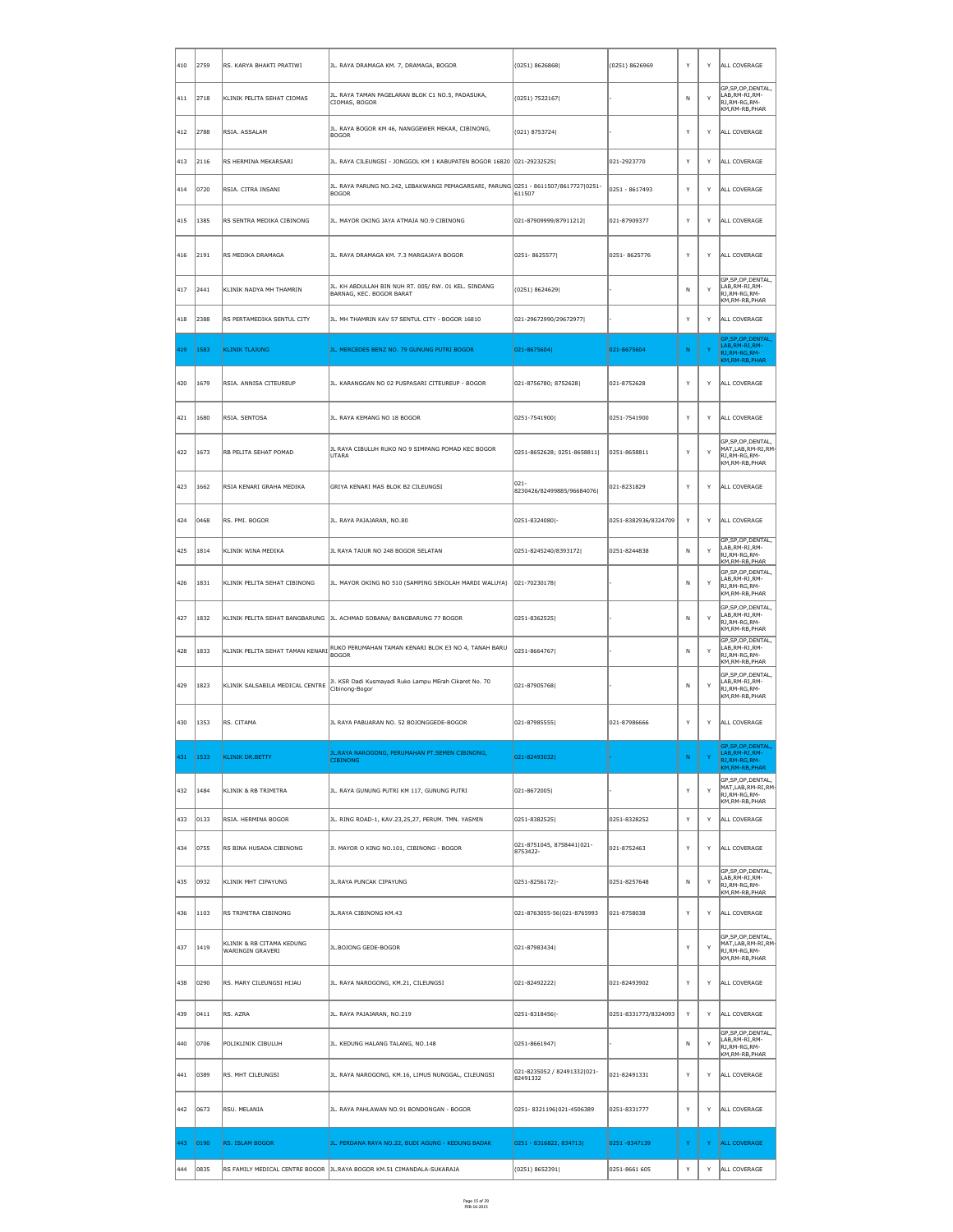| $\parallel$ 410 | 2759           | RS. KARYA BHAKTI PRATIWI                      | JL. RAYA DRAMAGA KM. 7, DRAMAGA, BOGOR                                                              | (0251) 8626868                          | (0251) 8626969       | $\mathsf{Y}$ | Y        | ALL COVERAGE                                                                  |
|-----------------|----------------|-----------------------------------------------|-----------------------------------------------------------------------------------------------------|-----------------------------------------|----------------------|--------------|----------|-------------------------------------------------------------------------------|
| $\vert$ 411     | $ 2718\rangle$ | KLINIK PELITA SEHAT CIOMAS                    | JL. RAYA TAMAN PAGELARAN BLOK C1 NO.5, PADASUKA,<br>CIOMAS, BOGOR                                   | (0251) 7522167                          |                      | N.           | Y        | GP, SP, OP, DENTAL,<br>LAB, RM-RI, RM-<br>RJ, RM-RG, RM-<br>KM,RM-RB,PHAR     |
| $ 412\rangle$   | 2788           | RSIA. ASSALAM                                 | JL. RAYA BOGOR KM 46, NANGGEWER MEKAR, CIBINONG,<br><b>BOGOR</b>                                    | (021) 8753724                           |                      | Y            | Y        | ALL COVERAGE                                                                  |
| 413             | 2116           | RS HERMINA MEKARSARI                          | JL. RAYA CILEUNGSI - JONGGOL KM 1 KABUPATEN BOGOR 16820 021-29232525                                |                                         | 021-2923770          | Y            | Y        | ALL COVERAGE                                                                  |
| $\vert$ 414     | $ 0720\rangle$ | RSIA. CITRA INSANI                            | JL. RAYA PARUNG NO.242, LEBAKWANGI PEMAGARSARI, PARUNG 0251 - 8611507/8617727 0251-<br><b>BOGOR</b> | 611507                                  | $ 0251 - 8617493$    | Y            | Y        | ALL COVERAGE                                                                  |
| $ 415\rangle$   | 1385           | RS SENTRA MEDIKA CIBINONG                     | JL. MAYOR OKING JAYA ATMAJA NO.9 CIBINONG                                                           | 021-87909999/87911212                   | 021-87909377         | Y            | Y        | ALL COVERAGE                                                                  |
| ∥416            | 2191           | RS MEDIKA DRAMAGA                             | JL. RAYA DRAMAGA KM. 7.3 MARGAJAYA BOGOR                                                            | 0251-8625577                            | 0251-8625776         | Y            | Y        | ALL COVERAGE                                                                  |
| $\vert$ 417     | 2441           | KLINIK NADYA MH THAMRIN                       | JL. KH ABDULLAH BIN NUH RT. 005/ RW. 01 KEL. SINDANG<br>BARNAG, KEC. BOGOR BARAT                    | (0251) 8624629                          |                      | N.           | Y        | GP, SP, OP, DENTAL,<br>LAB, RM-RI, RM-<br>RJ, RM-RG, RM-<br>KM, RM-RB, PHAR   |
| $\parallel$ 418 | 2388           | RS PERTAMEDIKA SENTUL CITY                    | JL. MH THAMRIN KAV 57 SENTUL CITY - BOGOR 16810                                                     | 021-29672990/29672977                   |                      | Y            | Y        | ALL COVERAGE                                                                  |
| 419             | 1583           | <b>KLINIK TLAJUNG</b>                         | JL. MERCEDES BENZ NO. 79 GUNUNG PUTRI BOGOR                                                         | $ 021 - 8675604 $                       | 021-8675604          | N            | Y        | GP, SP, OP, DENTAL,<br>LAB, RM-RI, RM-<br>RJ, RM-RG, RM-<br>KM, RM-RB, PHAR   |
| ∥420            | 1679           | RSIA. ANNISA CITEUREUP                        | JL. KARANGGAN NO 02 PUSPASARI CITEUREUP - BOGOR                                                     | 021-8756780; 8752628                    | 021-8752628          | Y            | Y        | ALL COVERAGE                                                                  |
| ∥421            | 1680           | RSIA. SENTOSA                                 | JL. RAYA KEMANG NO 18 BOGOR                                                                         | 0251-7541900                            | 0251-7541900         | Y            | Y        | ALL COVERAGE                                                                  |
| ∥422            | 1673           | RB PELITA SEHAT POMAD                         | JL RAYA CIBULUH RUKO NO 9 SIMPANG POMAD KEC BOGOR<br>UTARA                                          | 0251-8652628; 0251-8658811              | 0251-8658811         | Y            | Y        | GP, SP, OP, DENTAL,<br>MAT,LAB,RM-RI,RM-<br>RJ, RM-RG, RM-<br>KM, RM-RB, PHAR |
| 423             | 1662           | RSIA KENARI GRAHA MEDIKA                      | GRIYA KENARI MAS BLOK B2 CILEUNGSI                                                                  | $ 021 -$<br>8230426/82499885/96684076   | 021-8231829          | Y            | Y        | ALL COVERAGE                                                                  |
| ∥424            | 0468           | RS. PMI. BOGOR                                | JL. RAYA PAJAJARAN, NO.80                                                                           | 0251-8324080 -                          | 0251-8382936/8324709 | Y            | Y        | ALL COVERAGE                                                                  |
| 425             | 1814           | KLINIK WINA MEDIKA                            | JL RAYA TAJUR NO 248 BOGOR SELATAN                                                                  | 0251-8245240/8393172                    | 0251-8244838         | N            | Y        | GP, SP, OP, DENTAL,<br>LAB, RM-RI, RM-<br>RJ, RM-RG, RM-<br>KM, RM-RB, PHAR   |
| 426             | 1831           | KLINIK PELITA SEHAT CIBINONG                  | JL. MAYOR OKING NO 510 (SAMPING SEKOLAH MARDI WALUYA)                                               | $ 021 - 70230178 $                      |                      | N.           | Y        | GP, SP, OP, DENTAL,<br>LAB,RM-RI,RM-<br>RJ, RM-RG, RM-<br>KM, RM-RB, PHAR     |
| ∥427            | 1832           |                                               | KLINIK PELITA SEHAT BANGBARUNG  JL. ACHMAD SOBANA/ BANGBARUNG 77 BOGOR                              | 0251-8362525                            |                      | <b>N</b>     | Y        | GP, SP, OP, DENTAL,<br>LAB, RM-RI, RM-<br>RJ, RM-RG, RM-<br>KM, RM-RB, PHAR   |
| ∥428            | 1833           |                                               | $\epsilon$ KLINIK PELITA SEHAT TAMAN KENARI $\epsilon$ BOGOR                                        | 0251-8664767                            |                      | N.           | Y        | GP, SP, OP, DENTAL,<br>LAB, RM-RI, RM-<br>RJ,RM-RG,RM-<br>KM,RM-RB,PHAR       |
| ∥429            | 1823           | KLINIK SALSABILA MEDICAL CENTRE               | Jl. KSR Dadi Kusmayadi Ruko Lampu MErah Cikaret No. 70<br>Cibinong-Bogor                            | 021-87905768                            |                      | N.           | Y        | GP, SP, OP, DENTAL,<br>LAB, RM-RI, RM-<br>RJ, RM-RG, RM-<br>KM,RM-RB,PHAR     |
| ∥430            | $ 1353\rangle$ | RS. CITAMA                                    | JL RAYA PABUARAN NO. 52 BOJONGGEDE-BOGOR                                                            | 021-87985555                            | 021-87986666         | Y            | Y        | ALL COVERAGE                                                                  |
| 431             | 1533           | <b>KLINIK DR.BETTY</b>                        | JL.RAYA NAROGONG, PERUMAHAN PT.SEMEN CIBINONG,<br><b>CIBINONG</b>                                   | 021-82493032                            |                      | N            | <b>Y</b> | GP, SP, OP, DENTAL,<br>LAB, RM-RI, RM-<br>RJ, RM-RG, RM-<br>KM, RM-RB, PHAR   |
| ∥432            | 1484           | KLINIK & RB TRIMITRA                          | JL. RAYA GUNUNG PUTRI KM 117, GUNUNG PUTRI                                                          | 021-8672005                             |                      | Y            | Y        | GP, SP, OP, DENTAL,<br>MAT,LAB,RM-RI,RM-<br>RJ,RM-RG,RM-<br>KM, RM-RB, PHAR   |
| ∥433            | $ 0133\rangle$ | RSIA. HERMINA BOGOR                           | JL. RING ROAD-1, KAV.23,25,27, PERUM. TMN. YASMIN                                                   | 0251-8382525                            | 0251-8328252         | Y            | Y        | ALL COVERAGE                                                                  |
| ∥434            | 0755           | RS BINA HUSADA CIBINONG                       | JI. MAYOR O KING NO.101, CIBINONG - BOGOR                                                           | 021-8751045, 8758441 021-<br>8753422-   | 021-8752463          | Y            | Y        | ALL COVERAGE                                                                  |
| ∥435            | 0932           | <b>KLINIK MHT CIPAYUNG</b>                    | JL. RAYA PUNCAK CIPAYUNG                                                                            | 0251-8256172 -                          | 0251-8257648         | N.           | Y        | GP, SP, OP, DENTAL,<br>LAB, RM-RI, RM-<br>RJ,RM-RG,RM-<br>KM,RM-RB,PHAR       |
| ∥436            | 1103           | RS TRIMITRA CIBINONG                          | JL. RAYA CIBINONG KM.43                                                                             | 021-8763055-56 021-8765993              | 021-8758038          | Y            | Y        | ALL COVERAGE                                                                  |
| ∥437            | $ 1419\rangle$ | KLINIK & RB CITAMA KEDUNG<br>WARINGIN GRAVERI | JL.BOJONG GEDE-BOGOR                                                                                | 021-87983434                            |                      | Y            | Y        | GP, SP, OP, DENTAL,<br>MAT,LAB,RM-RI,RM-<br>RJ,RM-RG,RM-<br>KM, RM-RB, PHAR   |
| ∥438            | 0290           | RS. MARY CILEUNGSI HIJAU                      | JL. RAYA NAROGONG, KM.21, CILEUNGSI                                                                 | 021-82492222                            | 021-82493902         | Y            | Y        | ALL COVERAGE                                                                  |
| ∥439            | 0411           | RS. AZRA                                      | JL. RAYA PAJAJARAN, NO.219                                                                          | 0251-8318456 -                          | 0251-8331773/8324093 | Y            | Y        | ALL COVERAGE                                                                  |
| ∥440            | 0706           | POLIKLINIK CIBULUH                            | JL. KEDUNG HALANG TALANG, NO.148                                                                    | 0251-8661947                            |                      | N.           | Y        | GP, SP, OP, DENTAL,<br>LAB, RM-RI, RM-<br>RJ,RM-RG,RM-<br>KM, RM-RB, PHAR     |
| ∥441            | 0389           | RS. MHT CILEUNGSI                             | JL. RAYA NAROGONG, KM.16, LIMUS NUNGGAL, CILEUNGSI                                                  | 021-8235052 / 82491332 021-<br>82491332 | 021-82491331         | Y            | Y        | ALL COVERAGE                                                                  |
| 442  0673       |                | RSU. MELANIA                                  | JL. RAYA PAHLAWAN NO.91 BONDONGAN - BOGOR                                                           | 0251-8321196 021-4506389                | 0251-8331777         |              |          | Y   Y   ALL COVERAGE                                                          |
| $ 443\rangle$   | 0190           | <b>RS. ISLAM BOGOR</b>                        | JL. PERDANA RAYA NO.22, BUDI AGUNG - KEDUNG BADAK                                                   | $ 0251 - 8316822, 834713 $              | 0251 - 8347139       | Y.           | Y.       | <b>ALL COVERAGE</b>                                                           |
| ∥444            | 0835           |                                               | RS FAMILY MEDICAL CENTRE BOGOR   JL.RAYA BOGOR KM.51 CIMANDALA-SUKARAJA                             | (0251) 8652391                          | 0251-8661 605        | Y            | Y        | ALL COVERAGE                                                                  |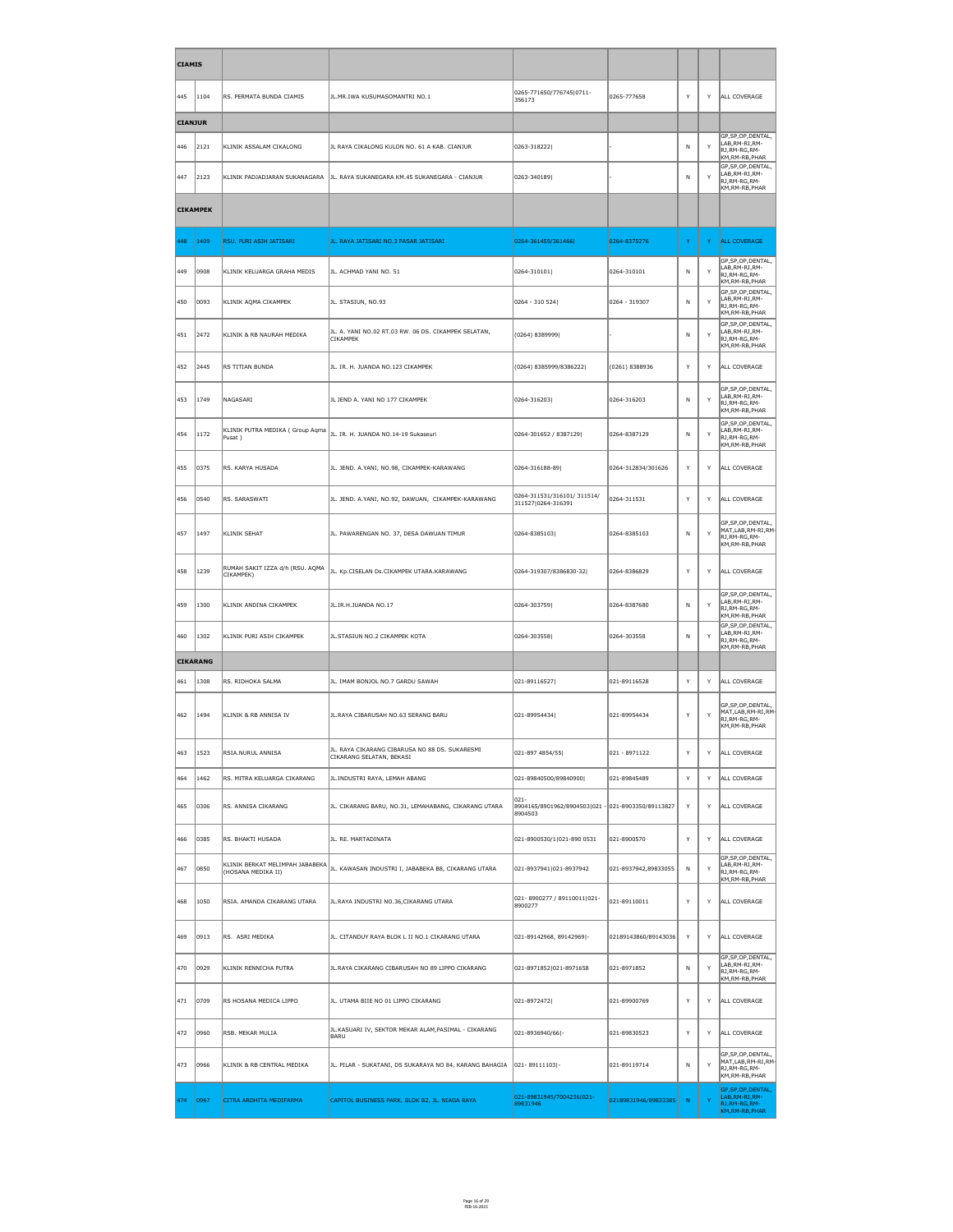| <b>CIAMIS</b>  |                 |                                              |                                                                                                         |                                                                           |                      |    |   |                                                                                       |
|----------------|-----------------|----------------------------------------------|---------------------------------------------------------------------------------------------------------|---------------------------------------------------------------------------|----------------------|----|---|---------------------------------------------------------------------------------------|
| 445            | 1104            | RS. PERMATA BUNDA CIAMIS                     | JL.MR.IWA KUSUMASOMANTRI NO.1                                                                           | 0265-771650/776745 0711-<br>356173                                        | 0265-777658          | Y  | Y | ALL COVERAGE                                                                          |
| <b>CIANJUR</b> |                 |                                              |                                                                                                         |                                                                           |                      |    |   |                                                                                       |
| ∥446           | 2121            | KLINIK ASSALAM CIKALONG                      | JL RAYA CIKALONG KULON NO. 61 A KAB. CIANJUR                                                            | 0263-318222                                                               |                      | N  | Y | GP, SP, OP, DENTAL,<br>LAB, RM-RI, RM-<br>RJ, RM-RG, RM-<br>KM, RM-RB, PHAR           |
| 447            | 2123            | KLINIK PADJADJARAN SUKANAGARA                | JL. RAYA SUKANEGARA KM.45 SUKANEGARA - CIANJUR                                                          | 0263-340189                                                               |                      | N  | Y | GP, SP, OP, DENTAL,<br>LAB, RM-RI, RM-<br>RJ, RM-RG, RM-<br>KM, RM-RB, PHAR           |
|                | <b>CIKAMPEK</b> |                                              |                                                                                                         |                                                                           |                      |    |   |                                                                                       |
| 448            | 1409            | <b>RSU. PURI ASIH JATISARI</b>               | JL. RAYA JATISARI NO.3 PASAR JATISARI                                                                   | 0264-361459/361466                                                        | 0264-8375276         | Y. | Y | <b>ALL COVERAGE</b>                                                                   |
| 449            | 0908            | KLINIK KELUARGA GRAHA MEDIS                  | JL. ACHMAD YANI NO. 51                                                                                  | $ 0264 - 310101 $                                                         | 0264-310101          | N  | Y | GP, SP, OP, DENTAL,<br>LAB, RM-RI, RM-<br>RJ, RM-RG, RM-<br>KM, RM-RB, PHAR           |
| 450            | 0093            | KLINIK AQMA CIKAMPEK                         | JL. STASIUN, NO.93                                                                                      | 0264 - 310 524                                                            | 0264 - 319307        | N  | Y | GP, SP, OP, DENTAL,<br>LAB, RM-RI, RM-<br>RJ, RM-RG, RM-<br>KM, RM-RB, PHAR           |
| 451            | 2472            | KLINIK & RB NAURAH MEDIKA                    | JL. A. YANI NO.02 RT.03 RW. 06 DS. CIKAMPEK SELATAN,<br><b>CIKAMPEK</b>                                 | (0264) 8389999                                                            |                      | N  | Y | GP, SP, OP, DENTAL,<br>LAB, RM-RI, RM-<br>$\mathsf{R}$ J,RM-RG,RM-<br>KM, RM-RB, PHAR |
| 452            | 2445            | RS TITIAN BUNDA                              | JL. IR. H. JUANDA NO.123 CIKAMPEK                                                                       | (0264) 8385999/8386222                                                    | (0261) 8388936       | Y  | Y | ALL COVERAGE                                                                          |
| 453            | 1749            | NAGASARI                                     | JL JEND A. YANI NO 177 CIKAMPEK                                                                         | 0264-316203                                                               | 0264-316203          | N  | Y | GP, SP, OP, DENTAL,<br>LAB, RM-RI, RM-<br>RJ,RM-RG,RM-<br>KM, RM-RB, PHAR             |
| 454            | 1172            | Pusat)                                       | KLINIK PUTRA MEDIKA ( Group Aqma  JL. IR. H. JUANDA NO.14-19 Sukaseuri                                  | 0264-301652 / 8387129                                                     | 0264-8387129         | N  | Y | GP, SP, OP, DENTAL,<br>LAB, RM-RI, RM-<br>RJ, RM-RG, RM-<br>KM, RM-RB, PHAR           |
| 455            | 0375            | RS. KARYA HUSADA                             | JL. JEND. A.YANI, NO.98, CIKAMPEK-KARAWANG                                                              | 0264-316188-89                                                            | 0264-312834/301626   | Y  | Y | ALL COVERAGE                                                                          |
| 456            | 0540            | RS. SARASWATI                                | JL. JEND. A.YANI, NO.92, DAWUAN, CIKAMPEK-KARAWANG                                                      | 0264-311531/316101/311514/<br>311527 0264-316391                          | 0264-311531          | Y  | Y | ALL COVERAGE                                                                          |
| 457            | 1497            | KLINIK SEHAT                                 | JL. PAWARENGAN NO. 37, DESA DAWUAN TIMUR                                                                | $ 0264 - 8385103 $                                                        | 0264-8385103         | N  | Y | GP, SP, OP, DENTAL,<br>MAT, LAB, RM-RI, RM-<br>RJ, RM-RG, RM-<br>KM, RM-RB, PHAR      |
| 458            | 1239            | RUMAH SAKIT IZZA d/h (RSU. AQMA<br>CIKAMPEK) | JL. Kp.CISELAN Ds.CIKAMPEK UTARA.KARAWANG                                                               | 0264-319307/8386830-32                                                    | 0264-8386829         | Y  | Y | ALL COVERAGE                                                                          |
| 1459           | 1300            | KLINIK ANDINA CIKAMPEK                       | JL.IR.H.JUANDA NO.17                                                                                    | 0264-303759                                                               | 0264-8387680         | N  | Y | GP, SP, OP, DENTAL,<br>LAB, RM-RI, RM-<br>RJ, RM-RG, RM-<br>KM, RM-RB, PHAR           |
| 460            | 1302            | KLINIK PURI ASIH CIKAMPEK                    | JL.STASIUN NO.2 CIKAMPEK KOTA                                                                           | 0264-303558                                                               | 0264-303558          | N  | Y | GP, SP, OP, DENTAL,<br>LAB, RM-RI, RM-<br>RJ, RM-RG, RM-<br>KM, RM-RB, PHAR           |
|                | <b>CIKARANG</b> |                                              |                                                                                                         |                                                                           |                      |    |   |                                                                                       |
| 461            | 1308            | RS. RIDHOKA SALMA                            | JL. IMAM BONJOL NO.7 GARDU SAWAH                                                                        | 021-89116527                                                              | 021-89116528         | Y  | Y | <b>ALL COVERAGE</b>                                                                   |
| 462            | 1494            | KLINIK & RB ANNISA IV                        | JL.RAYA CIBARUSAH NO.63 SERANG BARU                                                                     | 021-89954434                                                              | 021-89954434         | Y  | Y | GP, SP, OP, DENTAL,<br>MAT, LAB, RM-RI, RM-<br>RJ, RM-RG, RM-<br>KM, RM-RB, PHAR      |
| 463            | 1523            | RSIA.NURUL ANNISA                            | JL. RAYA CIKARANG CIBARUSA NO 88 DS. SUKARESMI<br>CIKARANG SELATAN, BEKASI                              | 021-897 4854/55                                                           | 021 - 8971122        | Y  | Y | ALL COVERAGE                                                                          |
| 464            | 1462            | RS. MITRA KELUARGA CIKARANG                  | JL.INDUSTRI RAYA, LEMAH ABANG                                                                           | 021-89840500/89840900                                                     | 021-89845489         | Y  | Y | <b>ALL COVERAGE</b>                                                                   |
| 465            | 0306            | RS. ANNISA CIKARANG                          | JL. CIKARANG BARU, NO.31, LEMAHABANG, CIKARANG UTARA                                                    | $ 021 -$<br>8904165/8901962/8904503 021 - 021-8903350/89113827<br>8904503 |                      | Y  | Y | ALL COVERAGE                                                                          |
| 466            | 0385            | RS. BHAKTI HUSADA                            | JL. RE. MARTADINATA                                                                                     | 021-8900530/1 021-890 0531                                                | 021-8900570          | Y  | Y | ALL COVERAGE                                                                          |
| 467            | 0850            | (HOSANA MEDIKA II)                           | $\left\ $ KLINIK BERKAT MELIMPAH JABABEKA $\left\ $ JL. KAWASAN INDUSTRI I, JABABEKA B8, CIKARANG UTARA | 021-8937941 021-8937942                                                   | 021-8937942,89833055 | N  | Y | GP, SP, OP, DENTAL,<br>LAB, RM-RI, RM-<br>RJ, RM-RG, RM-<br>KM, RM-RB, PHAR           |
| 468            | 1050            | RSIA. AMANDA CIKARANG UTARA                  | JL. RAYA INDUSTRI NO. 36, CIKARANG UTARA                                                                | 021-8900277 / 89110011 021-<br>8900277                                    | 021-89110011         | Y  | Y | ALL COVERAGE                                                                          |
| 469            | 0913            | RS. ASRI MEDIKA                              | JL. CITANDUY RAYA BLOK L II NO.1 CIKARANG UTARA                                                         | $[021-89142968, 89142969]$ -                                              | 02189143860/89143036 | Y  | Y | ALL COVERAGE                                                                          |
| 470            | $ 0929\rangle$  | KLINIK RENNICHA PUTRA                        | JL. RAYA CIKARANG CIBARUSAH NO 89 LIPPO CIKARANG                                                        | 021-8971852 021-8971658                                                   | 021-8971852          | N  | Y | GP, SP, OP, DENTAL,<br>LAB, RM-RI, RM-<br>RJ, RM-RG, RM-<br>KM, RM-RB, PHAR           |
| 471            | 0709            | RS HOSANA MEDICA LIPPO                       | JL. UTAMA BIIE NO 01 LIPPO CIKARANG                                                                     | 021-89724721                                                              | 021-89900769         | Y  | Y | ALL COVERAGE                                                                          |
| 472            | 0960            | <b>RSB. MEKAR MULIA</b>                      | JL.KASUARI IV, SEKTOR MEKAR ALAM, PASIMAL - CIKARANG<br>BARU                                            | $ 021 - 8936940/66 $ -                                                    | 021-89830523         | Y  | Y | ALL COVERAGE                                                                          |
| 473            | 0966            | KLINIK & RB CENTRAL MEDIKA                   | JL. PILAR - SUKATANI, DS SUKARAYA NO 84, KARANG BAHAGIA                                                 | $ 021 - 89111103 $ -                                                      | 021-89119714         | N  | Y | GP, SP, OP, DENTAL,<br>MAT, LAB, RM-RI, RM-<br>RJ, RM-RG, RM-<br>KM, RM-RB, PHAR      |
| 474            | 0967            | CITRA ARDHITA MEDIFARMA                      | CAPITOL BUSINESS PARK, BLOK B2, JL. NIAGA RAYA                                                          | 021-89831945/7004236 021-<br>89831946                                     | 02189831946/89833385 | N  | Y | GP, SP, OP, DENTAL,<br>LAB, RM-RI, RM-<br>RJ, RM-RG, RM-<br>KM, RM-RB, PHAR           |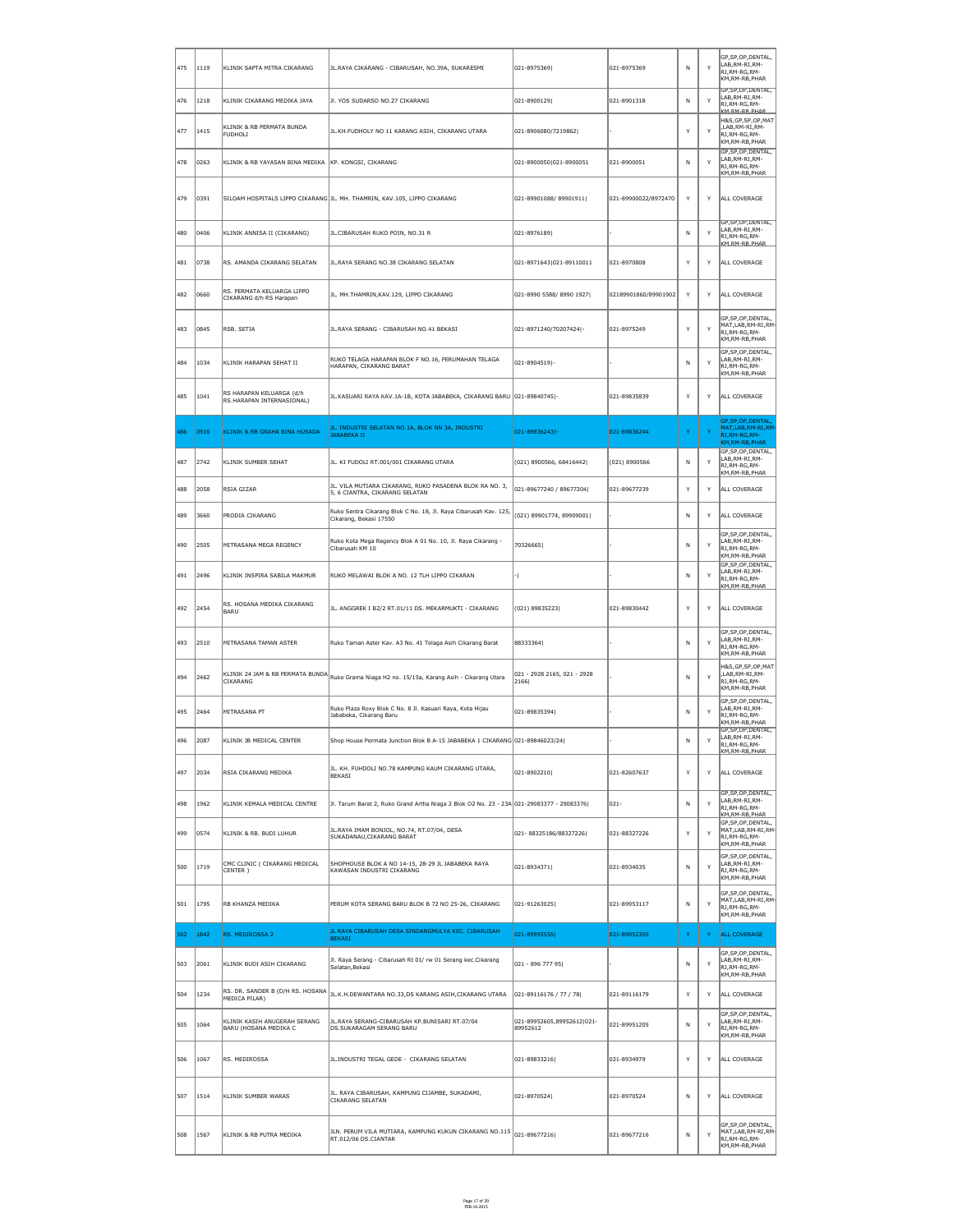| 475 | 1119 | KLINIK SAPTA MITRA CIKARANG                           | JL.RAYA CIKARANG - CIBARUSAH, NO.39A, SUKARESMI                                                                      | 021-8975369                            | 021-8975369          | N      | Y            | GP, SP, OP, DENTAL,<br>LAB, RM-RI, RM-<br>RJ, RM-RG, RM-<br>KM, RM-RB, PHAR             |
|-----|------|-------------------------------------------------------|----------------------------------------------------------------------------------------------------------------------|----------------------------------------|----------------------|--------|--------------|-----------------------------------------------------------------------------------------|
| 476 | 1218 | KLINIK CIKARANG MEDIKA JAYA                           | JI. YOS SUDARSO NO.27 CIKARANG                                                                                       | 021-8900129                            | 021-8901318          | N      | $\mathsf{Y}$ | GP, SP, OP, DENTAL,<br>LAB, RM-RI, RM-<br>RJ, RM-RG, RM-<br>KM RM-RR PHAR               |
| 477 | 1415 | KLINIK & RB PERMATA BUNDA<br><b>FUDHOLI</b>           | JL.KH.FUDHOLY NO 11 KARANG ASIH, CIKARANG UTARA                                                                      | 021-8906080/7219862                    |                      | Y      | $\mathsf{Y}$ | H&S, GP, SP, OP, MAT<br>,LAB, RM-RI, RM-<br>RJ, RM-RG, RM-<br>KM, RM-RB, PHAR           |
| 478 | 0263 | KLINIK & RB YAYASAN BINA MEDIKA KP. KONGSI, CIKARANG  |                                                                                                                      | 021-8900050 021-8900051                | 021-8900051          | N      | Y            | GP, SP, OP, DENTAL,<br>LAB, RM-RI, RM-<br>RJ, RM-RG, RM-<br>KM, RM-RB, PHAR             |
| 479 | 0391 |                                                       | SILOAM HOSPITALS LIPPO CIKARANG JL. MH. THAMRIN, KAV.105, LIPPO CIKARANG                                             | 021-89901088/89901911                  | 021-89900022/8972470 | Y      | Y            | ALL COVERAGE                                                                            |
| 480 | 0406 | KLINIK ANNISA II (CIKARANG)                           | JL.CIBARUSAH RUKO POIN, NO.31 R                                                                                      | 021-8976189                            |                      |        | $\mathsf{Y}$ | GP, SP, OP, DENTAL,<br>LAB, RM-RI, RM-<br>RJ, RM-RG, RM-<br><b>KM RM-RR PHAR</b>        |
| 481 | 0738 | RS. AMANDA CIKARANG SELATAN                           | JL. RAYA SERANG NO.38 CIKARANG SELATAN                                                                               | 021-8971643 021-89110011               | 021-8970808          | Y      | Y            | ALL COVERAGE                                                                            |
| 482 | 0660 | RS. PERMATA KELUARGA LIPPO<br>CIKARANG d/h RS Harapan | JL. MH.THAMRIN, KAV. 129, LIPPO CIKARANG                                                                             | 021-8990 5588/8990 1927                | 02189901860/89901902 | Y      | Y            | ALL COVERAGE                                                                            |
| 483 | 0845 | RSB. SETIA                                            | JL.RAYA SERANG - CIBARUSAH NO.41 BEKASI                                                                              | 021-8971240/70207424 -                 | 021-8975249          | Y      | Y            | GP, SP, OP, DENTAL,<br>$\vert$ MAT,LAB,RM-RI,RM-<br>RJ, RM-RG, RM-<br>KM, RM-RB, PHAR   |
| 484 | 1034 | KLINIK HARAPAN SEHAT II                               | RUKO TELAGA HARAPAN BLOK F NO.16, PERUMAHAN TELAGA<br>HARAPAN, CIKARANG BARAT                                        | 021-8904519 -                          |                      | N      | Y            | GP, SP, OP, DENTAL,<br>LAB, RM-RI, RM-<br>RJ,RM-RG,RM-<br>KM, RM-RB, PHAR               |
| 485 | 1041 | RS HARAPAN KELUARGA (d/h<br>RS.HARAPAN INTERNASIONAL) | JL.KASUARI RAYA KAV.1A-1B, KOTA JABABEKA, CIKARANG BARU 021-89840745 -                                               |                                        | 021-89835839         | Y      | Y            | ALL COVERAGE                                                                            |
| 486 | 0916 | KLINIK & RB GRAHA BINA HUSADA                         | JL. INDUSTRI SELATAN NO.1A, BLOK NN 3A, INDUSTRI<br>JABABEKA II                                                      | 021-89836243 -                         | 021-89836244         | Y      | $\mathbf{Y}$ | GP, SP, OP, DENTAL,<br>MAT, LAB, RM-RI, RM-<br>RJ, RM-RG, RM-<br>KM, RM-RB, PHAR        |
| 487 | 2742 | KLINIK SUMBER SEHAT                                   | JL. KI FUDOLI RT.001/001 CIKARANG UTARA                                                                              | $ (021)$ 8900566, 68416442             | (021) 8900566        | N      | Y            | GP, SP, OP, DENTAL,<br>LAB, RM-RI, RM-<br>RJ,RM-RG,RM-<br>KM, RM-RB, PHAR               |
| 488 | 2058 | RSIA GIZAR                                            | JL. VILA MUTIARA CIKARANG, RUKO PASADENA BLOK RA NO. 3,<br>5, 6 CIANTRA, CIKARANG SELATAN                            | 021-89677240 / 89677204                | 021-89677239         | Y      | Y            | ALL COVERAGE                                                                            |
| 489 | 3660 | <b>PRODIA CIKARANG</b>                                | Ruko Sentra Cikarang Blok C No. 18, Jl. Raya Cibarusah Kav. 125,<br>Cikarang, Bekasi 17550                           | $(021)$ 89901774, 89909001             |                      | N      | Y            | ALL COVERAGE                                                                            |
| 490 | 2505 | MITRASANA MEGA REGENCY                                | Ruko Kota Mega Regency Blok A 01 No. 10, Jl. Raya Cikarang -<br>Cibarusah KM 10                                      | 70326665                               |                      | N      | Y            | GP, SP, OP, DENTAL,<br>LAB, RM-RI, RM-<br>RJ,RM-RG,RM-<br>KM, RM-RB, PHAR               |
| 491 | 2496 | KLINIK INSPIRA SABILA MAKMUR                          | RUKO MELAWAI BLOK A NO. 12 TLH LIPPO CIKARAN                                                                         |                                        |                      | N      | Y            | GP, SP, OP, DENTAL,<br>LAB, RM-RI, RM-<br>RJ,RM-RG,RM-<br>KM, RM-RB, PHAR               |
| 492 | 2454 | RS. HOSANA MEDIKA CIKARANG<br>BARU                    | JL. ANGGREK I B2/2 RT.01/11 DS. MEKARMUKTI - CIKARANG                                                                | (021) 89835223                         | 021-89830442         | Y      | Y            | ALL COVERAGE                                                                            |
| 493 | 2510 | MITRASANA TAMAN ASTER                                 | Ruko Taman Aster Kav. A3 No. 41 Telaga Asih Cikarang Barat                                                           | 88333364                               |                      | N      | $\mathsf{Y}$ | GP, SP, OP, DENTAL,<br>LAB, RM-RI, RM-<br>RJ, RM-RG, RM-<br>KM, RM-RB, PHAR             |
| 494 | 2462 | <b>CIKARANG</b>                                       | $\vert$ KLINIK 24 JAM & RB PERMATA BUNDA $\vert$ Ruko Grama Niaga H2 no. 15/15a, Karang Asih - Cikarang Utara        | 021 - 2928 2165, 021 - 2928<br>2166    |                      | N      | Y            | H&S,GP,SP,OP,MAT<br>,LAB, RM-RI, RM-<br>RJ, RM-RG, RM-<br>KM, RM-RB, PHAR               |
| 495 | 2464 | MITRASANA PT                                          | Ruko Plaza Roxy Blok C No. 8 Jl. Kasuari Raya, Kota Hijau<br>Jababeka, Cikarang Baru                                 | 021-89835394                           |                      | N      | Y            | GP, SP, OP, DENTAL,<br>LAB, RM-RI, RM-<br>RJ, RM-RG, RM-<br>KM, RM-RB, PHAR             |
| 496 | 2087 | KLINIK JB MEDICAL CENTER                              | Shop House Permata Junction Blok B A-15 JABABEKA 1 CIKARANG 021-89846023/24                                          |                                        |                      | N      | Y            | GP, SP, OP, DENTAL,<br>LAB, RM-RI, RM-<br>RJ, RM-RG, RM-                                |
| 497 | 2034 | RSIA CIKARANG MEDIKA                                  | JL. KH. FUHDOLI NO.78 KAMPUNG KAUM CIKARANG UTARA,<br><b>BEKASI</b>                                                  | $ 021 - 8902210 $                      | 021-82607637         | Y      | Y            | KM.RM-RB.PHAR<br>ALL COVERAGE                                                           |
| 498 | 1962 | KLINIK KEMALA MEDICAL CENTRE                          | Jl. Tarum Barat 2, Ruko Grand Artha Niaga 2 Blok O2 No. 23 - 23A 021-29083377 - 29083376                             |                                        | $ 021 -$             | N      | Y            | GP, SP, OP, DENTAL,<br>LAB,RM-RI,RM-<br>RJ, RM-RG, RM-                                  |
| 499 | 0574 | KLINIK & RB. BUDI LUHUR                               | JL.RAYA IMAM BONJOL, NO.74, RT.07/04, DESA<br>SUKADANAU, CIKARANG BARAT                                              | 021-88325186/88327226                  | 021-88327226         | Y      | $\mathsf{Y}$ | KM.RM-RB.PHAR<br>GP,SP,OP,DENTAL,<br>MAT,LAB,RM-RI,RM-<br>RJ,RM-RG,RM-<br>KM,RM-RB,PHAR |
| 500 | 1719 | CMC CLINIC ( CIKARANG MEDICAL<br>CENTER)              | SHOPHOUSE BLOK A NO 14-15, 28-29 JL JABABEKA RAYA<br>KAWASAN INDUSTRI CIKARANG                                       | $ 021 - 8934371 $                      | 021-8934035          | N      | $\mathsf{Y}$ | GP, SP, OP, DENTAL,<br>LAB, RM-RI, RM-<br>RJ,RM-RG,RM-<br>KM, RM-RB, PHAR               |
| 501 | 1795 | RB KHANZA MEDIKA                                      | PERUM KOTA SERANG BARU BLOK B 72 NO 25-26, CIKARANG                                                                  | 021-91263025                           | 021-89953117         | N      | $\mathsf{Y}$ | GP,SP,OP,DENTAL,<br>$\vert$ MAT,LAB,RM-RI,RM-<br>RJ, RM-RG, RM-<br>KM,RM-RB,PHAR        |
| 502 | 1842 | RS. MEDIROSSA 2                                       | JL RAYA CIBARUSAH DESA SINDANGMULYA KEC. CIBARUSAH<br><b>BEKASI</b>                                                  | 021-89955555                           | 021-89952355         |        | Y            | <b>ALL COVERAGE</b>                                                                     |
| 503 | 2061 | KLINIK BUDI ASIH CIKARANG                             | Jl. Raya Serang - Cibarusah Rt 01/rw 01 Serang kec. Cikarang<br>Selatan, Bekasi                                      | 021 - 896 777 95                       |                      | N      | $\mathsf{Y}$ | GP, SP, OP, DENTAL,<br>LAB, RM-RI, RM-<br>RJ,RM-RG,RM-<br>KM, RM-RB, PHAR               |
| 504 | 1234 | MEDICA PILAR)                                         | $\left\ $ RS. DR. SANDER B (D/H RS. HOSANA $\left\ _{\text{JL.K.H.} }$ DEWANTARA NO.33,DS KARANG ASIH,CIKARANG UTARA | $ 021 - 89116176 / 77 / 78 $           | 021-89116179         | $\vee$ | Y            | ALL COVERAGE                                                                            |
| 505 | 1064 | KLINIK KASIH ANUGERAH SERANG<br>BARU (HOSANA MEDIKA C | JL.RAYA SERANG-CIBARUSAH KP.BUNISARI RT.07/04<br><b>DS.SUKARAGAM SERANG BARU</b>                                     | 021-89952605,89952612 021-<br>89952612 | 021-89951205         | N      | Y            | GP, SP, OP, DENTAL,<br>LAB, RM-RI, RM-<br>RJ, RM-RG, RM-<br>KM, RM-RB, PHAR             |
| 506 | 1067 | RS. MEDIROSSA                                         | JL. INDUSTRI TEGAL GEDE - CIKARANG SELATAN                                                                           | 021-89833216                           | 021-8934979          | Y      | Y            | ALL COVERAGE                                                                            |
| 507 | 1514 | KLINIK SUMBER WARAS                                   | JL. RAYA CIBARUSAH, KAMPUNG CIJAMBE, SUKADAMI,<br><b>CIKARANG SELATAN</b>                                            | 021-8970524                            | 021-8970524          | N      | Y            | ALL COVERAGE                                                                            |
| 508 | 1567 | KLINIK & RB PUTRA MEDIKA                              | JLN. PERUM VILA MUTIARA, KAMPUNG KUKUN CIKARANG NO.115<br>RT.012/06 DS.CIANTAR                                       | $ 021 - 89677216 $                     | 021-89677216         | N      | Y            | GP, SP, OP, DENTAL,<br>$\vert$ MAT,LAB,RM-RI,RM-<br>RJ, RM-RG, RM-<br>KM,RM-RB,PHAR     |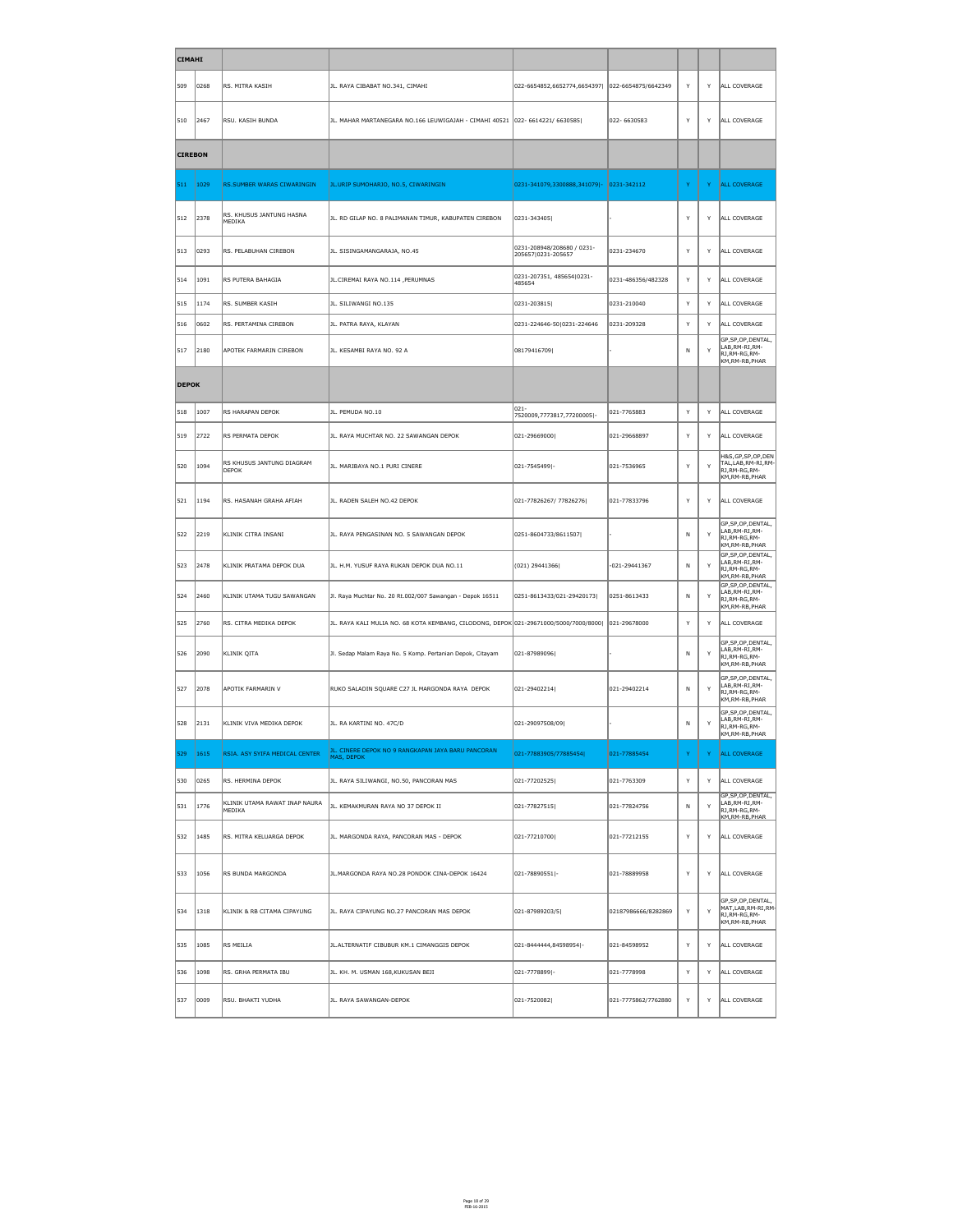| <b>CIMAHI</b>  |                |                                         |                                                                                                    |                                                   |                     |          |              |                                                                                     |
|----------------|----------------|-----------------------------------------|----------------------------------------------------------------------------------------------------|---------------------------------------------------|---------------------|----------|--------------|-------------------------------------------------------------------------------------|
| 509            | 0268           | RS. MITRA KASIH                         | JL. RAYA CIBABAT NO.341, CIMAHI                                                                    | 022-6654852,6652774,6654397   022-6654875/6642349 |                     | Y        | Y            | ALL COVERAGE                                                                        |
| 510            | 2467           | RSU. KASIH BUNDA                        | JL. MAHAR MARTANEGARA NO.166 LEUWIGAJAH - CIMAHI 40521 022- 6614221/ 6630585                       |                                                   | 022-6630583         | Y        | Y            | ALL COVERAGE                                                                        |
| <b>CIREBON</b> |                |                                         |                                                                                                    |                                                   |                     |          |              |                                                                                     |
| 511            | 1029           | RS.SUMBER WARAS CIWARINGIN              | JL.URIP SUMOHARJO, NO.5, CIWARINGIN                                                                | 0231-341079,3300888,341079 - 0231-342112          |                     | Y        | Y            | <b>ALL COVERAGE</b>                                                                 |
| 512            | 2378           | RS. KHUSUS JANTUNG HASNA<br>MEDIKA      | JL. RD GILAP NO. 8 PALIMANAN TIMUR, KABUPATEN CIREBON                                              | $ 0231 - 343405 $                                 |                     | Y        | Y            | ALL COVERAGE                                                                        |
| 513            | 0293           | RS. PELABUHAN CIREBON                   | JL. SISINGAMANGARAJA, NO.45                                                                        | 0231-208948/208680 / 0231-<br>205657 0231-205657  | 0231-234670         | Y        | Y            | ALL COVERAGE                                                                        |
| 514            | 1091           | RS PUTERA BAHAGIA                       | JL.CIREMAI RAYA NO.114, PERUMNAS                                                                   | 0231-207351, 485654 0231-<br>485654               | 0231-486356/482328  | Y        | Y            | ALL COVERAGE                                                                        |
| 515            | 1174           | RS. SUMBER KASIH                        | JL. SILIWANGI NO.135                                                                               | 0231-203815                                       | 0231-210040         | Y        | Y            | ALL COVERAGE                                                                        |
| 516            | 0602           | RS. PERTAMINA CIREBON                   | JL. PATRA RAYA, KLAYAN                                                                             | 0231-224646-50 0231-224646                        | 0231-209328         | Y        | Y            | ALL COVERAGE                                                                        |
| 517            | 2180           | APOTEK FARMARIN CIREBON                 | JL. KESAMBI RAYA NO. 92 A                                                                          | 08179416709                                       |                     | N        | Y            | GP, SP, OP, DENTAL,<br>LAB, RM-RI, RM-<br>RJ, RM-RG, RM-<br>KM, RM-RB, PHAR         |
| <b>DEPOK</b>   |                |                                         |                                                                                                    |                                                   |                     |          |              |                                                                                     |
| 518            | 1007           | RS HARAPAN DEPOK                        | JL. PEMUDA NO.10                                                                                   | 021-<br>7520009,7773817,77200005 -                | 021-7765883         | Y        | $\mathsf{Y}$ | ALL COVERAGE                                                                        |
| 519            | 2722           | RS PERMATA DEPOK                        | JL. RAYA MUCHTAR NO. 22 SAWANGAN DEPOK                                                             | 021-29669000                                      | 021-29668897        | Y        | Y            | ALL COVERAGE                                                                        |
| 520            | $\ 1094\ $     | RS KHUSUS JANTUNG DIAGRAM<br>DEPOK      | JL. MARIBAYA NO.1 PURI CINERE                                                                      | 021-7545499 -                                     | 021-7536965         | Y        | Y            | H&S, GP, SP, OP, DEN<br>TAL, LAB, RM-RI, RM-<br>RJ, RM-RG, RM-<br>KM, RM-RB, PHAR   |
| 521            | 1194           | RS. HASANAH GRAHA AFIAH                 | JL. RADEN SALEH NO.42 DEPOK                                                                        | 021-77826267/77826276                             | 021-77833796        | Y        | Y            | ALL COVERAGE                                                                        |
| 522            | 2219           | KLINIK CITRA INSANI                     | JL. RAYA PENGASINAN NO. 5 SAWANGAN DEPOK                                                           | 0251-8604733/8611507                              |                     | N        | Y            | GP, SP, OP, DENTAL,<br>LAB, RM-RI, RM-<br>RJ, RM-RG, RM-<br>KM, RM-RB, PHAR         |
| 523            | 2478           | KLINIK PRATAMA DEPOK DUA                | JL. H.M. YUSUF RAYA RUKAN DEPOK DUA NO.11                                                          | (021) 29441366                                    | -021-29441367       | N        | Y            | GP, SP, OP, DENTAL,<br>LAB, RM-RI, RM-<br>RJ, RM-RG, RM-<br>$ $ KM,RM-RB,PHAR       |
| 524            | $ 2460\rangle$ | KLINIK UTAMA TUGU SAWANGAN              | Jl. Raya Muchtar No. 20 Rt.002/007 Sawangan - Depok 16511                                          | 0251-8613433/021-29420173                         | 0251-8613433        | N        | Y            | GP, SP, OP, DENTAL,<br>LAB, RM-RI, RM-<br>RJ, RM-RG, RM-<br>KM, RM-RB, PHAR         |
| 525            | 2760           | RS. CITRA MEDIKA DEPOK                  | JL. RAYA KALI MULIA NO. 68 KOTA KEMBANG, CILODONG, DEPOK 021-29671000/5000/7000/8000  021-29678000 |                                                   |                     | <b>V</b> | Y            | ALL COVERAGE                                                                        |
| 526            | 2090           | KLINIK QITA                             | Jl. Sedap Malam Raya No. 5 Komp. Pertanian Depok, Citayam                                          | 021-87989096                                      |                     | N        | Y            | GP, SP, OP, DENTAL,<br>LAB, RM-RI, RM-<br>RJ, RM-RG, RM-<br>KM,RM-RB,PHAR           |
| 527            | 2078           | APOTIK FARMARIN V                       | RUKO SALADIN SQUARE C27 JL MARGONDA RAYA DEPOK                                                     | 021-29402214                                      | 021-29402214        | N        | Y            | GP, SP, OP, DENTAL,<br>LAB, RM-RI, RM-<br>RJ, RM-RG, RM-<br>KM,RM-RB,PHAR           |
| 528            | 2131           | KLINIK VIVA MEDIKA DEPOK                | JL. RA KARTINI NO. 47C/D                                                                           | 021-29097508/09                                   |                     | N        | Y            | GP, SP, OP, DENTAL,<br>LAB, RM-RI, RM-<br>RJ, RM-RG, RM-<br>KM, RM-RB, PHAR         |
| 529            | 1615           | RSIA. ASY SYIFA MEDICAL CENTER          | JL. CINERE DEPOK NO 9 RANGKAPAN JAYA BARU PANCORAN<br>MAS, DEPOK                                   | 021-77883905/77885454                             | 021-77885454        | Y        | Y            | <b>ALL COVERAGE</b>                                                                 |
| 530            | 0265           | RS. HERMINA DEPOK                       | JL. RAYA SILIWANGI, NO.50, PANCORAN MAS                                                            | 021-77202525                                      | 021-7763309         | Y        | Y            | ALL COVERAGE                                                                        |
| 531            | 1776           | KLINIK UTAMA RAWAT INAP NAURA<br>MEDIKA | JL. KEMAKMURAN RAYA NO 37 DEPOK II                                                                 | 021-77827515                                      | 021-77824756        | N        | Y            | GP, SP, OP, DENTAL,<br>LAB, RM-RI, RM-<br>RJ, RM-RG, RM-<br>KM, RM-RB, PHAR         |
| 532            | 1485           | RS. MITRA KELUARGA DEPOK                | JL. MARGONDA RAYA, PANCORAN MAS - DEPOK                                                            | 021-77210700                                      | 021-77212155        | Y        | Y            | ALL COVERAGE                                                                        |
| 533            | 1056           | RS BUNDA MARGONDA                       | JL.MARGONDA RAYA NO.28 PONDOK CINA-DEPOK 16424                                                     | 021-78890551 -                                    | 021-78889958        | Y        | Y            | ALL COVERAGE                                                                        |
| 534            | 1318           | KLINIK & RB CITAMA CIPAYUNG             | JL. RAYA CIPAYUNG NO.27 PANCORAN MAS DEPOK                                                         | 021-87989203/5                                    | 02187986666/8282869 | Y.       | Y            | GP, SP, OP, DENTAL,<br>$\vert$ MAT,LAB,RM-RI,RM-<br>RJ,RM-RG,RM-<br>KM, RM-RB, PHAR |
| 535            | 1085           | RS MEILIA                               | JL. ALTERNATIF CIBUBUR KM. 1 CIMANGGIS DEPOK                                                       | 021-8444444,84598954 -                            | 021-84598952        | Y        | Y            | ALL COVERAGE                                                                        |
| 536            | 1098           | RS. GRHA PERMATA IBU                    | JL. KH. M. USMAN 168,KUKUSAN BEJI                                                                  | 021-7778899 -                                     | 021-7778998         | Y        | Y            | ALL COVERAGE                                                                        |
| 537            | $\vert$ 0009   | RSU. BHAKTI YUDHA                       | JL. RAYA SAWANGAN-DEPOK                                                                            | 021-7520082                                       | 021-7775862/7762880 | Y        | Y            | ALL COVERAGE                                                                        |

Page 18 of 29 FEB-16-2015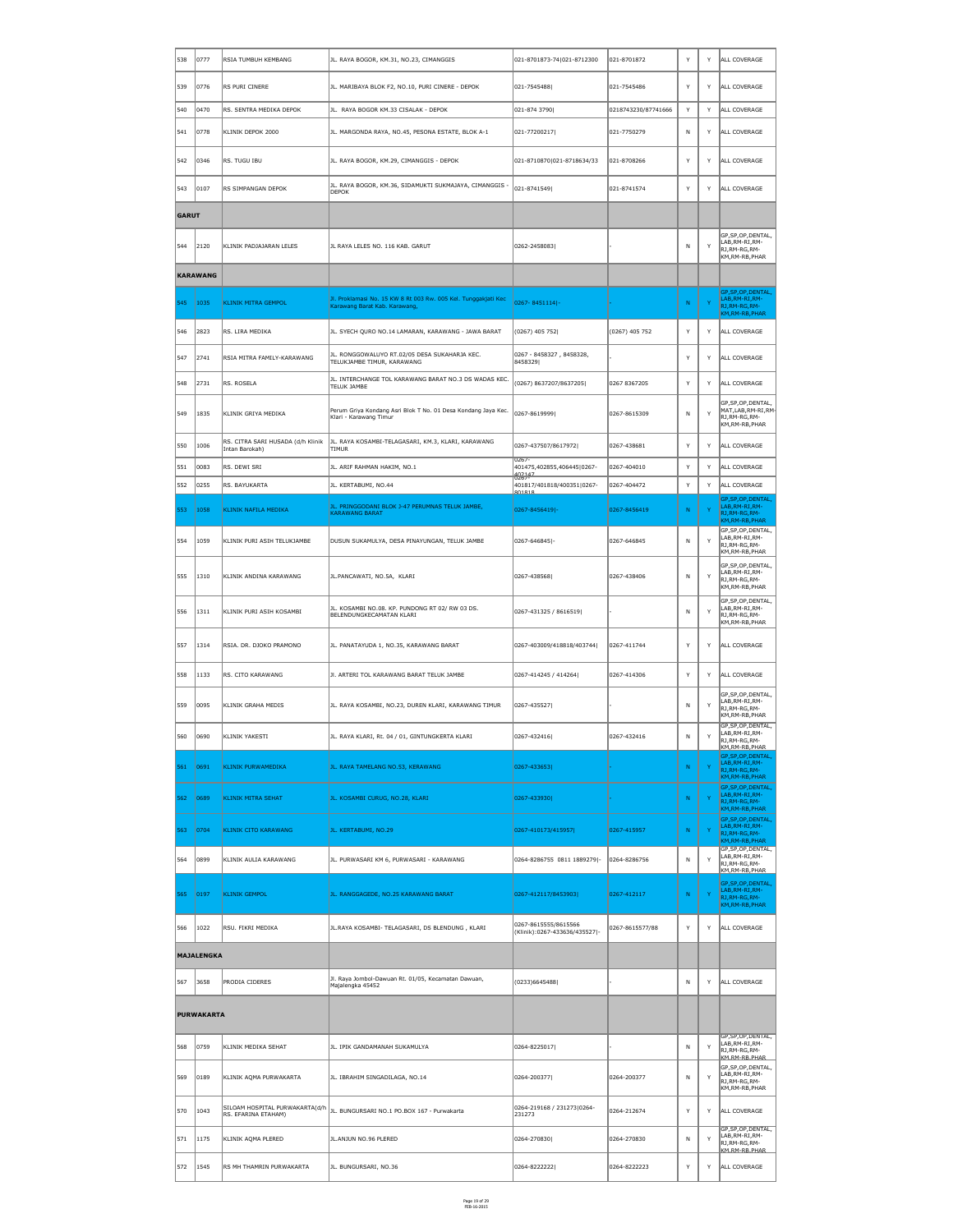| 538          | $ 0777\rangle$    | RSIA TUMBUH KEMBANG                                 | JL. RAYA BOGOR, KM.31, NO.23, CIMANGGIS                                                         | 021-8701873-74 021-8712300                            | 021-8701872         | Y            | Y            | ALL COVERAGE                                                                     |
|--------------|-------------------|-----------------------------------------------------|-------------------------------------------------------------------------------------------------|-------------------------------------------------------|---------------------|--------------|--------------|----------------------------------------------------------------------------------|
| 539          | 0776              | RS PURI CINERE                                      | JL. MARIBAYA BLOK F2, NO.10, PURI CINERE - DEPOK                                                | 021-7545488                                           | 021-7545486         | Y            | Y            | ALL COVERAGE                                                                     |
| 540          | 0470              | RS. SENTRA MEDIKA DEPOK                             | JL. RAYA BOGOR KM.33 CISALAK - DEPOK                                                            | 021-874 3790                                          | 0218743230/87741666 | Y            | Y            | ALL COVERAGE                                                                     |
| 541          | 0778              | KLINIK DEPOK 2000                                   | JL. MARGONDA RAYA, NO.45, PESONA ESTATE, BLOK A-1                                               | 021-77200217                                          | 021-7750279         | N            | Y            | ALL COVERAGE                                                                     |
| 542          | 0346              | RS. TUGU IBU                                        | JL. RAYA BOGOR, KM.29, CIMANGGIS - DEPOK                                                        | 021-8710870 021-8718634/33                            | 021-8708266         | Y            | Y            | ALL COVERAGE                                                                     |
| 543          | 0107              | RS SIMPANGAN DEPOK                                  | JL. RAYA BOGOR, KM.36, SIDAMUKTI SUKMAJAYA, CIMANGGIS -<br><b>DEPOK</b>                         | 021-8741549                                           | 021-8741574         | Y            | Y            | ALL COVERAGE                                                                     |
| <b>GARUT</b> |                   |                                                     |                                                                                                 |                                                       |                     |              |              |                                                                                  |
| 544          | $ 2120\rangle$    | KLINIK PADJAJARAN LELES                             | JL RAYA LELES NO. 116 KAB. GARUT                                                                | 0262-2458083                                          |                     | N            | Y            | GP, SP, OP, DENTAL,<br>LAB,RM-RI,RM-<br>RJ, RM-RG, RM-<br>KM, RM-RB, PHAR        |
|              | <b>KARAWANG</b>   |                                                     |                                                                                                 |                                                       |                     |              |              |                                                                                  |
| 545          | 1035              | <b>KLINIK MITRA GEMPOL</b>                          | Jl. Proklamasi No. 15 KW 8 Rt 003 Rw. 005 Kel. Tunggakjati Kec<br>Karawang Barat Kab. Karawang, | 0267-8451114 -                                        |                     | N            | $\mathsf{Y}$ | GP, SP, OP, DENTAL,<br>LAB, RM-RI, RM-<br>RJ, RM-RG, RM-<br>KM, RM-RB, PHAR      |
| 546          | 2823              | RS. LIRA MEDIKA                                     | JL. SYECH QURO NO.14 LAMARAN, KARAWANG - JAWA BARAT                                             | $(0267)$ 405 752                                      | $(0267)$ 405 752    | Y            | Y            | ALL COVERAGE                                                                     |
| 547          | 2741              | RSIA MITRA FAMILY-KARAWANG                          | JL. RONGGOWALUYO RT.02/05 DESA SUKAHARJA KEC.<br>TELUKJAMBE TIMUR, KARAWANG                     | 0267 - 8458327, 8458328,<br>84583291                  |                     | <b>V</b>     | Y            | ALL COVERAGE                                                                     |
| 548          | 2731              | RS. ROSELA                                          | JL. INTERCHANGE TOL KARAWANG BARAT NO.3 DS WADAS KEC.<br>TELUK JAMBE                            | (0267) 8637207/8637205                                | 0267 8367205        | Y            | Y            | ALL COVERAGE                                                                     |
| 549          | 1835              | KLINIK GRIYA MEDIKA                                 | Perum Griya Kondang Asri Blok T No. 01 Desa Kondang Jaya Kec.<br>Klari - Karawang Timur         | 0267-8619999                                          | 0267-8615309        | N            | Y            | GP,SP,OP,DENTAL,<br>$\vert$ MAT,LAB,RM-RI,RM-<br>RJ, RM-RG, RM-<br>KM,RM-RB,PHAR |
| 550          | $\vert$ 1006      | RS. CITRA SARI HUSADA (d/h Klinik<br>Intan Barokah) | JL. RAYA KOSAMBI-TELAGASARI, KM.3, KLARI, KARAWANG<br><b>TIMUR</b>                              | 0267-437507/8617972                                   | 0267-438681         | <b>Y</b>     | Y            | ALL COVERAGE                                                                     |
| 551          | 0083              | RS. DEWI SRI                                        | JL. ARIF RAHMAN HAKIM, NO.1                                                                     | $0267 -$<br>401475,402855,406445 0267-<br>402147      | 0267-404010         | Y            | Y            | ALL COVERAGE                                                                     |
| 552          | 0255              | RS. BAYUKARTA                                       | JL. KERTABUMI, NO.44                                                                            | $UZb$ /-<br>401817/401818/400351 0267-<br>801818      | 0267-404472         | Y            | Y            | ALL COVERAGE                                                                     |
| 553          | 1058              | KLINIK NAFILA MEDIKA                                | JL. PRINGGODANI BLOK J-47 PERUMNAS TELUK JAMBE,<br><b>KARAWANG BARAT</b>                        | 0267-8456419 -                                        | 0267-8456419        | N            | $\mathbf{Y}$ | GP, SP, OP, DENTAL,<br>LAB, RM-RI, RM-<br>RJ, RM-RG, RM-<br>KM, RM-RB, PHAR      |
| 554          | 1059              | KLINIK PURI ASIH TELUKJAMBE                         | DUSUN SUKAMULYA, DESA PINAYUNGAN, TELUK JAMBE                                                   | 0267-646845 -                                         | 0267-646845         | N            | Y            | GP, SP, OP, DENTAL,<br>LAB, RM-RI, RM-<br>RJ,RM-RG,RM-<br>KM,RM-RB,PHAR          |
| 555          | 1310              | KLINIK ANDINA KARAWANG                              | JL.PANCAWATI, NO.5A, KLARI                                                                      | 0267-438568                                           | 0267-438406         | N            | Y            | GP,SP,OP,DENTAL,<br>LAB, RM-RI, RM-<br> RJ,RM-RG,RM-<br>KM,RM-RB,PHAR            |
| 556          | 1311              | KLINIK PURI ASIH KOSAMBI                            | JL. KOSAMBI NO.08. KP. PUNDONG RT 02/RW 03 DS.<br>BELENDUNGKECAMATAN KLARI                      | 0267-431325 / 8616519                                 |                     | N            | $\mathsf{Y}$ | GP, SP, OP, DENTAL,<br>LAB, RM-RI, RM-<br>RJ, RM-RG, RM-<br>KM,RM-RB,PHAR        |
| 557          | 1314              | RSIA. DR. DJOKO PRAMONO                             | JL. PANATAYUDA 1, NO.35, KARAWANG BARAT                                                         | 0267-403009/418818/403744                             | 0267-411744         | Y            | Y            | ALL COVERAGE                                                                     |
| 558          | $\vert$ 1133      | RS. CITO KARAWANG                                   | JI. ARTERI TOL KARAWANG BARAT TELUK JAMBE                                                       | 0267-414245 / 414264                                  | 0267-414306         | Y            | Y            | ALL COVERAGE                                                                     |
| 559          | 0095              | KLINIK GRAHA MEDIS                                  | JL. RAYA KOSAMBI, NO.23, DUREN KLARI, KARAWANG TIMUR                                            | 0267-435527                                           |                     | N            | Y            | GP, SP, OP, DENTAL,<br>LAB, RM-RI, RM-<br>RJ,RM-RG,RM-<br>KM,RM-RB,PHAR          |
| 560          | 0690              | KLINIK YAKESTI                                      | JL. RAYA KLARI, Rt. 04 / 01, GINTUNGKERTA KLARI                                                 | 0267-432416                                           | 0267-432416         | N            | Y            | GP, SP, OP, DENTAL,<br>LAB, RM-RI, RM-<br>RJ,RM-RG,RM-<br>KM, RM-RB, PHAR        |
| 561          | 0691              | <b>KLINIK PURWAMEDIKA</b>                           | JL. RAYA TAMELANG NO.53, KERAWANG                                                               | 0267-433653                                           |                     | N            | $\mathbf{Y}$ | GP, SP, OP, DENTAL,<br>LAB, RM-RI, RM-<br>RJ, RM-RG, RM-<br>KM, RM-RB, PHAR      |
| 562          | 0689              | <b>KLINIK MITRA SEHAT</b>                           | JL. KOSAMBI CURUG, NO.28, KLARI                                                                 | 0267-433930                                           |                     | N            | $\mathbf{Y}$ | GP, SP, OP, DENTAL,<br>LAB, RM-RI, RM-<br>RJ, RM-RG, RM-<br>KM, RM-RB, PHAR      |
| 563          | 0704              | <b>KLINIK CITO KARAWANG</b>                         | JL. KERTABUMI, NO.29                                                                            | 0267-410173/415957                                    | 0267-415957         | N            | $\mathbf{Y}$ | GP, SP, OP, DENTAL,<br>LAB, RM-RI, RM-<br>RJ, RM-RG, RM-<br>KM, RM-RB, PHAR      |
| 564          | 0899              | KLINIK AULIA KARAWANG                               | JL. PURWASARI KM 6, PURWASARI - KARAWANG                                                        | 0264-8286755 0811 1889279 -                           | 0264-8286756        | N            | Y            | GP, SP, OP, DENTAL,<br>LAB, RM-RI, RM-<br>RJ, RM-RG, RM-<br>KM, RM-RB, PHAR      |
| 565          | 0197              | <b>KLINIK GEMPOL</b>                                | JL. RANGGAGEDE, NO.25 KARAWANG BARAT                                                            | 0267-412117/8453903                                   | 0267-412117         | N            | $\mathbf{Y}$ | GP, SP, OP, DENTAL,<br>LAB, RM-RI, RM-<br>RJ, RM-RG, RM-<br>KM, RM-RB, PHAR      |
| 566          | 1022              | RSU. FIKRI MEDIKA                                   | JL.RAYA KOSAMBI- TELAGASARI, DS BLENDUNG, KLARI                                                 | 0267-8615555/8615566<br>(Klinik):0267-433636/435527 - | 0267-8615577/88     | Y            | Y            | ALL COVERAGE                                                                     |
|              | <b>MAJALENGKA</b> |                                                     |                                                                                                 |                                                       |                     |              |              |                                                                                  |
| 567          | 3658              | <b>PRODIA CIDERES</b>                               | Jl. Raya Jombol-Dawuan Rt. 01/05, Kecamatan Dawuan,<br>Majalengka 45452                         | (0233)6645488                                         |                     | N            | Y            | ALL COVERAGE                                                                     |
|              | <b>PURWAKARTA</b> |                                                     |                                                                                                 |                                                       |                     |              |              |                                                                                  |
| 568          | 0759              | KLINIK MEDIKA SEHAT                                 | JL. IPIK GANDAMANAH SUKAMULYA                                                                   | 0264-8225017                                          |                     | N            | Y            | GP, SP, OP, DENTAL,<br>LAB, RM-RI, RM-<br>RJ,RM-RG,RM-<br>KM.RM-RB.PHAR          |
| ∫569         | $ 0189\rangle$    | KLINIK AQMA PURWAKARTA                              | JL. IBRAHIM SINGADILAGA, NO.14                                                                  | 0264-200377                                           | 0264-200377         | N.           | Y            | GP, SP, OP, DENTAL,<br>LAB, RM-RI, RM-<br>RJ, RM-RG, RM-<br>KM,RM-RB,PHAR        |
| 570 1043     |                   | RS. EFARINA ETAHAM)                                 | SILOAM HOSPITAL PURWAKARTA(d/h  JL. BUNGURSARI NO.1 PO.BOX 167 - Purwakarta                     | 0264-219168 / 231273 0264-<br>231273                  | 0264-212674         | Y            | Y            | ALL COVERAGE                                                                     |
| 571          | 1175              | KLINIK AQMA PLERED                                  | JL.ANJUN NO.96 PLERED                                                                           | 0264-270830                                           | 0264-270830         | $\mathsf{N}$ | Y            | GP, SP, OP, DENTAL,<br>LAB,RM-RI,RM-<br>RJ,RM-RG,RM-<br>KM.RM-RB.PHAR            |
| 572          | 1545              | RS MH THAMRIN PURWAKARTA                            | JL. BUNGURSARI, NO.36                                                                           | 0264-8222222                                          | 0264-8222223        | Y            | Y            | ALL COVERAGE                                                                     |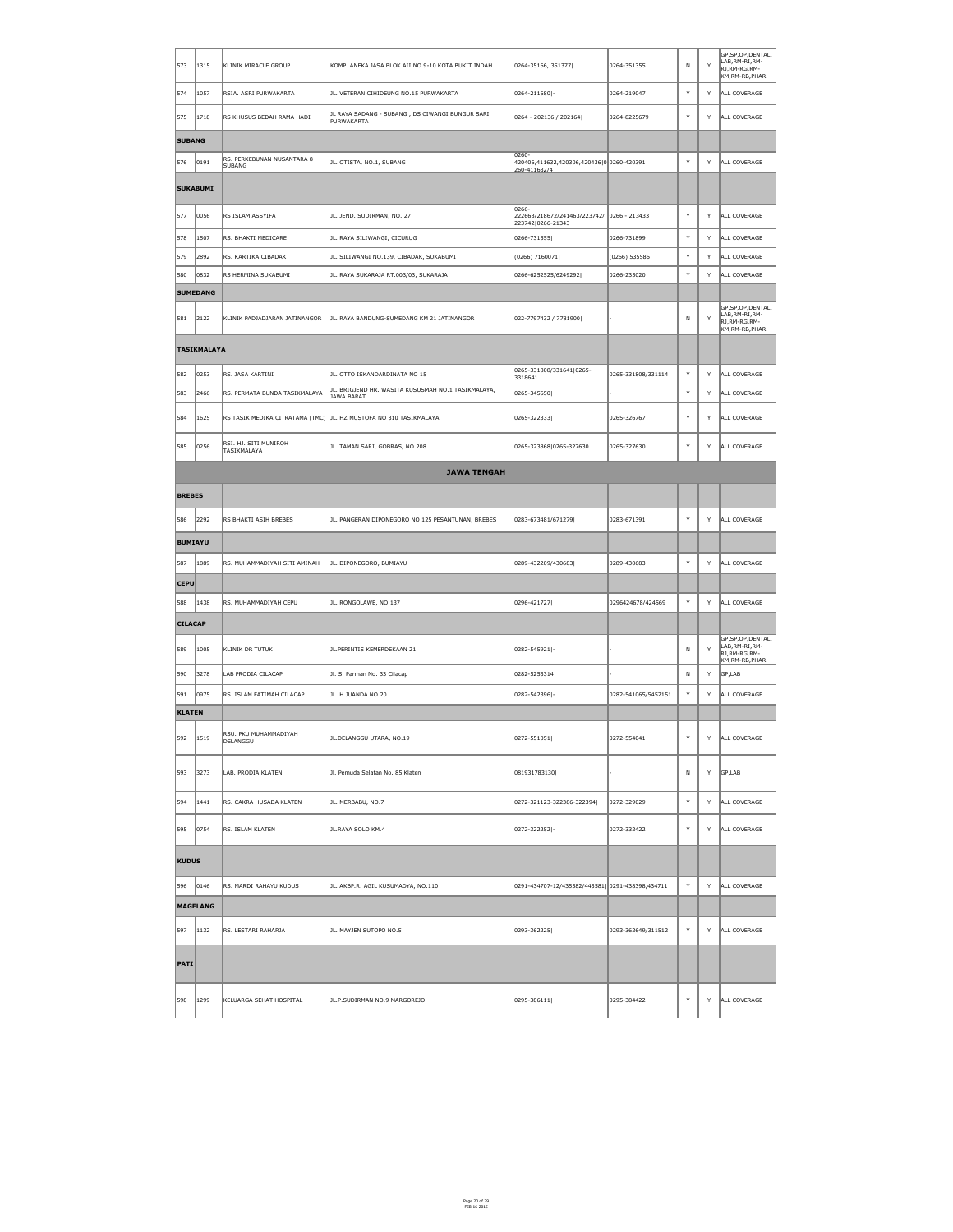| 573            | 1315               | KLINIK MIRACLE GROUP                        | KOMP. ANEKA JASA BLOK AII NO.9-10 KOTA BUKIT INDAH                 | 0264-35166, 351377                                                       | 0264-351355         | $\mathsf{N}$ | Y | GP, SP, OP, DENTAL,<br>LAB, RM-RI, RM-<br>RJ, RM-RG, RM-<br>KM,RM-RB,PHAR        |
|----------------|--------------------|---------------------------------------------|--------------------------------------------------------------------|--------------------------------------------------------------------------|---------------------|--------------|---|----------------------------------------------------------------------------------|
| 574            | 1057               | RSIA. ASRI PURWAKARTA                       | JL. VETERAN CIHIDEUNG NO.15 PURWAKARTA                             | 0264-211680 -                                                            | 0264-219047         | Y            | Y | ALL COVERAGE                                                                     |
| 575            | 1718               | RS KHUSUS BEDAH RAMA HADI                   | JL RAYA SADANG - SUBANG, DS CIWANGI BUNGUR SARI<br>PURWAKARTA      | 0264 - 202136 / 202164                                                   | 0264-8225679        | Y            | Y | ALL COVERAGE                                                                     |
| <b>SUBANG</b>  |                    |                                             |                                                                    |                                                                          |                     |              |   |                                                                                  |
| 576            | 0191               | RS. PERKEBUNAN NUSANTARA 8<br><b>SUBANG</b> | JL. OTISTA, NO.1, SUBANG                                           | $ 0260-$<br>420406,411632,420306,420436 0 0260-420391<br>260-411632/4    |                     | Y            | Y | ALL COVERAGE                                                                     |
|                | <b>SUKABUMI</b>    |                                             |                                                                    |                                                                          |                     |              |   |                                                                                  |
| 577            | 0056               | RS ISLAM ASSYIFA                            | JL. JEND. SUDIRMAN, NO. 27                                         | 0266-<br>222663/218672/241463/223742/ 0266 - 213433<br>223742 0266-21343 |                     | Y            | Y | ALL COVERAGE                                                                     |
| 578            | 1507               | RS. BHAKTI MEDICARE                         | JL. RAYA SILIWANGI, CICURUG                                        | 0266-731555                                                              | 0266-731899         | Y            | Y | ALL COVERAGE                                                                     |
| 579            | 2892               | RS. KARTIKA CIBADAK                         | JL. SILIWANGI NO.139, CIBADAK, SUKABUMI                            | (0266) 7160071                                                           | $(0266)$ 535586     | Y            | Y | ALL COVERAGE                                                                     |
| 580            | 0832               | RS HERMINA SUKABUMI                         | JL. RAYA SUKARAJA RT.003/03, SUKARAJA                              | 0266-6252525/6249292                                                     | 0266-235020         | Y            | Y | ALL COVERAGE                                                                     |
|                | <b>SUMEDANG</b>    |                                             |                                                                    |                                                                          |                     |              |   |                                                                                  |
| 581            | 2122               | KLINIK PADJADJARAN JATINANGOR               | JL. RAYA BANDUNG-SUMEDANG KM 21 JATINANGOR                         | 022-7797432 / 7781900                                                    |                     | $\mathsf{N}$ | Y | GP, SP, OP, DENTAL,<br>LAB, RM-RI, RM-<br>RJ, RM-RG, RM-<br>KM, RM-RB, PHAR      |
|                | <b>TASIKMALAYA</b> |                                             |                                                                    |                                                                          |                     |              |   |                                                                                  |
| 582            | 0253               | RS. JASA KARTINI                            | JL. OTTO ISKANDARDINATA NO 15                                      | 0265-331808/331641 0265-<br>3318641                                      | 0265-331808/331114  | Y            | Y | ALL COVERAGE                                                                     |
| 583            | 2466               | RS. PERMATA BUNDA TASIKMALAYA               | JL. BRIGJEND HR. WASITA KUSUSMAH NO.1 TASIKMALAYA,<br>JAWA BARAT   | 0265-345650                                                              |                     | Y            | Y | ALL COVERAGE                                                                     |
| 584            | 1625               |                                             | RS TASIK MEDIKA CITRATAMA (TMC)  JL. HZ MUSTOFA NO 310 TASIKMALAYA | 0265-322333                                                              | 0265-326767         | Y            | Y | ALL COVERAGE                                                                     |
| 585            | 0256               | RSI. HJ. SITI MUNIROH<br>TASIKMALAYA        | JL. TAMAN SARI, GOBRAS, NO.208                                     | 0265-323868 0265-327630                                                  | 0265-327630         | Y            | Y | ALL COVERAGE                                                                     |
|                |                    |                                             | <b>JAWA TENGAH</b>                                                 |                                                                          |                     |              |   |                                                                                  |
| <b>BREBES</b>  |                    |                                             |                                                                    |                                                                          |                     |              |   |                                                                                  |
| 586            | 2292               | RS BHAKTI ASIH BREBES                       | JL. PANGERAN DIPONEGORO NO 125 PESANTUNAN, BREBES                  | 0283-673481/671279                                                       | 0283-671391         | Y            | Y | ALL COVERAGE                                                                     |
| <b>BUMIAYU</b> |                    |                                             |                                                                    |                                                                          |                     |              |   |                                                                                  |
| 587            | 1889               | RS. MUHAMMADIYAH SITI AMINAH                | JL. DIPONEGORO, BUMIAYU                                            | 0289-432209/430683                                                       | 0289-430683         | Y            | Y | ALL COVERAGE                                                                     |
| <b>CEPU</b>    |                    |                                             |                                                                    |                                                                          |                     |              |   |                                                                                  |
| 588            | 1438               | RS. MUHAMMADIYAH CEPU                       | JL. RONGOLAWE, NO.137                                              | 0296-421727                                                              | 0296424678/424569   | Y            | Y | ALL COVERAGE                                                                     |
| <b>CILACAP</b> |                    |                                             |                                                                    |                                                                          |                     |              |   |                                                                                  |
| 589            | 1005               | <b>KLINIK DR TUTUK</b>                      | JL.PERINTIS KEMERDEKAAN 21                                         | 0282-545921 -                                                            |                     | $\mathsf{N}$ | Y | GP, SP, OP, DENTAL,<br>LAB, RM-RI, RM-<br>RJ, RM-RG, RM-<br>$ \! $ KM,RM-RB,PHAR |
| 590            | 3278               | LAB PRODIA CILACAP                          | Jl. S. Parman No. 33 Cilacap                                       | 0282-5253314                                                             |                     | N            | Y | GP,LAB                                                                           |
| 591            | 0975               | RS. ISLAM FATIMAH CILACAP                   | JL. H JUANDA NO.20                                                 | 0282-542396 -                                                            | 0282-541065/5452151 | Y            | Y | ALL COVERAGE                                                                     |
| <b>KLATEN</b>  |                    |                                             |                                                                    |                                                                          |                     |              |   |                                                                                  |
| 592            | 1519               | RSU. PKU MUHAMMADIYAH<br>DELANGGU           | JL.DELANGGU UTARA, NO.19                                           | $ 0272 - 551051 $                                                        | 0272-554041         | Y            | Y | ALL COVERAGE                                                                     |
| 893∥           | 3273               | LAB. PRODIA KLATEN                          | Jl. Pemuda Selatan No. 85 Klaten                                   | 081931783130                                                             |                     | N            | Y | GP,LAB                                                                           |
| 594            | 1441               | RS. CAKRA HUSADA KLATEN                     | JL. MERBABU, NO.7                                                  | 0272-321123-322386-322394                                                | 0272-329029         | Y            | Y | ALL COVERAGE                                                                     |
| ∫595           | 0754               | RS. ISLAM KLATEN                            | JL.RAYA SOLO KM.4                                                  | 0272-322252 -                                                            | 0272-332422         | Y            | Y | ALL COVERAGE                                                                     |
| <b>KUDUS</b>   |                    |                                             |                                                                    |                                                                          |                     |              |   |                                                                                  |
| 596            | 0146               | RS. MARDI RAHAYU KUDUS                      | JL. AKBP.R. AGIL KUSUMADYA, NO.110                                 | 0291-434707-12/435582/443581 0291-438398,434711                          |                     | Y            | Y | ALL COVERAGE                                                                     |
|                | <b>MAGELANG</b>    |                                             |                                                                    |                                                                          |                     |              |   |                                                                                  |
| 597            | 1132               | RS. LESTARI RAHARJA                         | JL. MAYJEN SUTOPO NO.5                                             | 0293-362225                                                              | 0293-362649/311512  | Y            | Y | ALL COVERAGE                                                                     |
| $ $ PATI $ $   |                    |                                             |                                                                    |                                                                          |                     |              |   |                                                                                  |
|                |                    |                                             |                                                                    |                                                                          |                     |              |   |                                                                                  |

Page 20 of 29 FEB-16-2015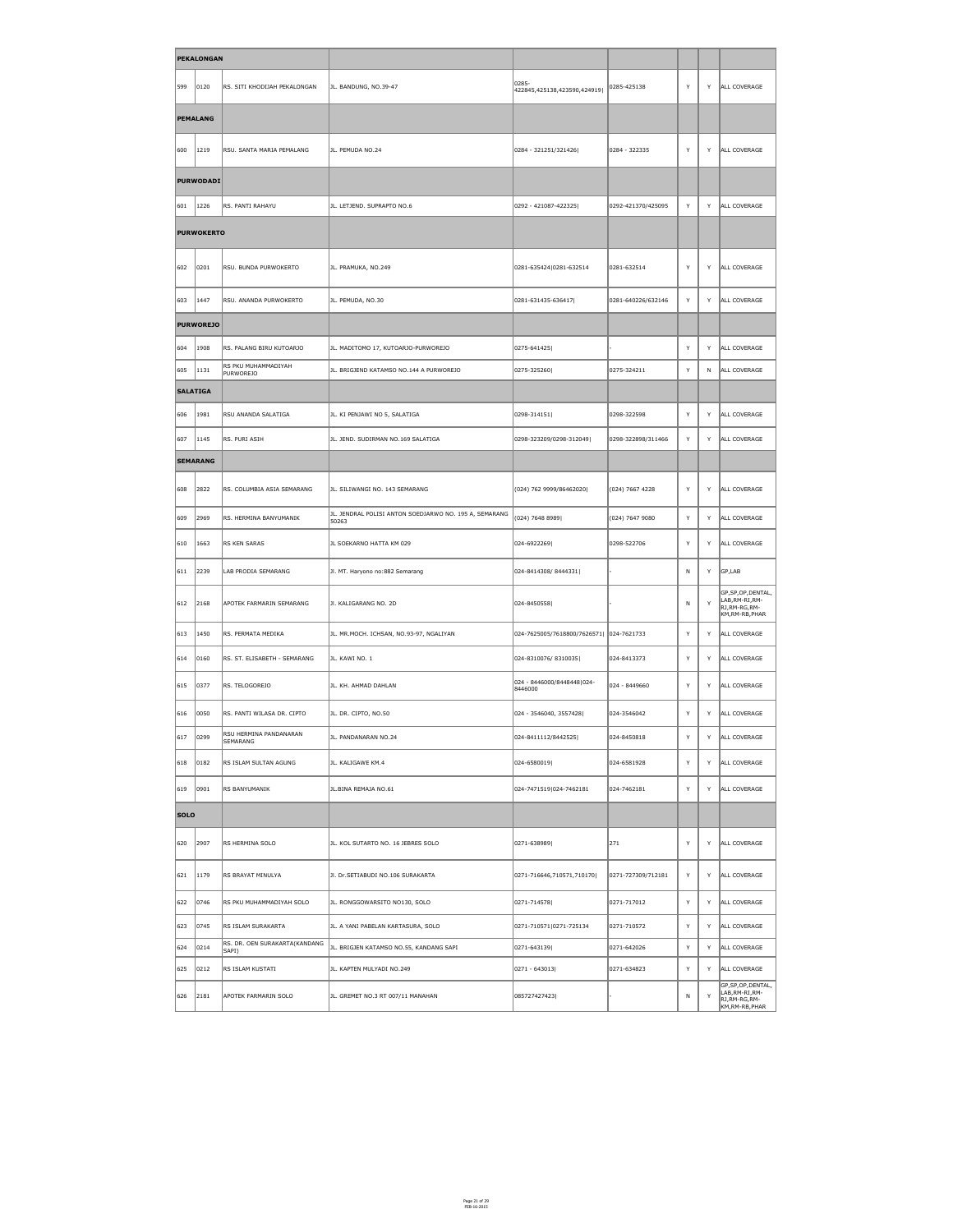|                 | <b>PEKALONGAN</b> |                                         |                                                                 |                                          |                    |   |              |                                                                             |
|-----------------|-------------------|-----------------------------------------|-----------------------------------------------------------------|------------------------------------------|--------------------|---|--------------|-----------------------------------------------------------------------------|
| ∥599            | 0120              | RS. SITI KHODIJAH PEKALONGAN            | JL. BANDUNG, NO.39-47                                           | 0285-<br>422845,425138,423590,424919     | 0285-425138        | Y | Y            | ALL COVERAGE                                                                |
|                 | <b>PEMALANG</b>   |                                         |                                                                 |                                          |                    |   |              |                                                                             |
| 600             | 1219              | RSU. SANTA MARIA PEMALANG               | JL. PEMUDA NO.24                                                | 0284 - 321251/321426                     | 0284 - 322335      | Y | Y            | ALL COVERAGE                                                                |
|                 | <b>PURWODADI</b>  |                                         |                                                                 |                                          |                    |   |              |                                                                             |
| $\parallel$ 601 | 1226              | RS. PANTI RAHAYU                        | JL. LETJEND. SUPRAPTO NO.6                                      | 0292 - 421087-422325                     | 0292-421370/425095 | Y | Y            | ALL COVERAGE                                                                |
|                 | <b>PURWOKERTO</b> |                                         |                                                                 |                                          |                    |   |              |                                                                             |
| 602             | 0201              | RSU. BUNDA PURWOKERTO                   | JL. PRAMUKA, NO.249                                             | 0281-635424 0281-632514                  | 0281-632514        | Y | Y            | ALL COVERAGE                                                                |
| $\parallel$ 603 | 1447              | RSU. ANANDA PURWOKERTO                  | JL. PEMUDA, NO.30                                               | 0281-631435-636417                       | 0281-640226/632146 | Y | Y            | ALL COVERAGE                                                                |
|                 | <b>PURWOREJO</b>  |                                         |                                                                 |                                          |                    |   |              |                                                                             |
| $\parallel$ 604 | 1908              | RS. PALANG BIRU KUTOARJO                | JL. MADITOMO 17, KUTOARJO-PURWOREJO                             | 0275-641425                              |                    | Y | Y            | ALL COVERAGE                                                                |
| 605             | 1131              | RS PKU MUHAMMADIYAH<br><b>PURWOREJO</b> | JL. BRIGJEND KATAMSO NO.144 A PURWOREJO                         | 0275-325260                              | 0275-324211        | Y | $\mathsf{N}$ | ALL COVERAGE                                                                |
| <b>SALATIGA</b> |                   |                                         |                                                                 |                                          |                    |   |              |                                                                             |
| 1606            | 1981              | RSU ANANDA SALATIGA                     | JL. KI PENJAWI NO 5, SALATIGA                                   | 0298-314151                              | 0298-322598        | Y | Y            | ALL COVERAGE                                                                |
| 607             | 1145              | RS. PURI ASIH                           | JL. JEND. SUDIRMAN NO.169 SALATIGA                              | 0298-323209/0298-312049                  | 0298-322898/311466 | Y | Y            | ALL COVERAGE                                                                |
|                 | <b>SEMARANG</b>   |                                         |                                                                 |                                          |                    |   |              |                                                                             |
| 608             | 2822              | RS. COLUMBIA ASIA SEMARANG              | JL. SILIWANGI NO. 143 SEMARANG                                  | (024) 762 9999/86462020                  | $(024)$ 7667 4228  | Y | Y            | ALL COVERAGE                                                                |
| 609             | 2969              | RS. HERMINA BANYUMANIK                  | JL. JENDRAL POLISI ANTON SOEDJARWO NO. 195 A, SEMARANG<br>50263 | (024) 7648 8989                          | $(024)$ 7647 9080  | Y | Y            | ALL COVERAGE                                                                |
| $ 610\rangle$   | 1663              | RS KEN SARAS                            | JL SOEKARNO HATTA KM 029                                        | 024-6922269                              | 0298-522706        | Y | Y            | ALL COVERAGE                                                                |
| $ 611\rangle$   | $\vert$ 2239      | LAB PRODIA SEMARANG                     | Jl. MT. Haryono no:882 Semarang                                 | 024-8414308/8444331                      |                    | N | Y            | $\big \big $ GP,LAB                                                         |
| $ 612\rangle$   | 2168              | APOTEK FARMARIN SEMARANG                | JI. KALIGARANG NO. 2D                                           | 024-8450558                              |                    | N | Y            | GP, SP, OP, DENTAL,<br>LAB, RM-RI, RM-<br>RJ, RM-RG, RM-<br>KM, RM-RB, PHAR |
| $\vert$ 613     | 1450              | RS. PERMATA MEDIKA                      | JL. MR.MOCH. ICHSAN, NO.93-97, NGALIYAN                         | 024-7625005/7618800/7626571  024-7621733 |                    | Y | Y            | ALL COVERAGE                                                                |
| $\parallel$ 614 | 0160              | RS. ST. ELISABETH - SEMARANG            | JL. KAWI NO. 1                                                  | 024-8310076/8310035                      | 024-8413373        | Y | Y            | ALL COVERAGE                                                                |
| $\vert$ 615     | 0377              | RS. TELOGOREJO                          | JL. KH. AHMAD DAHLAN                                            | 024 - 8446000/8448448 024-<br>8446000    | 024 - 8449660      | Y | Y            | ALL COVERAGE                                                                |
| 616             | 0050              | RS. PANTI WILASA DR. CIPTO              | JL. DR. CIPTO, NO.50                                            | 024 - 3546040, 3557428                   | 024-3546042        | Y | Y            | ALL COVERAGE                                                                |
| 617             | 0299              | RSU HERMINA PANDANARAN<br>SEMARANG      | JL. PANDANARAN NO.24                                            | 024-8411112/8442525                      | 024-8450818        | Y | Y            | ALL COVERAGE                                                                |
| 618             | $ 0182\rangle$    | RS ISLAM SULTAN AGUNG                   | JL. KALIGAWE KM.4                                               | 024-6580019                              | 024-6581928        | Y | Y            | ALL COVERAGE                                                                |
| $ 619\rangle$   | 0901              | RS BANYUMANIK                           | JL.BINA REMAJA NO.61                                            | 024-7471519 024-7462181                  | 024-7462181        | Y | Y            | ALL COVERAGE                                                                |
| <b>SOLO</b>     |                   |                                         |                                                                 |                                          |                    |   |              |                                                                             |
| 620             | 2907              | RS HERMINA SOLO                         | JL. KOL SUTARTO NO. 16 JEBRES SOLO                              | 0271-638989                              | $ 271\rangle$      | Y |              | Y ALL COVERAGE                                                              |
| 621             | 1179              | RS BRAYAT MINULYA                       | JI. Dr. SETIABUDI NO. 106 SURAKARTA                             | 0271-716646,710571,710170                | 0271-727309/712181 | Y | Y            | ALL COVERAGE                                                                |
| 622             | 0746              | RS PKU MUHAMMADIYAH SOLO                | JL. RONGGOWARSITO NO130, SOLO                                   | 0271-714578                              | 0271-717012        | Y | Y            | ALL COVERAGE                                                                |
| 623             | 0745              | RS ISLAM SURAKARTA                      | JL. A YANI PABELAN KARTASURA, SOLO                              | 0271-710571 0271-725134                  | 0271-710572        | Y | Y            | ALL COVERAGE                                                                |
| 624             | 0214              | RS. DR. OEN SURAKARTA(KANDANG<br>SAPI)  | JL. BRIGJEN KATAMSO NO.55, KANDANG SAPI                         | 0271-643139                              | 0271-642026        | Y | Y            | ALL COVERAGE                                                                |
| 625             | 0212              | RS ISLAM KUSTATI                        | JL. KAPTEN MULYADI NO.249                                       | $ 0271 - 643013 $                        | 0271-634823        | Y | Y            | ALL COVERAGE                                                                |
| 626             | 2181              | APOTEK FARMARIN SOLO                    | JL. GREMET NO.3 RT 007/11 MANAHAN                               | 085727427423                             |                    | N | Y            | GP, SP, OP, DENTAL,<br>LAB, RM-RI, RM-<br>RJ, RM-RG, RM-<br>KM,RM-RB,PHAR   |

Page 21 of 29 FEB-16-2015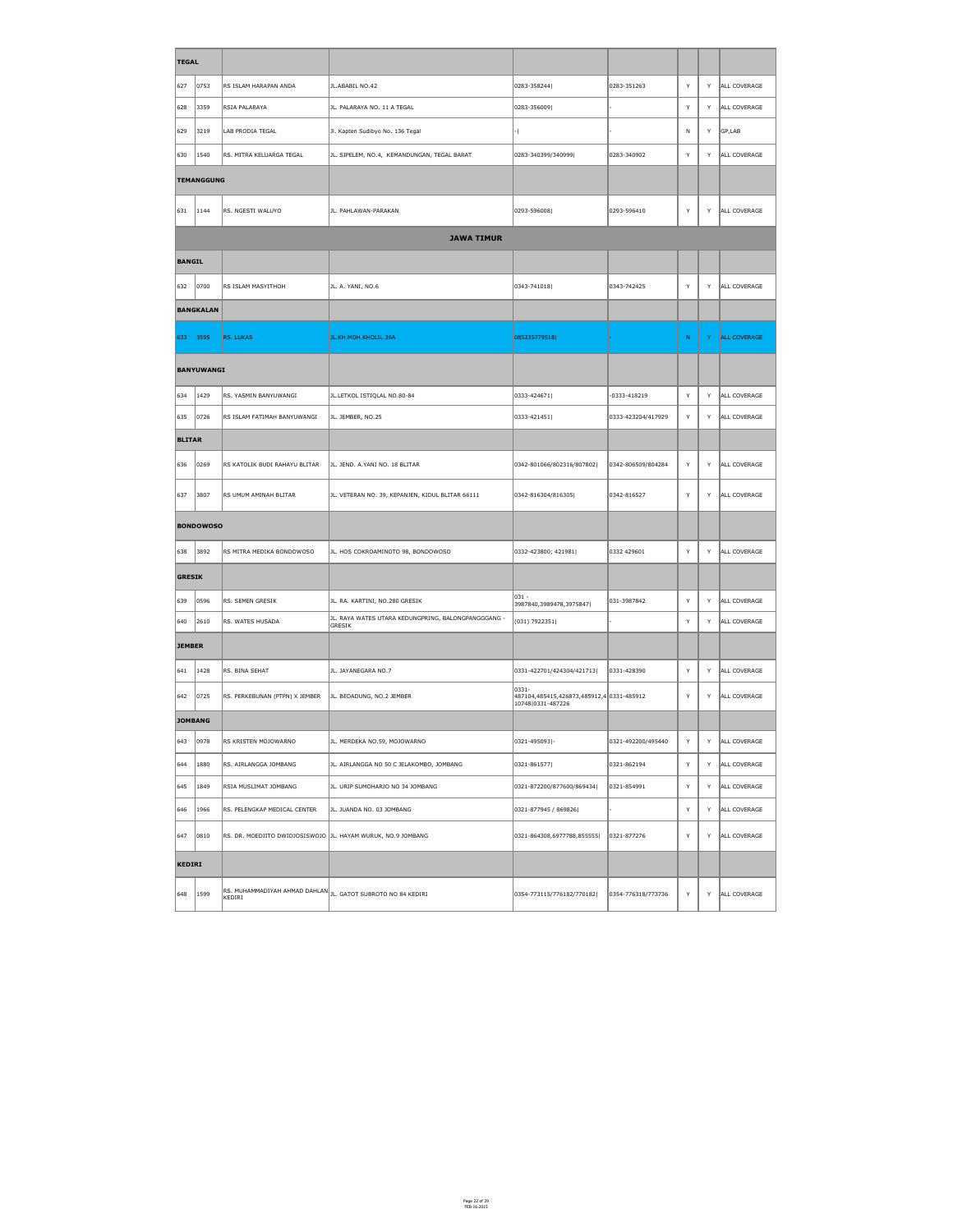| <b>TEGAL</b>   |                    |                                                               |                                                                                           |                                                                         |                    |              |    |                     |
|----------------|--------------------|---------------------------------------------------------------|-------------------------------------------------------------------------------------------|-------------------------------------------------------------------------|--------------------|--------------|----|---------------------|
| 627            | 0753               | RS ISLAM HARAPAN ANDA                                         | JL.ABABIL NO.42                                                                           | 0283-358244                                                             | 0283-351263        | Y            | Y  | ALL COVERAGE        |
| 628            | 3359               | RSIA PALARAYA                                                 | JL. PALARAYA NO. 11 A TEGAL                                                               | 0283-356009                                                             |                    | Y            | Y  | ALL COVERAGE        |
| 629            | 3219               | <b>LAB PRODIA TEGAL</b>                                       | Jl. Kapten Sudibyo No. 136 Tegal                                                          |                                                                         |                    | N            | Y  | GP,LAB              |
| 630            | $ 1540\rangle$     | RS. MITRA KELUARGA TEGAL                                      | JL. SIPELEM, NO.4, KEMANDUNGAN, TEGAL BARAT                                               | 0283-340399/340999                                                      | 0283-340902        | Y            | Y  | ALL COVERAGE        |
|                | <b>TEMANGGUNG</b>  |                                                               |                                                                                           |                                                                         |                    |              |    |                     |
| 631            | 1144               | RS. NGESTI WALUYO                                             | JL. PAHLAWAN-PARAKAN                                                                      | 0293-596008                                                             | 0293-596410        | Y            | Y  | ALL COVERAGE        |
|                |                    |                                                               | <b>JAWA TIMUR</b>                                                                         |                                                                         |                    |              |    |                     |
| <b>BANGIL</b>  |                    |                                                               |                                                                                           |                                                                         |                    |              |    |                     |
| 632            | 0700               | RS ISLAM MASYITHOH                                            | JL. A. YANI, NO.6                                                                         | 0343-741018                                                             | 0343-742425        | Y            | Y  | ALL COVERAGE        |
|                | <b>BANGKALAN</b>   |                                                               |                                                                                           |                                                                         |                    |              |    |                     |
| 633            | $\vert 3595 \vert$ | RS. LUKAS                                                     | JL.KH.MOH.KHOLIL 36A                                                                      | 085235779518                                                            |                    | N            | Y. | <b>ALL COVERAGE</b> |
|                | BANYUWANGI         |                                                               |                                                                                           |                                                                         |                    |              |    |                     |
| 634            | $ 1429\rangle$     | RS. YASMIN BANYUWANGI                                         | JL.LETKOL ISTIQLAL NO.80-84                                                               | 0333-424671                                                             | -0333-418219       | Y            | Y  | ALL COVERAGE        |
| 635            | 0726               | RS ISLAM FATIMAH BANYUWANGI                                   | JL. JEMBER, NO.25                                                                         | 0333-421451                                                             | 0333-423204/417929 | Y            | Y  | ALL COVERAGE        |
| <b>BLITAR</b>  |                    |                                                               |                                                                                           |                                                                         |                    |              |    |                     |
| 636            | $ 0269\rangle$     | RS KATOLIK BUDI RAHAYU BLITAR                                 | JL. JEND. A.YANI NO. 18 BLITAR                                                            | 0342-801066/802316/807802                                               | 0342-806509/804284 | Y            | Y  | ALL COVERAGE        |
| 637            | 3807               | RS UMUM AMINAH BLITAR                                         | JL. VETERAN NO. 39, KEPANJEN, KIDUL BLITAR 66111                                          | 0342-816304/816305                                                      | 0342-816527        | Y            | Y  | ALL COVERAGE        |
|                | <b>BONDOWOSO</b>   |                                                               |                                                                                           |                                                                         |                    |              |    |                     |
| 638            | 3892               | RS MITRA MEDIKA BONDOWOSO                                     | JL. HOS COKROAMINOTO 98, BONDOWOSO                                                        | 0332-423800; 421981                                                     | 0332 429601        | Y            | Y  | ALL COVERAGE        |
| GRESIK         |                    |                                                               |                                                                                           |                                                                         |                    |              |    |                     |
| 639            | 0596               | RS. SEMEN GRESIK                                              | JL. RA. KARTINI, NO.280 GRESIK                                                            | $ 031 -$<br>3987840,3989478,3975847                                     | 031-3987842        | $\mathsf{Y}$ | Y  | ALL COVERAGE        |
| 640            | 2610               | RS. WATES HUSADA                                              | JL. RAYA WATES UTARA KEDUNGPRING, BALONGPANGGGANG -<br>GRESIK                             | (031) 7922351                                                           |                    | $\mathsf{Y}$ | Y  | ALL COVERAGE        |
| <b>JEMBER</b>  |                    |                                                               |                                                                                           |                                                                         |                    |              |    |                     |
| 641            | 1428               | RS. BINA SEHAT                                                | JL. JAYANEGARA NO.7                                                                       | 0331-422701/424304/421713                                               | 0331-428390        | Y            | Y  | ALL COVERAGE        |
| 642            | 0725               | RS. PERKEBUNAN (PTPN) X JEMBER                                | JL. BEDADUNG, NO.2 JEMBER                                                                 | 0331-<br>487104,485415,426873,485912,4 0331-485912<br>10748 0331-487226 |                    | Y            | Y  | ALL COVERAGE        |
| <b>JOMBANG</b> |                    |                                                               |                                                                                           |                                                                         |                    |              |    |                     |
| 643            | 0978               | RS KRISTEN MOJOWARNO                                          | JL. MERDEKA NO.59, MOJOWARNO                                                              | 0321-495093 -                                                           | 0321-492200/495440 | Y            | Y  | ALL COVERAGE        |
| 644            | 1880               | RS. AIRLANGGA JOMBANG                                         | JL. AIRLANGGA NO 50 C JELAKOMBO, JOMBANG                                                  | 0321-861577                                                             | 0321-862194        | <sup>Y</sup> | Y  | ALL COVERAGE        |
| 645            | 1849               | RSIA MUSLIMAT JOMBANG                                         | JL. URIP SUMOHARJO NO 34 JOMBANG                                                          | 0321-872200/877600/869434                                               | 0321-854991        | Y            | Y  | ALL COVERAGE        |
| 646            | 1966               | RS. PELENGKAP MEDICAL CENTER                                  | JL. JUANDA NO. 03 JOMBANG                                                                 | 0321-877945 / 869826                                                    |                    | Y            | Y  | ALL COVERAGE        |
| $ 647\rangle$  | $ 0810\rangle$     | RS. DR. MOEDJITO DWIDJOSISWOJO  JL. HAYAM WURUK, NO.9 JOMBANG |                                                                                           | 0321-864308,6977788,855555                                              | 0321-877276        | Y            | Y  | ALL COVERAGE        |
| KEDIRI         |                    |                                                               |                                                                                           |                                                                         |                    |              |    |                     |
|                |                    |                                                               | $\left\ $ RS. MUHAMMADIYAH AHMAD DAHLAN $\left\  \right\ $ JL. GATOT SUBROTO NO 84 KEDIRI |                                                                         |                    |              |    |                     |

Page 22 of 29 FEB-16-2015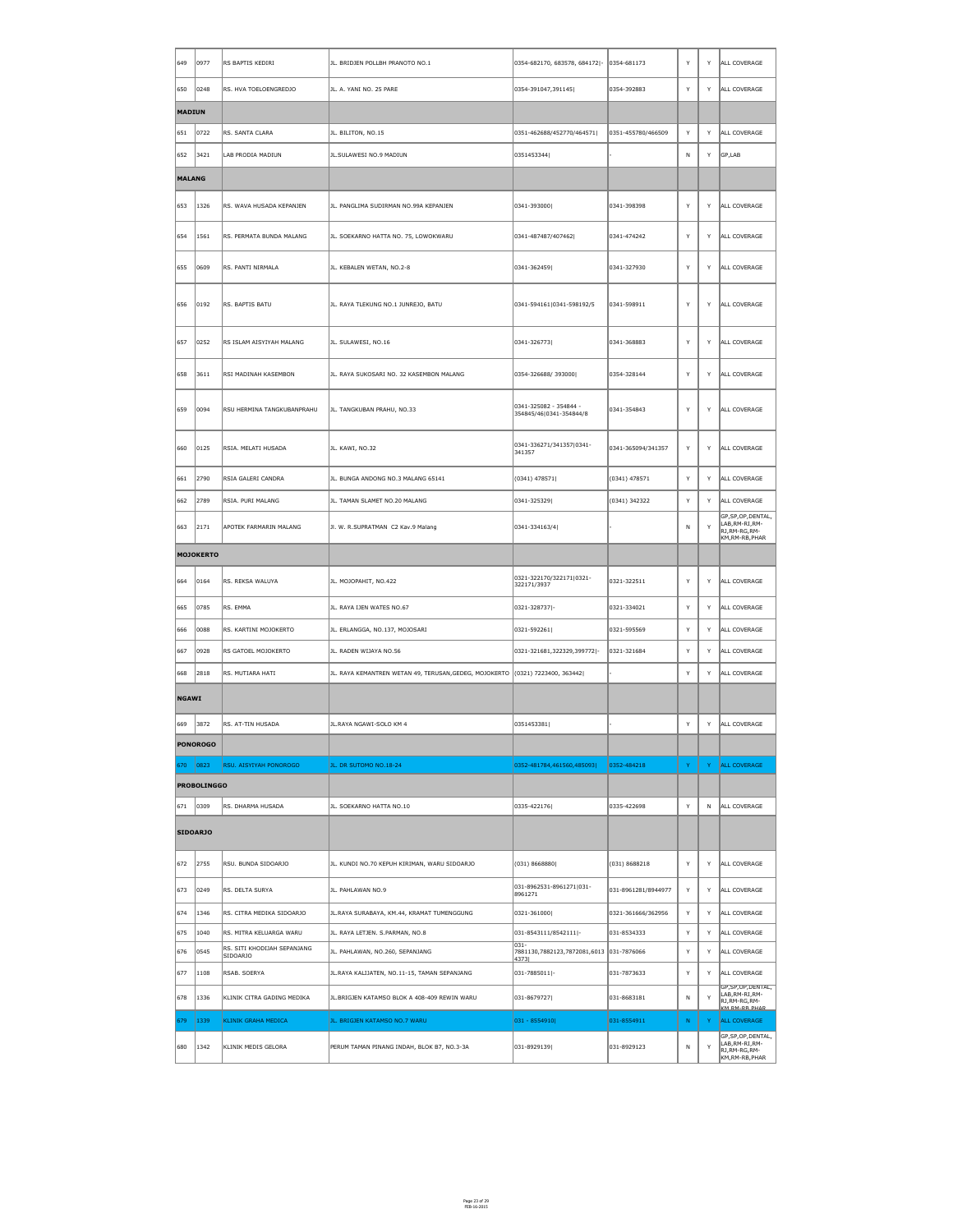| 649           | 0977               | RS BAPTIS KEDIRI                               | JL. BRIDJEN POLLBH PRANOTO NO.1                                               | 0354-682170, 683578, 684172 -                     | 0354-681173         | Y | Y            | ALL COVERAGE                                                                |
|---------------|--------------------|------------------------------------------------|-------------------------------------------------------------------------------|---------------------------------------------------|---------------------|---|--------------|-----------------------------------------------------------------------------|
| 650           | 0248               | RS. HVA TOELOENGREDJO                          | JL. A. YANI NO. 25 PARE                                                       | 0354-391047,391145                                | 0354-392883         | Y | Y            | ALL COVERAGE                                                                |
| <b>MADIUN</b> |                    |                                                |                                                                               |                                                   |                     |   |              |                                                                             |
| 651           | 0722               | RS. SANTA CLARA                                | JL. BILITON, NO.15                                                            | 0351-462688/452770/464571                         | 0351-455780/466509  | Y | Y            | ALL COVERAGE                                                                |
| 652           | 3421               | LAB PRODIA MADIUN                              | JL.SULAWESI NO.9 MADIUN                                                       | 0351453344                                        |                     | N | Y            | $\big GP,LAB$                                                               |
| <b>MALANG</b> |                    |                                                |                                                                               |                                                   |                     |   |              |                                                                             |
| 653           | 1326               | RS. WAVA HUSADA KEPANJEN                       | JL. PANGLIMA SUDIRMAN NO.99A KEPANJEN                                         | 0341-393000                                       | 0341-398398         | Y | Y            | ALL COVERAGE                                                                |
| 654           | 1561               | RS. PERMATA BUNDA MALANG                       | JL. SOEKARNO HATTA NO. 75, LOWOKWARU                                          | 0341-487487/407462                                | 0341-474242         | Y | Y            | ALL COVERAGE                                                                |
| 655           | 0609               | RS. PANTI NIRMALA                              | JL. KEBALEN WETAN, NO.2-8                                                     | 0341-362459                                       | 0341-327930         | Y | Y            | ALL COVERAGE                                                                |
| 656           | 0192               | RS. BAPTIS BATU                                | JL. RAYA TLEKUNG NO.1 JUNREJO, BATU                                           | 0341-594161 0341-598192/5                         | 0341-598911         | Y | Y            | ALL COVERAGE                                                                |
| 657           | 0252               | RS ISLAM AISYIYAH MALANG                       | JL. SULAWESI, NO.16                                                           | 0341-326773                                       | 0341-368883         | Y | Y            | ALL COVERAGE                                                                |
| ∫658          | 3611               | RSI MADINAH KASEMBON                           | JL. RAYA SUKOSARI NO. 32 KASEMBON MALANG                                      | 0354-326688/393000                                | 0354-328144         | Y | Y            | ALL COVERAGE                                                                |
| 659           | 0094               | RSU HERMINA TANGKUBANPRAHU                     | JL. TANGKUBAN PRAHU, NO.33                                                    | 0341-325082 - 354844 -<br>354845/46 0341-354844/8 | 0341-354843         | Y | Y            | ALL COVERAGE                                                                |
| 660           | 0125               | RSIA. MELATI HUSADA                            | JL. KAWI, NO.32                                                               | 0341-336271/341357 0341-<br>341357                | 0341-365094/341357  | Y | Y            | ALL COVERAGE                                                                |
| 661           | 2790               | RSIA GALERI CANDRA                             | JL. BUNGA ANDONG NO.3 MALANG 65141                                            | $(0341)$ 478571                                   | $(0341)$ 478571     | Y | Y            | ALL COVERAGE                                                                |
| 662           | 2789               | RSIA. PURI MALANG                              | JL. TAMAN SLAMET NO.20 MALANG                                                 | 0341-325329                                       | (0341) 342322       | Y | Y            | ALL COVERAGE                                                                |
| 663           | $\vert$ 2171       | APOTEK FARMARIN MALANG                         | JI. W. R.SUPRATMAN C2 Kav.9 Malang                                            | $ 0341 - 334163/4 $                               |                     | N | Y            | GP, SP, OP, DENTAL,<br>LAB, RM-RI, RM-<br>RJ, RM-RG, RM-<br>KM, RM-RB, PHAR |
|               | <b>MOJOKERTO</b>   |                                                |                                                                               |                                                   |                     |   |              |                                                                             |
| 664           | 0164               | RS. REKSA WALUYA                               | JL. MOJOPAHIT, NO.422                                                         | 0321-322170/322171 0321-<br>322171/3937           | 0321-322511         | Y | Y            | ALL COVERAGE                                                                |
| 665           | 0785               | RS. EMMA                                       | JL. RAYA IJEN WATES NO.67                                                     | 0321-328737 -                                     | 0321-334021         | Y | Y            | ALL COVERAGE                                                                |
| 666           | 0088               | RS. KARTINI MOJOKERTO                          | JL. ERLANGGA, NO.137, MOJOSARI                                                | 0321-592261                                       | 0321-595569         | Y | Y            | ALL COVERAGE                                                                |
| 667           | 0928               | RS GATOEL MOJOKERTO                            | JL. RADEN WIJAYA NO.56                                                        | 0321-321681,322329,399772 -                       | 0321-321684         | Y | Y            | ALL COVERAGE                                                                |
| 668           | 2818               | RS. MUTIARA HATI                               | JL. RAYA KEMANTREN WETAN 49, TERUSAN, GEDEG, MOJOKERTO (0321) 7223400, 363442 |                                                   |                     | Y | Y            | ALL COVERAGE                                                                |
| <b>NGAWI</b>  |                    |                                                |                                                                               |                                                   |                     |   |              |                                                                             |
| 669           | 3872               | RS. AT-TIN HUSADA                              | JL.RAYA NGAWI-SOLO KM 4                                                       | 0351453381                                        |                     | Y | Y            | ALL COVERAGE                                                                |
|               | <b>PONOROGO</b>    |                                                |                                                                               |                                                   |                     |   |              |                                                                             |
| 670           | 0823               | <b>RSU. AISYIYAH PONOROGO</b>                  | JL. DR SUTOMO NO.18-24                                                        | 0352-481784,461560,485093                         | 0352-484218         | Y | Y.           | <b>ALL COVERAGE</b>                                                         |
|               | <b>PROBOLINGGO</b> |                                                |                                                                               |                                                   |                     |   |              |                                                                             |
| $ 671\rangle$ | 0309               | RS. DHARMA HUSADA                              | JL. SOEKARNO HATTA NO.10                                                      | 0335-422176                                       | 0335-422698         | Y | N            | ALL COVERAGE                                                                |
|               | <b>SIDOARJO</b>    |                                                |                                                                               |                                                   |                     |   |              |                                                                             |
| 672           | 2755               | RSU. BUNDA SIDOARJO                            | JL. KUNDI NO.70 KEPUH KIRIMAN, WARU SIDOARJO                                  | (031) 8668880                                     | (031) 8688218       | Y | Y            | ALL COVERAGE                                                                |
| 673           | 0249               | RS. DELTA SURYA                                | JL. PAHLAWAN NO.9                                                             | 031-8962531-8961271 031-<br>8961271               | 031-8961281/8944977 | Y | Y            | ALL COVERAGE                                                                |
| 674           | 1346               | RS. CITRA MEDIKA SIDOARJO                      | JL.RAYA SURABAYA, KM.44, KRAMAT TUMENGGUNG                                    | $ 0321 - 361000 $                                 | 0321-361666/362956  | Y | Y            | ALL COVERAGE                                                                |
| 675           | 1040               | RS. MITRA KELUARGA WARU                        | JL. RAYA LETJEN. S.PARMAN, NO.8                                               | 031-8543111/8542111 -<br>$ 031 -$                 | 031-8534333         | Y | Y            | ALL COVERAGE                                                                |
| 676           | 0545               | RS. SITI KHODIJAH SEPANJANG<br><b>SIDOARJO</b> | JL. PAHLAWAN, NO.260, SEPANJANG                                               | 7881130,7882123,7872081,6013 031-7876066<br> 4373 |                     | Y | Y            | ALL COVERAGE                                                                |
| 677           | 1108               | RSAB. SOERYA                                   | JL. RAYA KALIJATEN, NO. 11-15, TAMAN SEPANJANG                                | $ 031 - 7885011 $ -                               | 031-7873633         | Y | Y            | ALL COVERAGE<br>GP, SP, OP, DENTAL,                                         |
| 1678          | 1336               | KLINIK CITRA GADING MEDIKA                     | JL.BRIGJEN KATAMSO BLOK A 408-409 REWIN WARU                                  | 031-8679727                                       | 031-8683181         | N | $\mathsf{Y}$ | LAB, RM-RI, RM-<br>RJ, RM-RG, RM-<br>KM RM-RR PHAR                          |
| 679           | 1339               | <b>KLINIK GRAHA MEDICA</b>                     | JL. BRIGJEN KATAMSO NO.7 WARU                                                 | $ 031 - 8554910 $                                 | 031-8554911         | N | Y.           | <b>ALL COVERAGE</b>                                                         |
| 680           | 1342               | KLINIK MEDIS GELORA                            | PERUM TAMAN PINANG INDAH, BLOK B7, NO.3-3A                                    | 031-8929139                                       | 031-8929123         | N | Y            | GP, SP, OP, DENTAL,<br>LAB, RM-RI, RM-<br>RJ, RM-RG, RM-<br>KM, RM-RB, PHAR |

Page 23 of 29 FEB-16-2015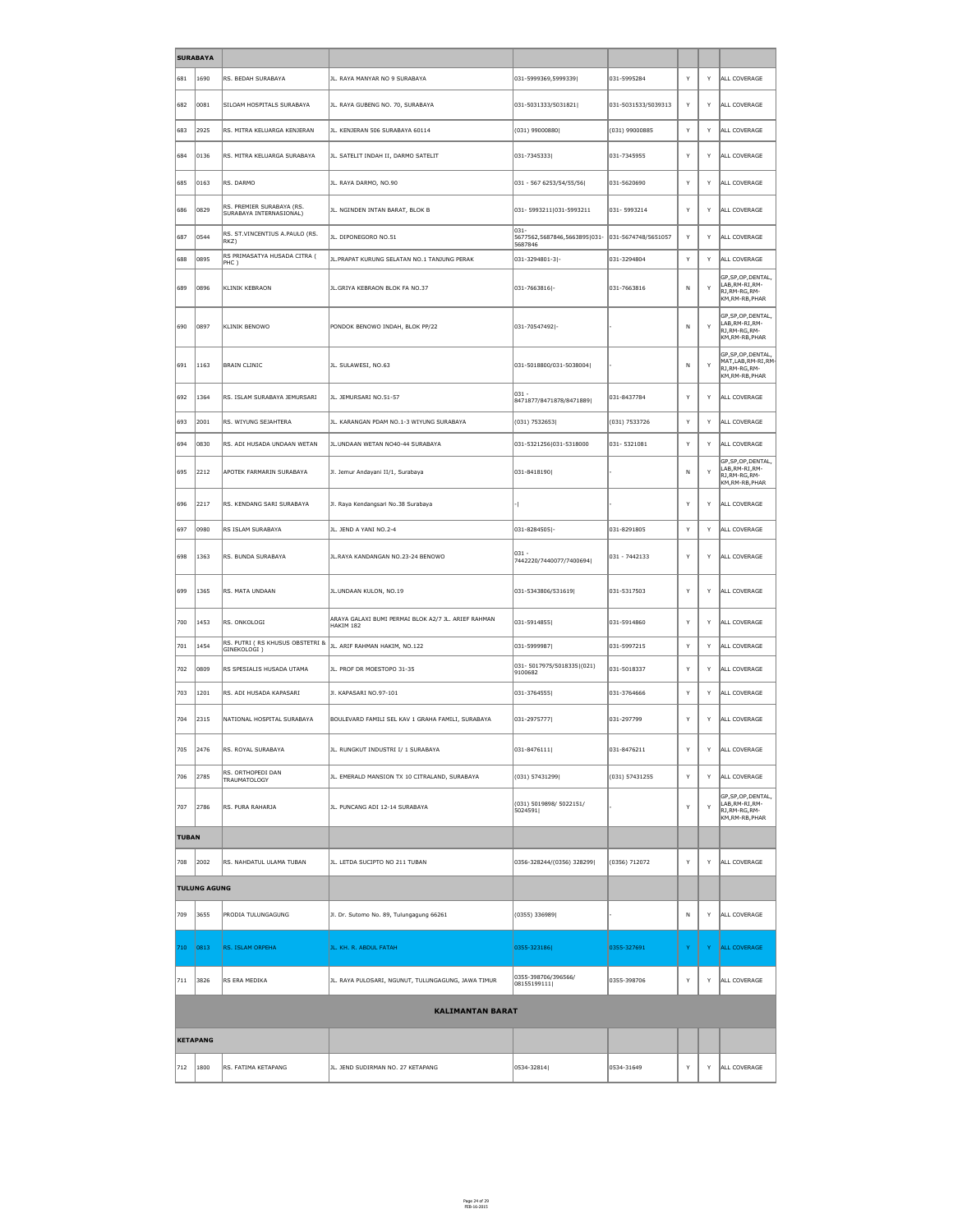| <b>SURABAYA</b> |                     |                                                      |                                                                  |                                                                                  |                     |              |              |                                                                                                 |  |
|-----------------|---------------------|------------------------------------------------------|------------------------------------------------------------------|----------------------------------------------------------------------------------|---------------------|--------------|--------------|-------------------------------------------------------------------------------------------------|--|
| 681             | 1690                | RS. BEDAH SURABAYA                                   | JL. RAYA MANYAR NO 9 SURABAYA                                    | 031-5999369,5999339                                                              | 031-5995284         | $\mathsf{Y}$ | <b>V</b>     | ALL COVERAGE                                                                                    |  |
| 682             | 0081                | SILOAM HOSPITALS SURABAYA                            | JL. RAYA GUBENG NO. 70, SURABAYA                                 | $ 031 - 5031333/5031821 $                                                        | 031-5031533/5039313 | Y            | Y            | ALL COVERAGE                                                                                    |  |
| 683             | 2925                | RS. MITRA KELUARGA KENJERAN                          | JL. KENJERAN 506 SURABAYA 60114                                  | $(031)$ 99000880                                                                 | $(031)$ 99000885    | Y            | Y            | ALL COVERAGE                                                                                    |  |
| 684             | 0136                | RS. MITRA KELUARGA SURABAYA                          | JL. SATELIT INDAH II, DARMO SATELIT                              | 031-7345333                                                                      | 031-7345955         | Y            | Y            | ALL COVERAGE                                                                                    |  |
| 685             | $ 0163\rangle$      | RS. DARMO                                            | JL. RAYA DARMO, NO.90                                            | 031 - 567 6253/54/55/56                                                          | 031-5620690         | Y            | Y            | ALL COVERAGE                                                                                    |  |
| 686             | 0829                | RS. PREMIER SURABAYA (RS.<br>SURABAYA INTERNASIONAL) | JL. NGINDEN INTAN BARAT, BLOK B                                  | 031-5993211 031-5993211                                                          | 031-5993214         | $\mathsf{Y}$ | Y            | ALL COVERAGE                                                                                    |  |
| 687             | 0544                | RS. ST. VINCENTIUS A. PAULO (RS.<br>$ RKZ\rangle$    | JL. DIPONEGORO NO.51                                             | $\parallel$ 031-<br> 5677562,5687846,5663895 031- 031-5674748/5651057<br>5687846 |                     | Y            | Y            | ALL COVERAGE                                                                                    |  |
| 688             | 0895                | RS PRIMASATYA HUSADA CITRA (<br> PHC                 | JL. PRAPAT KURUNG SELATAN NO.1 TANJUNG PERAK                     | 031-3294801-3 -                                                                  | 031-3294804         | Y            | ╰            | ALL COVERAGE                                                                                    |  |
| 689             | 0896                | KLINIK KEBRAON                                       | JL.GRIYA KEBRAON BLOK FA NO.37                                   | $ 031 - 7663816 $ -                                                              | 031-7663816         | N            | $\vee$       | GP, SP, OP, DENTAL,<br>LAB, RM-RI, RM-<br>RJ, RM-RG, RM-<br>KM, RM-RB, PHAR                     |  |
| 690             | 0897                | KLINIK BENOWO                                        | PONDOK BENOWO INDAH, BLOK PP/22                                  | 031-70547492 -                                                                   |                     | N            | $\vee$       | GP, SP, OP, DENTAL,<br>LAB, RM-RI, RM-<br>RJ,RM-RG,RM-<br>KM, RM-RB, PHAR                       |  |
| 691             | 1163                | <b>BRAIN CLINIC</b>                                  | JL. SULAWESI, NO.63                                              | 031-5018800/031-5038004                                                          |                     | N            | $\mathbf{v}$ | GP, SP, OP, DENTAL,<br>$\vert$ MAT,LAB,RM-RI,RM- $\vert$<br>RJ, RM-RG, RM-<br>KM, RM-RB, PHAR   |  |
| 692             | 1364                | RS. ISLAM SURABAYA JEMURSARI                         | JL. JEMURSARI NO.51-57                                           | $ 031 -$<br>8471877/8471878/8471889                                              | 031-8437784         | $\mathsf{Y}$ | Y            | ALL COVERAGE                                                                                    |  |
| 693             | 2001                | RS. WIYUNG SEJAHTERA                                 | JL. KARANGAN PDAM NO.1-3 WIYUNG SURABAYA                         | (031) 7532653                                                                    | (031) 7533726       | Y            | Y            | ALL COVERAGE                                                                                    |  |
| 694             | 0830                | RS. ADI HUSADA UNDAAN WETAN                          | JL.UNDAAN WETAN NO40-44 SURABAYA                                 | 031-5321256 031-5318000                                                          | 031-5321081         | Y            |              | ALL COVERAGE                                                                                    |  |
| 695             | 2212                | APOTEK FARMARIN SURABAYA                             | Jl. Jemur Andayani II/1, Surabaya                                | 031-8418190                                                                      |                     | N            | $\vee$       | GP, SP, OP, DENTAL,<br>LAB, RM-RI, RM-<br>RJ,RM-RG,RM-<br>KM, RM-RB, PHAR                       |  |
| 696             | 2217                | RS. KENDANG SARI SURABAYA                            | Jl. Raya Kendangsari No.38 Surabaya                              |                                                                                  |                     | $\vee$       | $\checkmark$ | ALL COVERAGE                                                                                    |  |
| 697             | 0980                | RS ISLAM SURABAYA                                    | JL. JEND A YANI NO.2-4                                           | $ 031 - 8284505 $ -                                                              | 031-8291805         | Y            |              | ALL COVERAGE                                                                                    |  |
| 698             | 1363                | RS. BUNDA SURABAYA                                   | JL.RAYA KANDANGAN NO.23-24 BENOWO                                | 031 -<br>7442220/7440077/7400694                                                 | 031 - 7442133       | Y            | Y            | ALL COVERAGE                                                                                    |  |
| 699             | 1365                | RS. MATA UNDAAN                                      | JL.UNDAAN KULON, NO.19                                           | $ 031 - 5343806/531619 $                                                         | 031-5317503         | Y            | Y            | ALL COVERAGE                                                                                    |  |
| 700             | 1453                | RS. ONKOLOGI                                         | ARAYA GALAXI BUMI PERMAI BLOK A2/7 JL. ARIEF RAHMAN<br>HAKIM 182 | $ 031 - 5914855 $                                                                | 031-5914860         | Y            | Y            | ALL COVERAGE                                                                                    |  |
| 701             | 1454                | RS. PUTRI (RS KHUSUS OBSTETRI &<br>GINEKOLOGI)       | JL. ARIF RAHMAN HAKIM, NO.122                                    | 031-5999987                                                                      | 031-5997215         | $\mathsf{Y}$ | <b>V</b>     | ALL COVERAGE                                                                                    |  |
| 702             | 0809                | RS SPESIALIS HUSADA UTAMA                            | JL. PROF DR MOESTOPO 31-35                                       | $ 031 - 5017975/5018335 (021)$<br>9100682                                        | 031-5018337         | Y            | Y            | ALL COVERAGE                                                                                    |  |
| 703             | 1201                | RS. ADI HUSADA KAPASARI                              | JI. KAPASARI NO.97-101                                           | 031-3764555                                                                      | 031-3764666         | Y            | Y            | ALL COVERAGE                                                                                    |  |
| 704             | $ 2315\rangle$      | NATIONAL HOSPITAL SURABAYA                           | BOULEVARD FAMILI SEL KAV 1 GRAHA FAMILI, SURABAYA                | $ 031 - 2975777 $                                                                | 031-297799          | Y            | Y            | ALL COVERAGE                                                                                    |  |
| 705             | 2476                | RS. ROYAL SURABAYA                                   | JL. RUNGKUT INDUSTRI I/ 1 SURABAYA                               | $ 031 - 8476111 $                                                                | 031-8476211         | <sup>Y</sup> | Y            | ALL COVERAGE                                                                                    |  |
| 706             | 2785                | RS. ORTHOPEDI DAN<br><b>TRAUMATOLOGY</b>             | JL. EMERALD MANSION TX 10 CITRALAND, SURABAYA                    | (031) 57431299                                                                   | (031) 57431255      | Y            | Y            | ALL COVERAGE                                                                                    |  |
| 707             | 2786                | RS. PURA RAHARJA                                     | JL. PUNCANG ADI 12-14 SURABAYA                                   | (031) 5019898/ 5022151/<br>5024591                                               |                     | Y            | $\vee$       | GP, SP, OP, DENTAL,<br>LAB, RM-RI, RM-<br>$\overline{\mathsf{R}$ J,RM-RG,RM-<br>KM, RM-RB, PHAR |  |
| <b>TUBAN</b>    |                     |                                                      |                                                                  |                                                                                  |                     |              |              |                                                                                                 |  |
| 708             | 2002                | RS. NAHDATUL ULAMA TUBAN                             | JL. LETDA SUCIPTO NO 211 TUBAN                                   | 0356-328244/(0356) 328299                                                        | (0356) 712072       | Y            | Y            | ALL COVERAGE                                                                                    |  |
|                 | <b>TULUNG AGUNG</b> |                                                      |                                                                  |                                                                                  |                     |              |              |                                                                                                 |  |
| 709             | 3655                | PRODIA TULUNGAGUNG                                   | Jl. Dr. Sutomo No. 89, Tulungagung 66261                         | $(0355)$ 336989                                                                  |                     | N            | Y            | ALL COVERAGE                                                                                    |  |
| $ 710\rangle$   | $ 0813\rangle$      | <b>RS. ISLAM ORPEHA</b>                              | JL. KH. R. ABDUL FATAH                                           | $ 0355 - 323186 $                                                                | 0355-327691         | Y            |              | ALL COVERAGE                                                                                    |  |
| 711             | 3826                | RS ERA MEDIKA                                        | JL. RAYA PULOSARI, NGUNUT, TULUNGAGUNG, JAWA TIMUR               | 0355-398706/396566/<br> 08155199111                                              | 0355-398706         | Y            | Y            | ALL COVERAGE                                                                                    |  |
|                 |                     |                                                      | <b>KALIMANTAN BARAT</b>                                          |                                                                                  |                     |              |              |                                                                                                 |  |
|                 | <b>KETAPANG</b>     |                                                      |                                                                  |                                                                                  |                     |              |              |                                                                                                 |  |
|                 |                     |                                                      |                                                                  |                                                                                  |                     |              |              |                                                                                                 |  |

| $\sqrt{712}$ | ∥1800 | KETAPANG<br>$     -$<br>◡ | KETAPANG<br><b>IEND</b><br>. SUDIRMAN NO | '32814<br>∎∩53∠ | 10534-31649 |  | .JVERAG' |
|--------------|-------|---------------------------|------------------------------------------|-----------------|-------------|--|----------|
|              |       |                           |                                          |                 |             |  |          |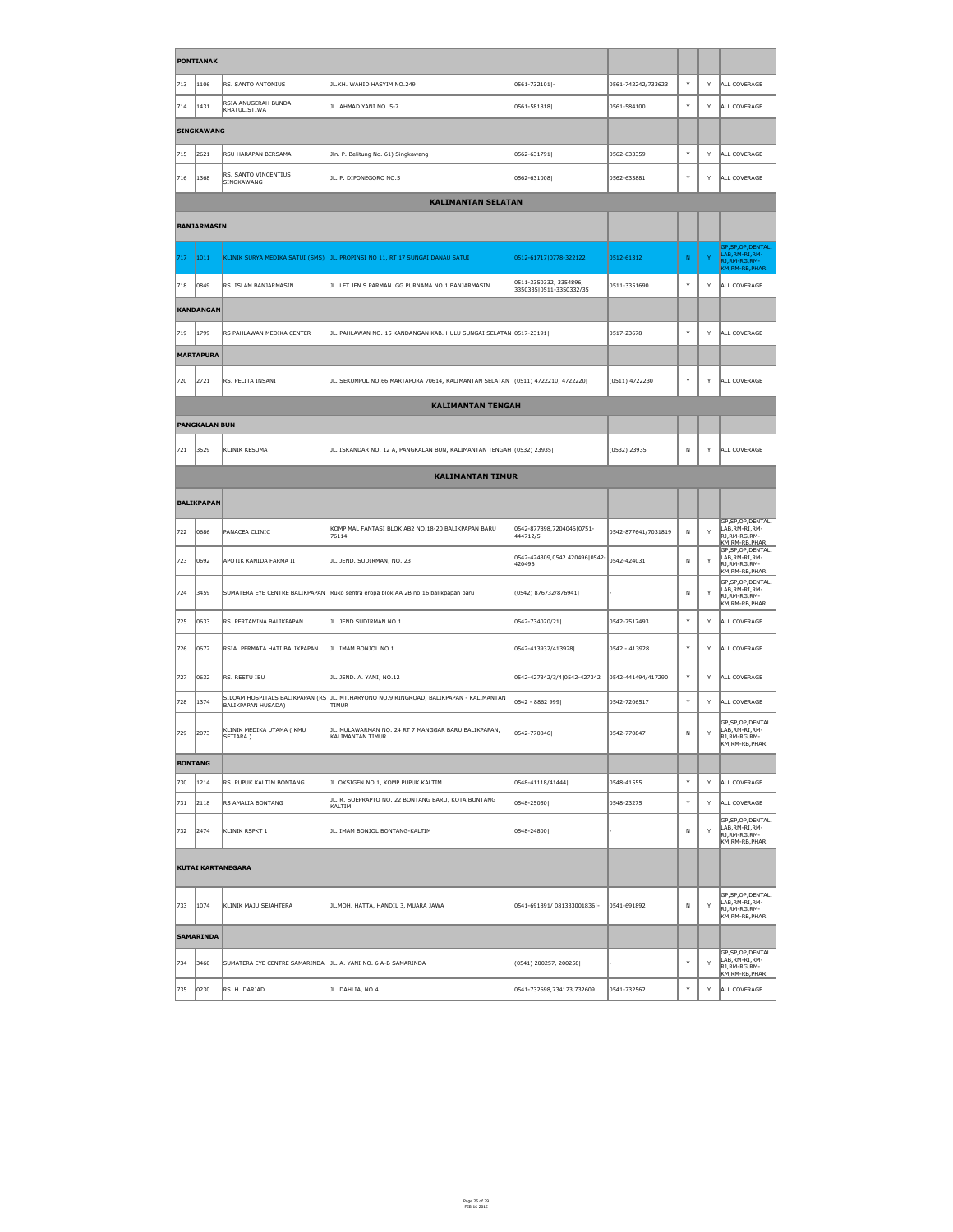|                | <b>PONTIANAK</b>     |                                                                 |                                                                                                       |                                                   |                     |              |              |                                                                                                    |
|----------------|----------------------|-----------------------------------------------------------------|-------------------------------------------------------------------------------------------------------|---------------------------------------------------|---------------------|--------------|--------------|----------------------------------------------------------------------------------------------------|
| 713            | 1106                 | RS. SANTO ANTONIUS                                              | JL.KH. WAHID HASYIM NO.249                                                                            | $ 0561 - 732101 $ -                               | 0561-742242/733623  | Y            | Y            | ALL COVERAGE                                                                                       |
| 714            | $ 1431\rangle$       | RSIA ANUGERAH BUNDA<br>KHATULISTIWA                             | JL. AHMAD YANI NO. 5-7                                                                                | $ 0561 - 581818 $                                 | 0561-584100         | $\mathsf{Y}$ | Y            | ALL COVERAGE                                                                                       |
|                | <b>SINGKAWANG</b>    |                                                                 |                                                                                                       |                                                   |                     |              |              |                                                                                                    |
| 715            | 2621                 | RSU HARAPAN BERSAMA                                             | Jln. P. Belitung No. 61) Singkawang                                                                   | 0562-631791                                       | 0562-633359         | Y            | Y            | ALL COVERAGE                                                                                       |
| 716            | 1368                 | RS. SANTO VINCENTIUS<br>SINGKAWANG                              | JL. P. DIPONEGORO NO.5                                                                                | 0562-631008                                       | 0562-633881         | Y            | Y            | ALL COVERAGE                                                                                       |
|                |                      |                                                                 | <b>KALIMANTAN SELATAN</b>                                                                             |                                                   |                     |              |              |                                                                                                    |
|                | BANJARMASIN          |                                                                 |                                                                                                       |                                                   |                     |              |              |                                                                                                    |
| 717            | 1011                 |                                                                 | KLINIK SURYA MEDIKA SATUI (SMS)  JL. PROPINSI NO 11, RT 17 SUNGAI DANAU SATUI                         | 0512-61717 0778-322122                            | 0512-61312          | N            | $\mathbf{Y}$ | GP, SP, OP, DENTAL,<br>LAB, RM-RI, RM-<br>RJ, RM-RG, RM-<br>KM, RM-RB, PHAR                        |
| 718            | 0849                 | RS. ISLAM BANJARMASIN                                           | JL. LET JEN S PARMAN GG.PURNAMA NO.1 BANJARMASIN                                                      | 0511-3350332, 3354896,<br>3350335 0511-3350332/35 | 0511-3351690        | Y            | Y            | ALL COVERAGE                                                                                       |
|                | <b>KANDANGAN</b>     |                                                                 |                                                                                                       |                                                   |                     |              |              |                                                                                                    |
| 719            | 1799                 | RS PAHLAWAN MEDIKA CENTER                                       | JL. PAHLAWAN NO. 15 KANDANGAN KAB. HULU SUNGAI SELATAN 0517-23191                                     |                                                   | 0517-23678          | Y            | Y            | ALL COVERAGE                                                                                       |
|                | <b>MARTAPURA</b>     |                                                                 |                                                                                                       |                                                   |                     |              |              |                                                                                                    |
| 720            | 2721                 | RS. PELITA INSANI                                               | JL. SEKUMPUL NO.66 MARTAPURA 70614, KALIMANTAN SELATAN (0511) 4722210, 4722220                        |                                                   | (0511) 4722230      | Y            | Y            | ALL COVERAGE                                                                                       |
|                |                      |                                                                 | <b>KALIMANTAN TENGAH</b>                                                                              |                                                   |                     |              |              |                                                                                                    |
|                | <b>PANGKALAN BUN</b> |                                                                 |                                                                                                       |                                                   |                     |              |              |                                                                                                    |
| 721            | 3529                 | KLINIK KESUMA                                                   | JL. ISKANDAR NO. 12 A, PANGKALAN BUN, KALIMANTAN TENGAH (0532) 23935                                  |                                                   | $(0532)$ 23935      | N            | Y            | ALL COVERAGE                                                                                       |
|                |                      |                                                                 | <b>KALIMANTAN TIMUR</b>                                                                               |                                                   |                     |              |              |                                                                                                    |
|                | <b>BALIKPAPAN</b>    |                                                                 |                                                                                                       |                                                   |                     |              |              |                                                                                                    |
| 722            | 0686                 | PANACEA CLINIC                                                  | KOMP MAL FANTASI BLOK AB2 NO.18-20 BALIKPAPAN BARU<br>76114                                           | 0542-877898,7204046 0751-<br>444712/5             | 0542-877641/7031819 | N            | Y            | GP, SP, OP, DENTAL,<br>LAB, RM-RI, RM-<br>RJ, RM-RG, RM-<br>KM, RM-RB, PHAR<br>GP, SP, OP, DENTAL, |
| 723            | 0692                 | APOTIK KANIDA FARMA II                                          | JL. JEND. SUDIRMAN, NO. 23                                                                            | 0542-424309,0542 420496 0542-<br>420496           | 0542-424031         | $\mathsf{N}$ | Y            | LAB, RM-RI, RM-<br>RJ, RM-RG, RM-<br>KM, RM-RB, PHAR                                               |
| 724            | 3459                 |                                                                 | SUMATERA EYE CENTRE BALIKPAPAN Ruko sentra eropa blok AA 2B no.16 balikpapan baru                     | (0542) 876732/876941                              |                     | N            | Y            | GP, SP, OP, DENTAL,<br>LAB, RM-RI, RM-<br>RJ, RM-RG, RM-<br>KM, RM-RB, PHAR                        |
| 725            | 0633                 | RS. PERTAMINA BALIKPAPAN                                        | JL. JEND SUDIRMAN NO.1                                                                                | 0542-734020/21                                    | 0542-7517493        | Y            | Y            | ALL COVERAGE                                                                                       |
| 726            | 0672                 | RSIA. PERMATA HATI BALIKPAPAN                                   | JL. IMAM BONJOL NO.1                                                                                  | 0542-413932/413928                                | 0542 - 413928       | Y            | Y            | ALL COVERAGE                                                                                       |
| 727            | 0632                 | RS. RESTU IBU                                                   | JL. JEND. A. YANI, NO.12                                                                              | 0542-427342/3/4 0542-427342                       | 0542-441494/417290  | Y            | Y            | ALL COVERAGE                                                                                       |
| 728            | 1374                 | BALIKPAPAN HUSADA)                                              | SILOAM HOSPITALS BALIKPAPAN (RS JL. MT.HARYONO NO.9 RINGROAD, BALIKPAPAN - KALIMANTAN<br><b>TIMUR</b> | 0542 - 8862 999                                   | 0542-7206517        | Y            | Y            | ALL COVERAGE                                                                                       |
| 729            | 2073                 | KLINIK MEDIKA UTAMA (KMU<br>SETIARA)                            | JL. MULAWARMAN NO. 24 RT 7 MANGGAR BARU BALIKPAPAN,<br><b>KALIMANTAN TIMUR</b>                        | 0542-770846                                       | 0542-770847         | N            | Y            | GP, SP, OP, DENTAL,<br>LAB, RM-RI, RM-<br>RJ, RM-RG, RM-<br>KM, RM-RB, PHAR                        |
| <b>BONTANG</b> |                      |                                                                 |                                                                                                       |                                                   |                     |              |              |                                                                                                    |
| 730            | 1214                 | RS. PUPUK KALTIM BONTANG                                        | JI. OKSIGEN NO.1, KOMP.PUPUK KALTIM                                                                   | 0548-41118/41444                                  | 0548-41555          | Y            | Y            | ALL COVERAGE                                                                                       |
| 731            | 2118                 | RS AMALIA BONTANG                                               | JL. R. SOEPRAPTO NO. 22 BONTANG BARU, KOTA BONTANG<br>KALTIM                                          | 0548-25050                                        | 0548-23275          | Y            | Y            | ALL COVERAGE                                                                                       |
| 732            | 2474                 | KLINIK RSPKT 1                                                  | JL. IMAM BONJOL BONTANG-KALTIM                                                                        | 0548-24800                                        |                     | N.           | Y            | GP, SP, OP, DENTAL,<br>LAB, RM-RI, RM-<br>RJ, RM-RG, RM-<br>KM, RM-RB, PHAR                        |
|                |                      | <b>KUTAI KARTANEGARA</b>                                        |                                                                                                       |                                                   |                     |              |              |                                                                                                    |
| 733            | 1074                 | KLINIK MAJU SEJAHTERA                                           | JL. MOH. HATTA, HANDIL 3, MUARA JAWA                                                                  | $ 0541 - 691891/ 081333001836 $ -                 | 0541-691892         | N            | Y            | GP, SP, OP, DENTAL,<br>LAB, RM-RI, RM-<br>RJ, RM-RG, RM-<br>KM, RM-RB, PHAR                        |
|                | <b>SAMARINDA</b>     |                                                                 |                                                                                                       |                                                   |                     |              |              |                                                                                                    |
| 734            | 3460                 | SUMATERA EYE CENTRE SAMARINDA   JL. A. YANI NO. 6 A-B SAMARINDA |                                                                                                       | $(0541)$ 200257, 200258                           |                     | Y            | Y            | GP, SP, OP, DENTAL,<br>LAB, RM-RI, RM-<br>RJ, RM-RG, RM-<br>KM, RM-RB, PHAR                        |
| 735            | 0230                 | RS. H. DARJAD                                                   | JL. DAHLIA, NO.4                                                                                      | 0541-732698,734123,732609                         | 0541-732562         | $\mathsf{Y}$ | Y            | ALL COVERAGE                                                                                       |

Page 25 of 29 FEB-16-2015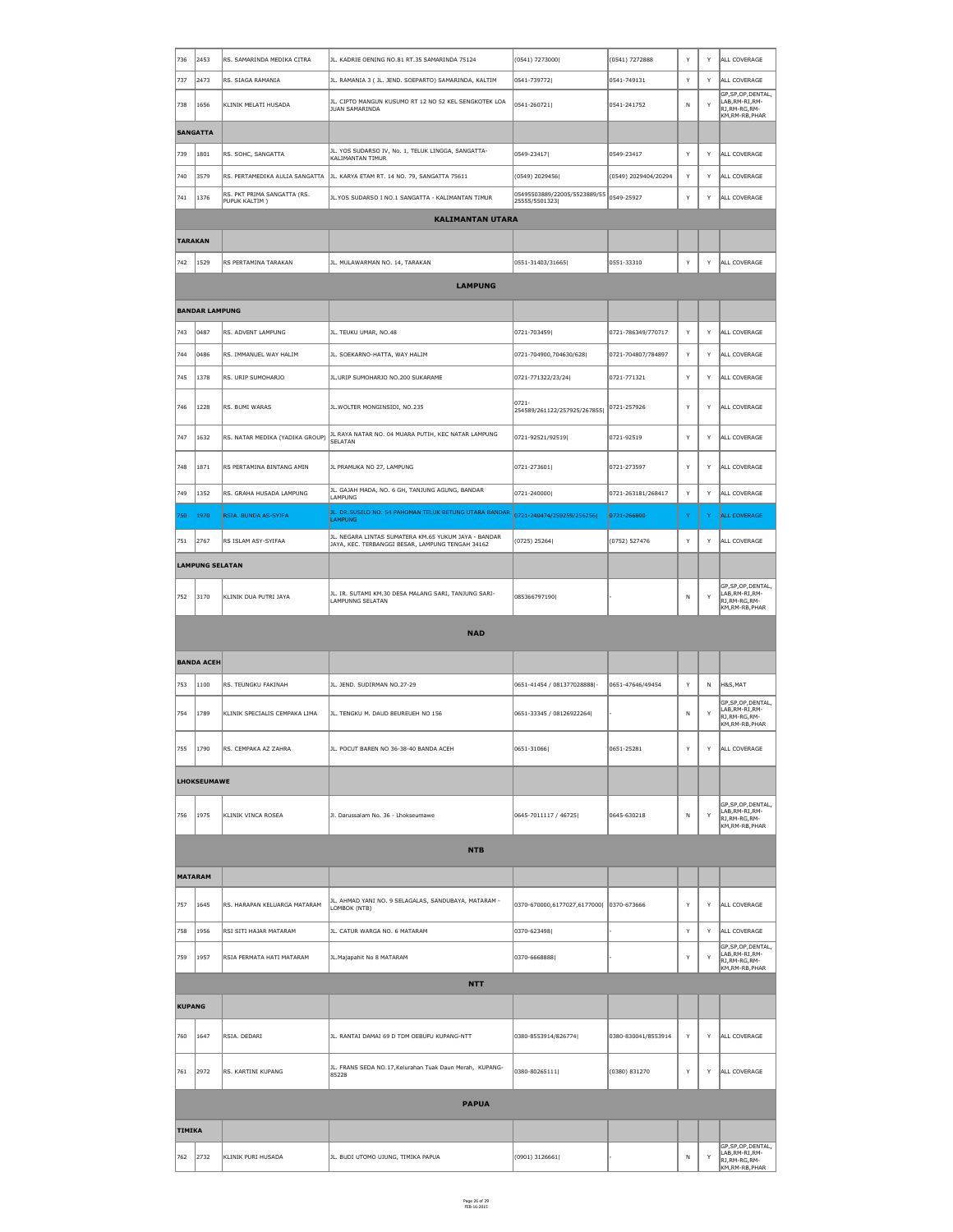| 736           |                        |                                              |                                                                                                                |                                               |                      | Y            | Y            |                                                                             |
|---------------|------------------------|----------------------------------------------|----------------------------------------------------------------------------------------------------------------|-----------------------------------------------|----------------------|--------------|--------------|-----------------------------------------------------------------------------|
| 737           | 2453                   | RS. SAMARINDA MEDIKA CITRA                   | JL. KADRIE OENING NO.81 RT.35 SAMARINDA 75124                                                                  | (0541) 7273000                                | (0541) 7272888       | $\mathsf{v}$ | Y            | ALL COVERAGE<br>ALL COVERAGE                                                |
|               | 2473                   | RS. SIAGA RAMANIA                            | JL. RAMANIA 3 ( JL. JEND. SOEPARTO) SAMARINDA, KALTIM<br>JL. CIPTO MANGUN KUSUMO RT 12 NO 52 KEL SENGKOTEK LOA | 0541-739772                                   | 0541-749131          |              |              | GP, SP, OP, DENTAL,<br>LAB, RM-RI, RM-                                      |
| 738           | 1656                   | KLINIK MELATI HUSADA                         | JUAN SAMARINDA                                                                                                 | 0541-260721                                   | 0541-241752          | N            | Y            | RJ, RM-RG, RM-<br>KM, RM-RB, PHAR                                           |
|               | <b>SANGATTA</b>        |                                              |                                                                                                                |                                               |                      |              |              |                                                                             |
| 739           | 1801                   | RS. SOHC, SANGATTA                           | JL. YOS SUDARSO IV, No. 1, TELUK LINGGA, SANGATTA-<br>KALIMANTAN TIMUR                                         | 0549-23417                                    | 0549-23417           | Y            | Y            | ALL COVERAGE                                                                |
| 740           | 3579                   |                                              | RS. PERTAMEDIKA AULIA SANGATTA  JL. KARYA ETAM RT. 14 NO. 79, SANGATTA 75611                                   | $(0549)$ 2029456                              | (0549) 2029404/20294 | $\mathsf{v}$ | Y            | ALL COVERAGE                                                                |
| 741           | 1376                   | RS. PKT PRIMA SANGATTA (RS.<br>PUPUK KALTIM) | JL.YOS SUDARSO I NO.1 SANGATTA - KALIMANTAN TIMUR                                                              | 05495503889/22005/5523889/55<br>25555/5501323 | 0549-25927           |              | Y            | ALL COVERAGE                                                                |
|               |                        |                                              | <b>KALIMANTAN UTARA</b>                                                                                        |                                               |                      |              |              |                                                                             |
|               | <b>TARAKAN</b>         |                                              |                                                                                                                |                                               |                      |              |              |                                                                             |
| 742           | 1529                   | RS PERTAMINA TARAKAN                         | JL. MULAWARMAN NO. 14, TARAKAN                                                                                 | 0551-31403/31665                              | 0551-33310           | Y            | Y            | ALL COVERAGE                                                                |
|               |                        |                                              | <b>LAMPUNG</b>                                                                                                 |                                               |                      |              |              |                                                                             |
|               | <b>BANDAR LAMPUNG</b>  |                                              |                                                                                                                |                                               |                      |              |              |                                                                             |
| 743           | 0487                   | RS. ADVENT LAMPUNG                           | JL. TEUKU UMAR, NO.48                                                                                          | 0721-703459                                   | 0721-786349/770717   | Y            | Y            | ALL COVERAGE                                                                |
| 744           | 0486                   | RS. IMMANUEL WAY HALIM                       | JL. SOEKARNO-HATTA, WAY HALIM                                                                                  | 0721-704900,704630/628                        | 0721-704807/784897   | Y            | $\mathsf{Y}$ | ALL COVERAGE                                                                |
| 745           | $\parallel$ 1378       | RS. URIP SUMOHARJO                           | JL.URIP SUMOHARJO NO.200 SUKARAME                                                                              | 0721-771322/23/24                             | 0721-771321          | Y            | $\mathsf{Y}$ | ALL COVERAGE                                                                |
| 746           | 1228                   | RS. BUMI WARAS                               | JL. WOLTER MONGINSIDI, NO.235                                                                                  | 0721-<br>254589/261122/257925/267855          | 0721-257926          | Y            | Y            | ALL COVERAGE                                                                |
| 747           | 1632                   | RS. NATAR MEDIKA (YADIKA GROUP)              | JL RAYA NATAR NO. 04 MUARA PUTIH, KEC NATAR LAMPUNG<br>∫SELATAN                                                | 0721-92521/92519                              | 0721-92519           | Y            | Y            | ALL COVERAGE                                                                |
| 748           | $\ 1871$               | RS PERTAMINA BINTANG AMIN                    | JL PRAMUKA NO 27, LAMPUNG                                                                                      | $ 0721 - 273601 $                             | 0721-273597          | Y            | Y            | ALL COVERAGE                                                                |
| 749           | 1352                   | RS. GRAHA HUSADA LAMPUNG                     | JL. GAJAH MADA, NO. 6 GH, TANJUNG AGUNG, BANDAR<br>LAMPUNG                                                     | $ 0721 - 240000 $                             | 0721-263181/268417   | Y            | Y            | ALL COVERAGE                                                                |
| 750           | 1970                   | RSIA. BUNDA AS-SYIFA                         | JL. DR.SUSILO NO. 54 PAHOMAN TELUK BETUNG UTARA BANDAR<br><b>LAMPUNG</b>                                       | 0721-240474/259259/256256                     | 0721-266800          | Y.           | Y            | ALL COVERAGE                                                                |
| 751           | 2767                   | RS ISLAM ASY-SYIFAA                          | JL. NEGARA LINTAS SUMATERA KM.65 YUKUM JAYA - BANDAR<br>JAYA, KEC. TERBANGGI BESAR, LAMPUNG TENGAH 34162       | (0725) 25264                                  | (0752) 527476        | Y            | Y            | ALL COVERAGE                                                                |
|               | <b>LAMPUNG SELATAN</b> |                                              |                                                                                                                |                                               |                      |              |              |                                                                             |
| 752           | 3170                   | KLINIK DUA PUTRI JAYA                        | JL. IR. SUTAMI KM.30 DESA MALANG SARI, TANJUNG SARI-<br>LAMPUNNG SELATAN                                       | 085366797190                                  |                      | $\mathsf{N}$ | Y            | GP, SP, OP, DENTAL,<br>LAB, RM-RI, RM-<br>RJ, RM-RG, RM-<br>KM, RM-RB, PHAR |
|               |                        |                                              | <b>NAD</b>                                                                                                     |                                               |                      |              |              |                                                                             |
|               |                        |                                              |                                                                                                                |                                               |                      |              |              |                                                                             |
|               | <b>BANDA ACEH</b>      |                                              |                                                                                                                |                                               |                      |              |              |                                                                             |
| 753           | 1100                   | RS. TEUNGKU FAKINAH                          | JL. JEND. SUDIRMAN NO.27-29                                                                                    | 0651-41454 / 081377028888 -                   | 0651-47646/49454     | Y            | N            | H&S, MAT                                                                    |
| 754           | 1789                   | KLINIK SPECIALIS CEMPAKA LIMA                | JL. TENGKU M. DAUD BEUREUEH NO 156                                                                             | 0651-33345 / 08126922264                      |                      | N            | Y            | GP, SP, OP, DENTAL,<br>LAB, RM-RI, RM-<br>RJ, RM-RG, RM-<br>KM, RM-RB, PHAR |
| 755           | 1790                   | RS. CEMPAKA AZ ZAHRA                         | JL. POCUT BAREN NO 36-38-40 BANDA ACEH                                                                         | $ 0651 - 31066 $                              | 0651-25281           | Y            | $\mathsf{Y}$ | ALL COVERAGE                                                                |
|               | <b>LHOKSEUMAWE</b>     |                                              |                                                                                                                |                                               |                      |              |              |                                                                             |
| 756           | 1975                   | KLINIK VINCA ROSEA                           | Jl. Darussalam No. 36 - Lhokseumawe                                                                            | $ 0645 - 7011117 / 46725 $                    | 0645-630218          | N            | Y            | GP, SP, OP, DENTAL,<br>LAB, RM-RI, RM-<br>RJ, RM-RG, RM-<br>KM, RM-RB, PHAR |
|               |                        |                                              | <b>NTB</b>                                                                                                     |                                               |                      |              |              |                                                                             |
|               | <b>MATARAM</b>         |                                              |                                                                                                                |                                               |                      |              |              |                                                                             |
| 757           | 1645                   | RS. HARAPAN KELUARGA MATARAM                 | JL. AHMAD YANI NO. 9 SELAGALAS, SANDUBAYA, MATARAM -<br>LOMBOK (NTB)                                           | 0370-670000,6177027,6177000  0370-673666      |                      | Y            | Y            | ALL COVERAGE                                                                |
| 758           | 1956                   | RSI SITI HAJAR MATARAM                       | JL. CATUR WARGA NO. 6 MATARAM                                                                                  | 0370-623498                                   |                      | $\mathsf{v}$ | Y            | ALL COVERAGE                                                                |
| 759           | $\vert$ 1957           | RSIA PERMATA HATI MATARAM                    | JL. Majapahit No 8 MATARAM                                                                                     | 0370-6668888                                  |                      | Y            | Y            | GP, SP, OP, DENTAL,<br>LAB, RM-RI, RM-<br>RJ, RM-RG, RM-<br>KM, RM-RB, PHAR |
|               |                        |                                              | <b>NTT</b>                                                                                                     |                                               |                      |              |              |                                                                             |
| <b>KUPANG</b> |                        |                                              |                                                                                                                |                                               |                      |              |              |                                                                             |
| 760           | 1647                   | RSIA. DEDARI                                 | JL. RANTAI DAMAI 69 D TDM OEBUFU KUPANG-NTT                                                                    | 0380-8553914/826774                           | 0380-830041/8553914  | Y            | Y            | ALL COVERAGE                                                                |
|               |                        |                                              |                                                                                                                |                                               |                      |              |              |                                                                             |

| 761           | 2972           | RS. KARTINI KUPANG | JL. FRANS SEDA NO.17, Kelurahan Tuak Daun Merah, KUPANG-<br>85228 | $ 0380 - 80265111 $ | (0380) 831270 | $\checkmark$ |        | ALL COVERAGE                                                                                    |
|---------------|----------------|--------------------|-------------------------------------------------------------------|---------------------|---------------|--------------|--------|-------------------------------------------------------------------------------------------------|
|               |                |                    | <b>PAPUA</b>                                                      |                     |               |              |        |                                                                                                 |
| <b>TIMIKA</b> |                |                    |                                                                   |                     |               |              |        |                                                                                                 |
| 762           | $ 2732\rangle$ | KLINIK PURI HUSADA | JL. BUDI UTOMO UJUNG, TIMIKA PAPUA                                | $(0901)$ 3126661    |               | N            | $\vee$ | GP, SP, OP, DENTAL,<br>$\parallel$ LAB,RM-RI,RM-<br>$\ RJ, RM-RG, RM-$<br>$\vert$ KM,RM-RB,PHAR |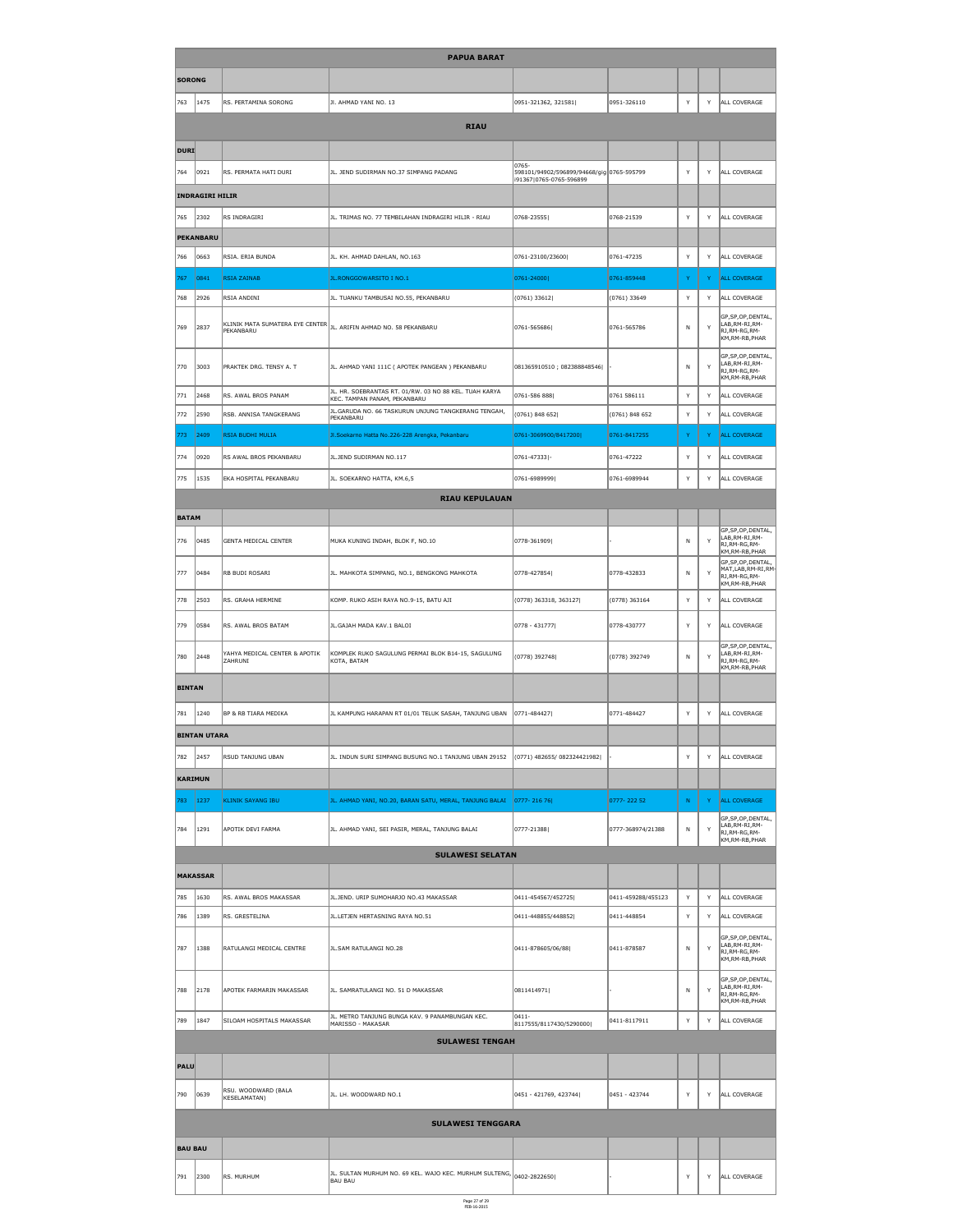|                | <b>PAPUA BARAT</b>     |                                                 |                                                                                        |                                                                      |                    |              |                      |                                                                                                    |  |  |  |
|----------------|------------------------|-------------------------------------------------|----------------------------------------------------------------------------------------|----------------------------------------------------------------------|--------------------|--------------|----------------------|----------------------------------------------------------------------------------------------------|--|--|--|
| <b>SORONG</b>  |                        |                                                 |                                                                                        |                                                                      |                    |              |                      |                                                                                                    |  |  |  |
| 763            | 1475                   | RS. PERTAMINA SORONG                            | JI. AHMAD YANI NO. 13                                                                  | 0951-321362, 321581                                                  | 0951-326110        | Y            | Y                    | ALL COVERAGE                                                                                       |  |  |  |
|                |                        |                                                 | <b>RIAU</b>                                                                            |                                                                      |                    |              |                      |                                                                                                    |  |  |  |
| DURI           |                        |                                                 |                                                                                        |                                                                      |                    |              |                      |                                                                                                    |  |  |  |
|                |                        |                                                 |                                                                                        | 0765-                                                                |                    |              |                      |                                                                                                    |  |  |  |
| 764            | 0921                   | RS. PERMATA HATI DURI                           | JL. JEND SUDIRMAN NO.37 SIMPANG PADANG                                                 | 598101/94902/596899/94668/gig 0765-595799<br>i91367 0765-0765-596899 |                    | Y            | Y                    | ALL COVERAGE                                                                                       |  |  |  |
|                | <b>INDRAGIRI HILIR</b> |                                                 |                                                                                        |                                                                      |                    |              |                      |                                                                                                    |  |  |  |
| 765            | 2302                   | RS INDRAGIRI                                    | JL. TRIMAS NO. 77 TEMBILAHAN INDRAGIRI HILIR - RIAU                                    | 0768-23555                                                           | 0768-21539         | $\mathsf{Y}$ | Y                    | ALL COVERAGE                                                                                       |  |  |  |
|                | <b>PEKANBARU</b>       |                                                 |                                                                                        |                                                                      |                    |              |                      |                                                                                                    |  |  |  |
| 766            | 0663                   | RSIA. ERIA BUNDA                                | JL. KH. AHMAD DAHLAN, NO.163                                                           | 0761-23100/23600                                                     | 0761-47235         | Y            | Y                    | ALL COVERAGE                                                                                       |  |  |  |
| 767            | 0841                   | <b>RSIA ZAINAB</b>                              | JL.RONGGOWARSITO I NO.1                                                                | 0761-24000                                                           | 0761-859448        | Y            | Y                    | <b>ALL COVERAGE</b>                                                                                |  |  |  |
| 768            | 2926                   | RSIA ANDINI                                     | JL. TUANKU TAMBUSAI NO.55, PEKANBARU                                                   | $(0761)$ 33612                                                       | $(0761)$ 33649     | Y            | Y                    | ALL COVERAGE                                                                                       |  |  |  |
| 769            | 2837                   | KLINIK MATA SUMATERA EYE CENTER<br>PEKANBARU    | JL. ARIFIN AHMAD NO. 58 PEKANBARU                                                      | 0761-565686                                                          | 0761-565786        | N            | Y                    | GP, SP, OP, DENTAL,<br>LAB, RM-RI, RM-<br>RJ, RM-RG, RM-<br>KM, RM-RB, PHAR                        |  |  |  |
| ∥770           | 3003                   | PRAKTEK DRG. TENSY A. T                         | JL. AHMAD YANI 111C ( APOTEK PANGEAN ) PEKANBARU                                       | 081365910510; 082388848546                                           |                    | N            | Y                    | GP, SP, OP, DENTAL,<br>LAB, RM-RI, RM-<br>RJ, RM-RG, RM-<br>KM, RM-RB, PHAR                        |  |  |  |
| 771            | 2468                   | RS. AWAL BROS PANAM                             | JL. HR. SOEBRANTAS RT. 01/RW. 03 NO 88 KEL. TUAH KARYA<br>KEC. TAMPAN PANAM, PEKANBARU | 0761-586 888                                                         | 0761 586111        | Y            | Y                    | ALL COVERAGE                                                                                       |  |  |  |
| 772            | 2590                   | RSB. ANNISA TANGKERANG                          | JL. GARUDA NO. 66 TASKURUN UNJUNG TANGKERANG TENGAH,<br>PEKANBARU                      | $(0761)$ 848 652                                                     | $(0761)$ 848 652   | Y            | Y                    | ALL COVERAGE                                                                                       |  |  |  |
| 773            | 2409                   | <b>RSIA BUDHI MULIA</b>                         | Jl.Soekarno Hatta No.226-228 Arengka, Pekanbaru                                        | 0761-3069900/8417200                                                 | 0761-8417255       | <sup>Y</sup> | Y.                   | <b>ALL COVERAGE</b>                                                                                |  |  |  |
| 774            | 0920                   | RS AWAL BROS PEKANBARU                          | JL.JEND SUDIRMAN NO.117                                                                | 0761-47333 -                                                         | 0761-47222         | Y            | Y                    | ALL COVERAGE                                                                                       |  |  |  |
| 775            | 1535                   | EKA HOSPITAL PEKANBARU                          | JL. SOEKARNO HATTA, KM.6,5                                                             | 0761-6989999                                                         | 0761-6989944       | Y            | Y                    | ALL COVERAGE                                                                                       |  |  |  |
|                |                        |                                                 | <b>RIAU KEPULAUAN</b>                                                                  |                                                                      |                    |              |                      |                                                                                                    |  |  |  |
| <b>BATAM</b>   |                        |                                                 |                                                                                        |                                                                      |                    |              |                      |                                                                                                    |  |  |  |
| 776            | 0485                   | <b>GENTA MEDICAL CENTER</b>                     | MUKA KUNING INDAH, BLOK F, NO.10                                                       | 0778-361909                                                          |                    | N            | Y                    | GP, SP, OP, DENTAL,<br>LAB, RM-RI, RM-<br>RJ, RM-RG, RM-<br>KM, RM-RB, PHAR<br>GP, SP, OP, DENTAL, |  |  |  |
| $\vert$ 777    | 0484                   | RB BUDI ROSARI                                  | JL. MAHKOTA SIMPANG, NO.1, BENGKONG MAHKOTA                                            | 0778-427854                                                          | 0778-432833        | N            | Y                    | MAT, LAB, RM-RI, RM-<br>$\mathsf{R}$ J,RM-RG,RM-<br>KM, RM-RB, PHAR                                |  |  |  |
| 778            | 2503                   | RS. GRAHA HERMINE                               | KOMP. RUKO ASIH RAYA NO.9-15, BATU AJI                                                 | (0778) 363318, 363127                                                | $(0778)$ 363164    | $\mathsf{Y}$ | Y                    | ALL COVERAGE                                                                                       |  |  |  |
| ∥779           | 0584                   | RS. AWAL BROS BATAM                             | JL.GAJAH MADA KAV.1 BALOI                                                              | $ 0778 - 431777 $                                                    | 0778-430777        | Y            | Y                    | ALL COVERAGE                                                                                       |  |  |  |
| 780            | 2448                   | YAHYA MEDICAL CENTER & APOTIK<br><b>ZAHRUNI</b> | KOMPLEK RUKO SAGULUNG PERMAI BLOK B14-15, SAGULUNG<br>KOTA, BATAM                      | $(0778)$ 392748                                                      | (0778) 392749      | $\mathsf{N}$ | Y                    | GP, SP, OP, DENTAL,<br>LAB, RM-RI, RM-<br>RJ, RM-RG, RM-<br>KM, RM-RB, PHAR                        |  |  |  |
| <b>BINTAN</b>  |                        |                                                 |                                                                                        |                                                                      |                    |              |                      |                                                                                                    |  |  |  |
| 781            | 1240                   | <b>BP &amp; RB TIARA MEDIKA</b>                 | JL KAMPUNG HARAPAN RT 01/01 TELUK SASAH, TANJUNG UBAN                                  | $ 0771 - 484427 $                                                    | 0771-484427        | Y            | Y                    | ALL COVERAGE                                                                                       |  |  |  |
|                | <b>BINTAN UTARA</b>    |                                                 |                                                                                        |                                                                      |                    |              |                      |                                                                                                    |  |  |  |
| 782            | 2457                   | RSUD TANJUNG UBAN                               | JL. INDUN SURI SIMPANG BUSUNG NO.1 TANJUNG UBAN 29152                                  | (0771) 482655/082324421982                                           |                    | Y            | Y                    | ALL COVERAGE                                                                                       |  |  |  |
| <b>KARIMUN</b> |                        |                                                 |                                                                                        |                                                                      |                    |              |                      |                                                                                                    |  |  |  |
| 783            | 1237                   | <b>KLINIK SAYANG IBU</b>                        | JL. AHMAD YANI, NO.20, BARAN SATU, MERAL, TANJUNG BALAI                                | $ 0777 - 21676 $                                                     | $0777 - 22252$     | $\mathbb N$  | $\blacktriangledown$ | <b>ALL COVERAGE</b>                                                                                |  |  |  |
| 784            | 1291                   | APOTIK DEVI FARMA                               | JL. AHMAD YANI, SEI PASIR, MERAL, TANJUNG BALAI                                        | 0777-21388                                                           | 0777-368974/21388  | $\mathsf{N}$ | Y                    | GP, SP, OP, DENTAL,<br>LAB, RM-RI, RM-<br>RJ, RM-RG, RM-                                           |  |  |  |
|                |                        |                                                 | <b>SULAWESI SELATAN</b>                                                                |                                                                      |                    |              |                      | KM,RM-RB,PHAR                                                                                      |  |  |  |
|                | <b>MAKASSAR</b>        |                                                 |                                                                                        |                                                                      |                    |              |                      |                                                                                                    |  |  |  |
| 785            | 1630                   | RS. AWAL BROS MAKASSAR                          | JL.JEND. URIP SUMOHARJO NO.43 MAKASSAR                                                 | 0411-454567/452725                                                   | 0411-459288/455123 | Y            | Y                    | ALL COVERAGE                                                                                       |  |  |  |
| 786            | 1389                   | RS. GRESTELINA                                  | JL.LETJEN HERTASNING RAYA NO.51                                                        | 0411-448855/448852                                                   | 0411-448854        | Y            | Y                    | ALL COVERAGE                                                                                       |  |  |  |
| 787            | 1388                   | RATULANGI MEDICAL CENTRE                        | JL.SAM RATULANGI NO.28                                                                 | 0411-878605/06/88                                                    | 0411-878587        | $\mathsf{N}$ | Y                    | GP, SP, OP, DENTAL,<br>LAB, RM-RI, RM-<br>RJ, RM-RG, RM-<br>KM, RM-RB, PHAR                        |  |  |  |
| 788            | 2178                   | APOTEK FARMARIN MAKASSAR                        | JL. SAMRATULANGI NO. 51 D MAKASSAR                                                     | 0811414971                                                           |                    | $\mathsf{N}$ | Y                    | GP, SP, OP, DENTAL,<br>LAB, RM-RI, RM-<br>RJ, RM-RG, RM-<br>KM, RM-RB, PHAR                        |  |  |  |
| 789            | 1847                   | SILOAM HOSPITALS MAKASSAR                       | JL. METRO TANJUNG BUNGA KAV. 9 PANAMBUNGAN KEC.<br>MARISSO - MAKASAR                   | $ 0411 -$<br>8117555/8117430/5290000                                 | 0411-8117911       | Y            | Y                    | ALL COVERAGE                                                                                       |  |  |  |
|                |                        |                                                 | <b>SULAWESI TENGAH</b>                                                                 |                                                                      |                    |              |                      |                                                                                                    |  |  |  |

| <b>PALU</b>    |                |                                     |                                                                                              |                           |               |           |           |              |
|----------------|----------------|-------------------------------------|----------------------------------------------------------------------------------------------|---------------------------|---------------|-----------|-----------|--------------|
| ∥790           | $ 0639\rangle$ | RSU. WOODWARD (BALA<br>KESELAMATAN) | JL. LH. WOODWARD NO.1                                                                        | $ 0451 - 421769, 423744 $ | 0451 - 423744 | $\lambda$ | $\sqrt{}$ | ALL COVERAGE |
|                |                |                                     | <b>SULAWESI TENGGARA</b>                                                                     |                           |               |           |           |              |
| <b>BAU BAU</b> |                |                                     |                                                                                              |                           |               |           |           |              |
| 791            | 2300           | RS. MURHUM                          | JL. SULTAN MURHUM NO. 69 KEL. WAJO KEC. MURHUM SULTENG, $ _{0402-2822650}$<br><b>BAU BAU</b> |                           |               | $\lambda$ | $\lambda$ | ALL COVERAGE |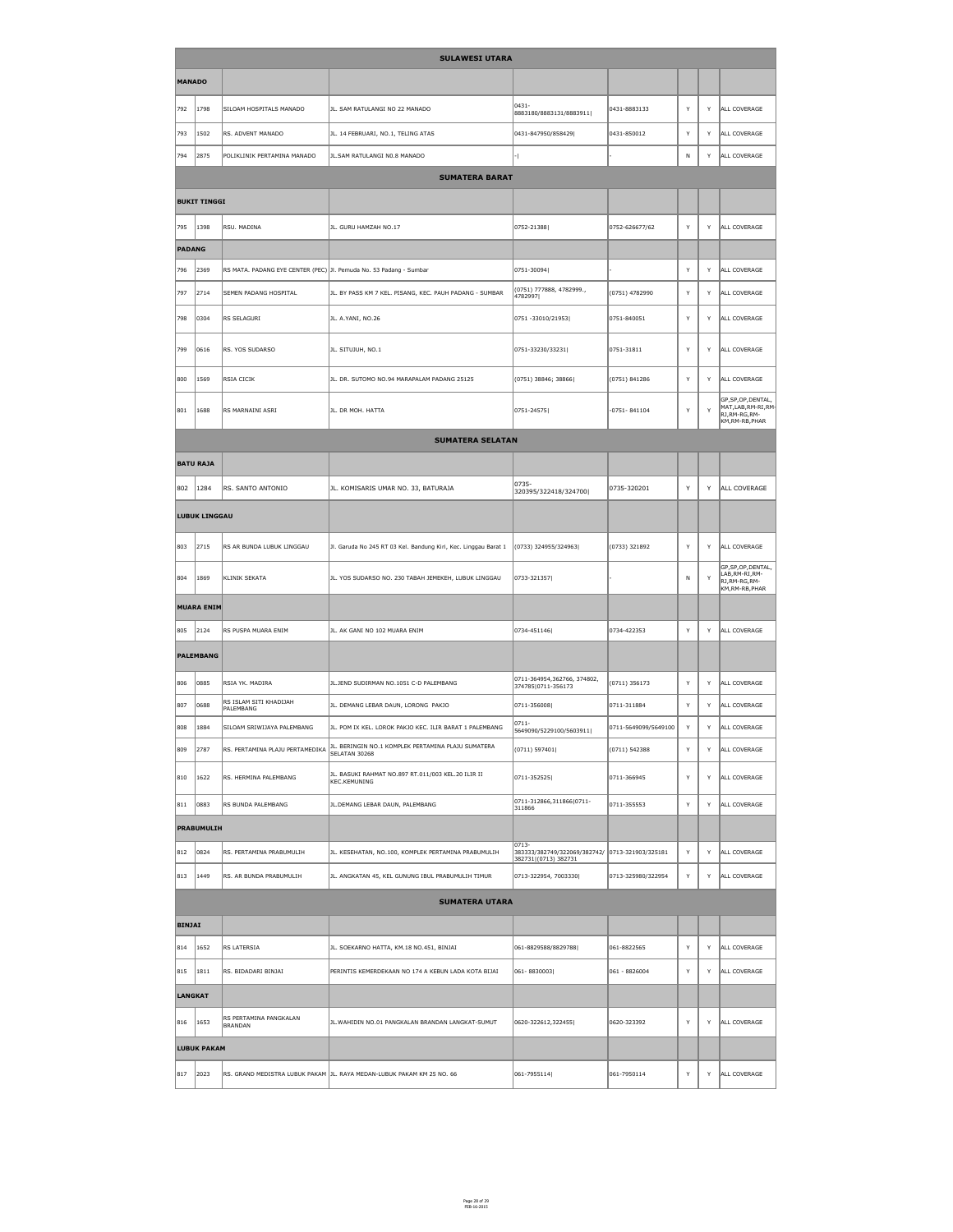|                |                      |                                                                    | <b>SULAWESI UTARA</b>                                               |                                                                                      |                      |              |   |                                                                               |
|----------------|----------------------|--------------------------------------------------------------------|---------------------------------------------------------------------|--------------------------------------------------------------------------------------|----------------------|--------------|---|-------------------------------------------------------------------------------|
| <b>MANADO</b>  |                      |                                                                    |                                                                     |                                                                                      |                      |              |   |                                                                               |
| 792            | 1798                 | SILOAM HOSPITALS MANADO                                            | JL. SAM RATULANGI NO 22 MANADO                                      | $ 0431 -$<br>8883180/8883131/8883911                                                 | 0431-8883133         | Y            | Y | ALL COVERAGE                                                                  |
| 793            | 1502                 | RS. ADVENT MANADO                                                  | JL. 14 FEBRUARI, NO.1, TELING ATAS                                  | 0431-847950/858429                                                                   | 0431-850012          | Y            | Y | ALL COVERAGE                                                                  |
| 794            | 2875                 | POLIKLINIK PERTAMINA MANADO                                        | JL. SAM RATULANGI N0.8 MANADO                                       |                                                                                      |                      | $\mathsf{N}$ | Y | ALL COVERAGE                                                                  |
|                |                      |                                                                    | <b>SUMATERA BARAT</b>                                               |                                                                                      |                      |              |   |                                                                               |
|                | <b>BUKIT TINGGI</b>  |                                                                    |                                                                     |                                                                                      |                      |              |   |                                                                               |
| 795            | 1398                 | RSU. MADINA                                                        | JL. GURU HAMZAH NO.17                                               | $ 0752 - 21388 $                                                                     | 0752-626677/62       | Y            | Y | ALL COVERAGE                                                                  |
| <b>PADANG</b>  |                      |                                                                    |                                                                     |                                                                                      |                      |              |   |                                                                               |
| 796            | 2369                 | RS MATA. PADANG EYE CENTER (PEC) Jl. Pemuda No. 53 Padang - Sumbar |                                                                     | $ 0751 - 30094 $                                                                     |                      | <sup>V</sup> | Y | ALL COVERAGE                                                                  |
| 797            | 2714                 | <b>SEMEN PADANG HOSPITAL</b>                                       | JL. BY PASS KM 7 KEL. PISANG, KEC. PAUH PADANG - SUMBAR             | $(0751)$ 777888, 4782999.,<br>4782997                                                | (0751) 4782990       | Y            | Y | ALL COVERAGE                                                                  |
| 798            | 0304                 | <b>RS SELAGURI</b>                                                 | JL. A.YANI, NO.26                                                   | $ 0751 - 33010/21953 $                                                               | 0751-840051          | Y            | Y | ALL COVERAGE                                                                  |
| 799            | 0616                 | RS. YOS SUDARSO                                                    | JL. SITUJUH, NO.1                                                   | $ 0751 - 33230/33231 $                                                               | 0751-31811           | Y            | Y | ALL COVERAGE                                                                  |
| 800            | 1569                 | <b>RSIA CICIK</b>                                                  | JL. DR. SUTOMO NO.94 MARAPALAM PADANG 25125                         | $(0751)$ 38846; 38866                                                                | $(0751)$ 841286      | Y            | Y | ALL COVERAGE                                                                  |
| 801            | 1688                 | RS MARNAINI ASRI                                                   | JL. DR MOH. HATTA                                                   | $ 0751 - 24575 $                                                                     | $-0751 - 841104$     | Y            | Y | GP, SP, OP, DENTAL,<br>MAT,LAB,RM-RI,RM-<br>RJ, RM-RG, RM-<br>KM, RM-RB, PHAR |
|                |                      |                                                                    | <b>SUMATERA SELATAN</b>                                             |                                                                                      |                      |              |   |                                                                               |
|                | <b>BATU RAJA</b>     |                                                                    |                                                                     |                                                                                      |                      |              |   |                                                                               |
| 802            | 1284                 | RS. SANTO ANTONIO                                                  | JL. KOMISARIS UMAR NO. 33, BATURAJA                                 | $ 0735-$<br>320395/322418/324700                                                     | 0735-320201          | Y            | Y | ALL COVERAGE                                                                  |
|                | <b>LUBUK LINGGAU</b> |                                                                    |                                                                     |                                                                                      |                      |              |   |                                                                               |
| 803            | 2715                 | RS AR BUNDA LUBUK LINGGAU                                          | Jl. Garuda No 245 RT 03 Kel. Bandung Kiri, Kec. Linggau Barat 1     | (0733) 324955/324963                                                                 | (0733) 321892        | Y            | Y | ALL COVERAGE                                                                  |
| 804            | 1869                 | KLINIK SEKATA                                                      | JL. YOS SUDARSO NO. 230 TABAH JEMEKEH, LUBUK LINGGAU                | $ 0733 - 321357 $                                                                    |                      | N            | Y | GP, SP, OP, DENTAL,<br>LAB, RM-RI, RM-<br>RJ, RM-RG, RM-<br>KM, RM-RB, PHAR   |
|                | <b>MUARA ENIM</b>    |                                                                    |                                                                     |                                                                                      |                      |              |   |                                                                               |
| 805            | 2124                 | RS PUSPA MUARA ENIM                                                | JL. AK GANI NO 102 MUARA ENIM                                       | 0734-451146                                                                          | 0734-422353          | Y            | Y | ALL COVERAGE                                                                  |
|                | <b>PALEMBANG</b>     |                                                                    |                                                                     |                                                                                      |                      |              |   |                                                                               |
| 806            | 0885                 | RSIA YK. MADIRA                                                    | JL.JEND SUDIRMAN NO.1051 C-D PALEMBANG                              | 0711-364954,362766, 374802,<br>374785 0711-356173                                    | $(0711)$ 356173      | Y            | Y | ALL COVERAGE                                                                  |
| 807            | 0688                 | RS ISLAM SITI KHADIJAH<br>PALEMBANG                                | JL. DEMANG LEBAR DAUN, LORONG PAKJO                                 | $ 0711 - 356008 $                                                                    | 0711-311884          | Y            | Y | ALL COVERAGE                                                                  |
| 808            | 1884                 | SILOAM SRIWIJAYA PALEMBANG                                         | JL. POM IX KEL. LOROK PAKJO KEC. ILIR BARAT 1 PALEMBANG             | $ 0711 -$<br>5649090/5229100/5603911                                                 | 0711-5649099/5649100 | Y            | Y | ALL COVERAGE                                                                  |
| 809            | 2787                 | RS. PERTAMINA PLAJU PERTAMEDIKA                                    | JL. BERINGIN NO.1 KOMPLEK PERTAMINA PLAJU SUMATERA<br>SELATAN 30268 | (0711) 597401                                                                        | (0711) 542388        | Y            | Y | ALL COVERAGE                                                                  |
| 810            | 1622                 | RS. HERMINA PALEMBANG                                              | JL. BASUKI RAHMAT NO.897 RT.011/003 KEL.20 ILIR II<br>KEC.KEMUNING  | $ 0711 - 352525 $                                                                    | 0711-366945          | Y            | Y | ALL COVERAGE                                                                  |
| 811            | 0883                 | RS BUNDA PALEMBANG                                                 | JL. DEMANG LEBAR DAUN, PALEMBANG                                    | 0711-312866,311866 0711-<br>311866                                                   | 0711-355553          | Y            | Y | ALL COVERAGE                                                                  |
|                | <b>PRABUMULIH</b>    |                                                                    |                                                                     |                                                                                      |                      |              |   |                                                                               |
| $ 812\rangle$  | 0824                 | RS. PERTAMINA PRABUMULIH                                           | JL. KESEHATAN, NO.100, KOMPLEK PERTAMINA PRABUMULIH                 | $ 0713 -$<br>383333/382749/322069/382742/ 0713-321903/325181<br>382731 (0713) 382731 |                      | Y            | Y | ALL COVERAGE                                                                  |
| 813            | 1449                 | RS. AR BUNDA PRABUMULIH                                            | JL. ANGKATAN 45, KEL GUNUNG IBUL PRABUMULIH TIMUR                   | $[0713-322954, 7003330]$                                                             | 0713-325980/322954   | Y            | Y | ALL COVERAGE                                                                  |
|                |                      |                                                                    | <b>SUMATERA UTARA</b>                                               |                                                                                      |                      |              |   |                                                                               |
| <b>BINJAI</b>  |                      |                                                                    |                                                                     |                                                                                      |                      |              |   |                                                                               |
| 814            | 1652                 | <b>RS LATERSIA</b>                                                 | JL. SOEKARNO HATTA, KM.18 NO.451, BINJAI                            | 061-8829588/8829788                                                                  | 061-8822565          | Y            | Y | ALL COVERAGE                                                                  |
| 815            | 1811                 | RS. BIDADARI BINJAI                                                | PERINTIS KEMERDEKAAN NO 174 A KEBUN LADA KOTA BIJAI                 | $ 061 - 8830003 $                                                                    | 061 - 8826004        | Y            | Y | ALL COVERAGE                                                                  |
| <b>LANGKAT</b> |                      |                                                                    |                                                                     |                                                                                      |                      |              |   |                                                                               |
| 816            | 1653                 | RS PERTAMINA PANGKALAN<br>BRANDAN                                  | JL. WAHIDIN NO.01 PANGKALAN BRANDAN LANGKAT-SUMUT                   | $ 0620-322612,322455 $                                                               | 0620-323392          | Y            | Y | ALL COVERAGE                                                                  |
|                | <b>LUBUK PAKAM</b>   |                                                                    |                                                                     |                                                                                      |                      |              |   |                                                                               |
|                |                      |                                                                    |                                                                     |                                                                                      |                      |              |   |                                                                               |

| $ 81\rangle$ | 2020 | IRS. | . GRAND MEDISTRA LUBUK PAKAM   JL. RAYA MEDAN-LUBUK PAKAM KM 25 NO. 66 | 1-7955114 | $\sqrt{061-7950114}$ |  | $\cdot$ | . COVERAGE<br>I ALI |  |
|--------------|------|------|------------------------------------------------------------------------|-----------|----------------------|--|---------|---------------------|--|
|--------------|------|------|------------------------------------------------------------------------|-----------|----------------------|--|---------|---------------------|--|